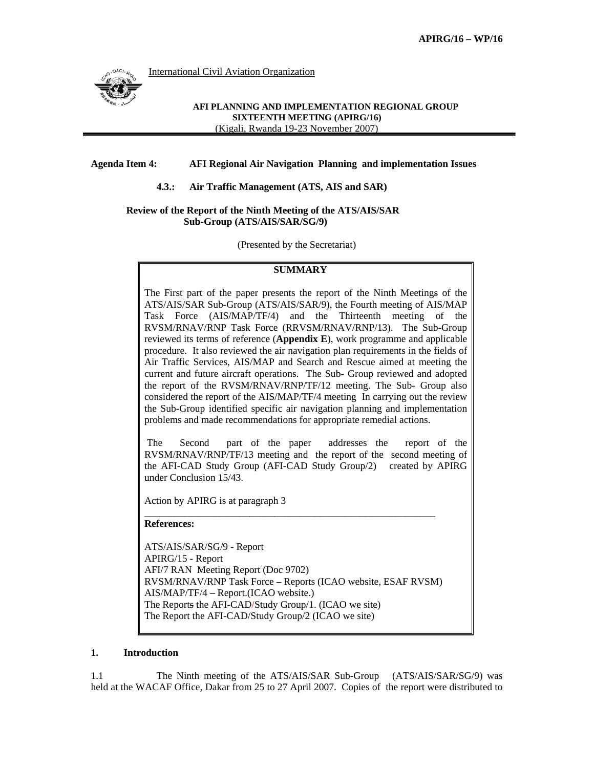International Civil Aviation Organization



**AFI PLANNING AND IMPLEMENTATION REGIONAL GROUP SIXTEENTH MEETING (APIRG/16)**  (Kigali, Rwanda 19-23 November 2007)

# **Agenda Item 4: AFI Regional Air Navigation Planning and implementation Issues**

 **4.3.: Air Traffic Management (ATS, AIS and SAR)** 

## **Review of the Report of the Ninth Meeting of the ATS/AIS/SAR Sub-Group (ATS/AIS/SAR/SG/9)**

(Presented by the Secretariat)

# **SUMMARY**

The First part of the paper presents the report of the Ninth Meetings of the ATS/AIS/SAR Sub-Group (ATS/AIS/SAR/9), the Fourth meeting of AIS/MAP Task Force (AIS/MAP/TF/4) and the Thirteenth meeting of the RVSM/RNAV/RNP Task Force (RRVSM/RNAV/RNP/13). The Sub-Group reviewed its terms of reference (**Appendix E**), work programme and applicable procedure. It also reviewed the air navigation plan requirements in the fields of Air Traffic Services, AIS/MAP and Search and Rescue aimed at meeting the current and future aircraft operations. The Sub- Group reviewed and adopted the report of the RVSM/RNAV/RNP/TF/12 meeting. The Sub- Group also considered the report of the AIS/MAP/TF/4 meeting In carrying out the review the Sub-Group identified specific air navigation planning and implementation problems and made recommendations for appropriate remedial actions.

 The Second part of the paper addresses the report of the RVSM/RNAV/RNP/TF/13 meeting and the report of the second meeting of the AFI-CAD Study Group (AFI-CAD Study Group/2) created by APIRG under Conclusion 15/43.

Action by APIRG is at paragraph 3

# **References:**

ATS/AIS/SAR/SG/9 - Report APIRG/15 - Report AFI/7 RAN Meeting Report (Doc 9702) RVSM/RNAV/RNP Task Force – Reports (ICAO website, ESAF RVSM) AIS/MAP/TF/4 – Report.(ICAO website.) The Reports the AFI-CAD/Study Group/1. (ICAO we site) The Report the AFI-CAD/Study Group/2 (ICAO we site)

\_\_\_\_\_\_\_\_\_\_\_\_\_\_\_\_\_\_\_\_\_\_\_\_\_\_\_\_\_\_\_\_\_\_\_\_\_\_\_\_\_\_\_\_\_\_\_\_\_\_\_\_\_\_\_\_\_\_

# **1. Introduction**

1.1 The Ninth meeting of the ATS/AIS/SAR Sub-Group (ATS/AIS/SAR/SG/9) was held at the WACAF Office, Dakar from 25 to 27 April 2007. Copies of the report were distributed to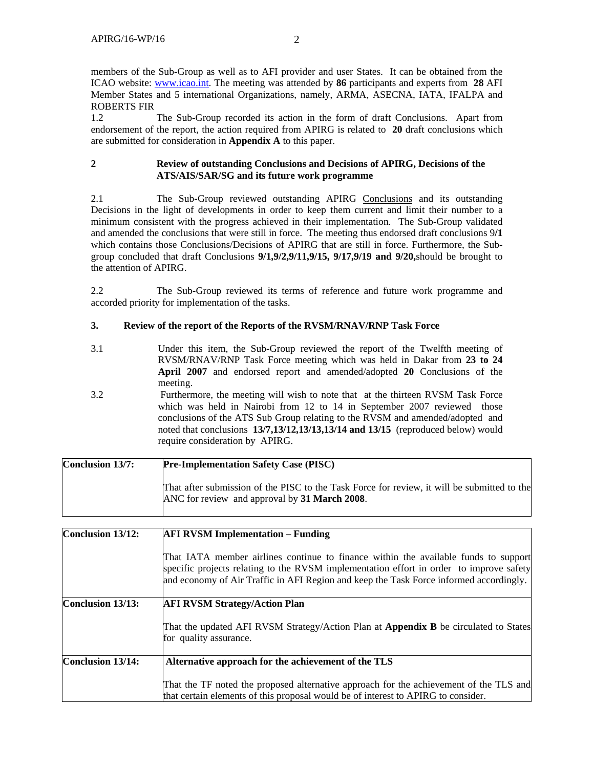members of the Sub-Group as well as to AFI provider and user States. It can be obtained from the ICAO website: www.icao.int. The meeting was attended by **86** participants and experts from **28** AFI Member States and 5 international Organizations, namely, ARMA, ASECNA, IATA, IFALPA and ROBERTS FIR

1.2 The Sub-Group recorded its action in the form of draft Conclusions. Apart from endorsement of the report, the action required from APIRG is related to **20** draft conclusions which are submitted for consideration in **Appendix A** to this paper.

# **2 Review of outstanding Conclusions and Decisions of APIRG, Decisions of the ATS/AIS/SAR/SG and its future work programme**

2.1 The Sub-Group reviewed outstanding APIRG Conclusions and its outstanding Decisions in the light of developments in order to keep them current and limit their number to a minimum consistent with the progress achieved in their implementation. The Sub-Group validated and amended the conclusions that were still in force. The meeting thus endorsed draft conclusions 9**/1** which contains those Conclusions/Decisions of APIRG that are still in force. Furthermore, the Subgroup concluded that draft Conclusions **9/1,9/2,9/11,9/15, 9/17,9/19 and 9/20,**should be brought to the attention of APIRG.

2.2 The Sub-Group reviewed its terms of reference and future work programme and accorded priority for implementation of the tasks.

# **3. Review of the report of the Reports of the RVSM/RNAV/RNP Task Force**

3.1 Under this item, the Sub-Group reviewed the report of the Twelfth meeting of RVSM/RNAV/RNP Task Force meeting which was held in Dakar from **23 to 24 April 2007** and endorsed report and amended/adopted **20** Conclusions of the meeting. 3.2 Furthermore, the meeting will wish to note that at the thirteen RVSM Task Force which was held in Nairobi from 12 to 14 in September 2007 reviewed those conclusions of the ATS Sub Group relating to the RVSM and amended/adopted and noted that conclusions **13/7,13/12,13/13,13/14 and 13/15** (reproduced below) would require consideration by APIRG.

| <b>Conclusion 13/7:</b> | <b>Pre-Implementation Safety Case (PISC)</b>                                                                                                 |
|-------------------------|----------------------------------------------------------------------------------------------------------------------------------------------|
|                         | That after submission of the PISC to the Task Force for review, it will be submitted to the<br>ANC for review and approval by 31 March 2008. |

| Conclusion 13/12: | <b>AFI RVSM Implementation – Funding</b>                                                                                                                                                                                                                                 |  |  |  |
|-------------------|--------------------------------------------------------------------------------------------------------------------------------------------------------------------------------------------------------------------------------------------------------------------------|--|--|--|
|                   | That IATA member airlines continue to finance within the available funds to support<br>specific projects relating to the RVSM implementation effort in order to improve safety<br>and economy of Air Traffic in AFI Region and keep the Task Force informed accordingly. |  |  |  |
| Conclusion 13/13: | <b>AFI RVSM Strategy/Action Plan</b>                                                                                                                                                                                                                                     |  |  |  |
|                   | That the updated AFI RVSM Strategy/Action Plan at Appendix B be circulated to States<br>for quality assurance.                                                                                                                                                           |  |  |  |
| Conclusion 13/14: | Alternative approach for the achievement of the TLS                                                                                                                                                                                                                      |  |  |  |
|                   | That the TF noted the proposed alternative approach for the achievement of the TLS and<br>that certain elements of this proposal would be of interest to APIRG to consider.                                                                                              |  |  |  |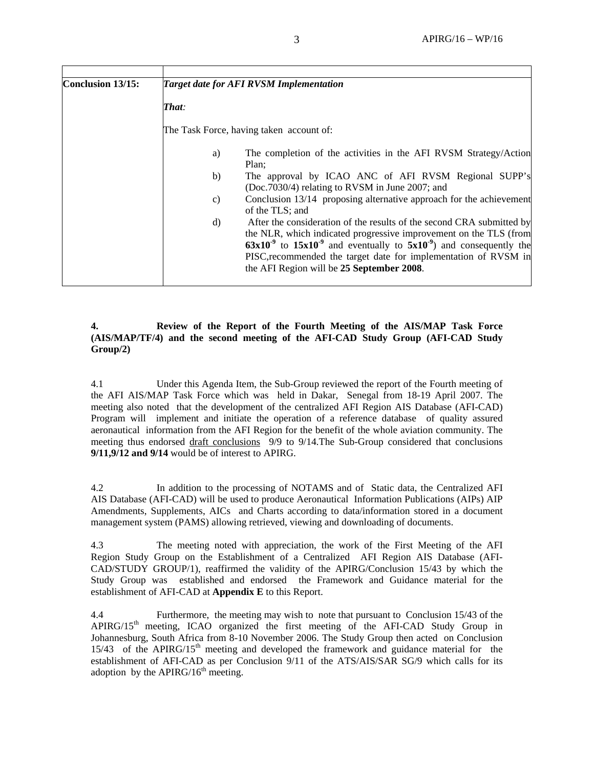| Conclusion 13/15: | <b>Target date for AFI RVSM Implementation</b>                                                                                                                                                                                                                                                                                                  |  |  |  |  |  |
|-------------------|-------------------------------------------------------------------------------------------------------------------------------------------------------------------------------------------------------------------------------------------------------------------------------------------------------------------------------------------------|--|--|--|--|--|
|                   | $\boldsymbol{T}$ <i>hat</i> :                                                                                                                                                                                                                                                                                                                   |  |  |  |  |  |
|                   | The Task Force, having taken account of:                                                                                                                                                                                                                                                                                                        |  |  |  |  |  |
|                   | The completion of the activities in the AFI RVSM Strategy/Action<br>a)<br>Plan;                                                                                                                                                                                                                                                                 |  |  |  |  |  |
|                   | b)<br>The approval by ICAO ANC of AFI RVSM Regional SUPP's<br>(Doc. 7030/4) relating to RVSM in June 2007; and                                                                                                                                                                                                                                  |  |  |  |  |  |
|                   | Conclusion 13/14 proposing alternative approach for the achievement<br>$\mathbf{c})$<br>of the TLS; and                                                                                                                                                                                                                                         |  |  |  |  |  |
|                   | $\rm d$<br>After the consideration of the results of the second CRA submitted by<br>the NLR, which indicated progressive improvement on the TLS (from<br>$63x10-9$ to $15x10-9$ and eventually to $5x10-9$ and consequently the<br>PISC, recommended the target date for implementation of RVSM in<br>the AFI Region will be 25 September 2008. |  |  |  |  |  |

# **4. Review of the Report of the Fourth Meeting of the AIS/MAP Task Force (AIS/MAP/TF/4) and the second meeting of the AFI-CAD Study Group (AFI-CAD Study Group/2)**

4.1 Under this Agenda Item, the Sub-Group reviewed the report of the Fourth meeting of the AFI AIS/MAP Task Force which was held in Dakar, Senegal from 18-19 April 2007. The meeting also noted that the development of the centralized AFI Region AIS Database (AFI-CAD) Program will implement and initiate the operation of a reference database of quality assured aeronautical information from the AFI Region for the benefit of the whole aviation community. The meeting thus endorsed draft conclusions 9/9 to 9/14.The Sub-Group considered that conclusions **9/11,9/12 and 9/14** would be of interest to APIRG.

4.2 In addition to the processing of NOTAMS and of Static data, the Centralized AFI AIS Database (AFI-CAD) will be used to produce Aeronautical Information Publications (AIPs) AIP Amendments, Supplements, AICs and Charts according to data/information stored in a document management system (PAMS) allowing retrieved, viewing and downloading of documents.

4.3 The meeting noted with appreciation, the work of the First Meeting of the AFI Region Study Group on the Establishment of a Centralized AFI Region AIS Database (AFI-CAD/STUDY GROUP/1), reaffirmed the validity of the APIRG/Conclusion 15/43 by which the Study Group was established and endorsed the Framework and Guidance material for the establishment of AFI-CAD at **Appendix E** to this Report.

4.4 Furthermore, the meeting may wish to note that pursuant to Conclusion 15/43 of the  $APIRG/15<sup>th</sup>$  meeting, ICAO organized the first meeting of the AFI-CAD Study Group in Johannesburg, South Africa from 8-10 November 2006. The Study Group then acted on Conclusion  $15/43$  of the APIRG/ $15<sup>th</sup>$  meeting and developed the framework and guidance material for the establishment of AFI-CAD as per Conclusion 9/11 of the ATS/AIS/SAR SG/9 which calls for its adoption by the APIRG/16<sup>th</sup> meeting.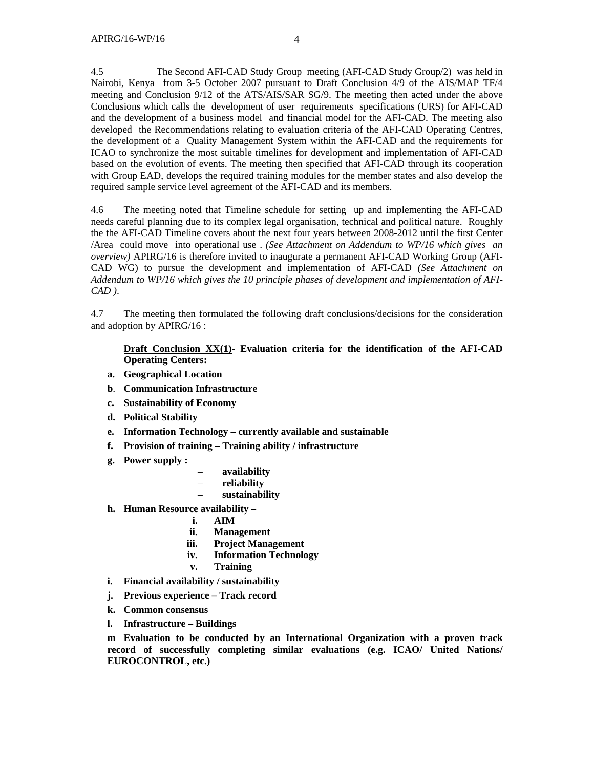4.5 The Second AFI-CAD Study Group meeting (AFI-CAD Study Group/2) was held in Nairobi, Kenya from 3-5 October 2007 pursuant to Draft Conclusion 4/9 of the AIS/MAP TF/4 meeting and Conclusion 9/12 of the ATS/AIS/SAR SG/9. The meeting then acted under the above Conclusions which calls the development of user requirements specifications (URS) for AFI-CAD and the development of a business model and financial model for the AFI-CAD. The meeting also developed the Recommendations relating to evaluation criteria of the AFI-CAD Operating Centres, the development of a Quality Management System within the AFI-CAD and the requirements for ICAO to synchronize the most suitable timelines for development and implementation of AFI-CAD based on the evolution of events. The meeting then specified that AFI-CAD through its cooperation with Group EAD, develops the required training modules for the member states and also develop the required sample service level agreement of the AFI-CAD and its members.

4.6 The meeting noted that Timeline schedule for setting up and implementing the AFI-CAD needs careful planning due to its complex legal organisation, technical and political nature. Roughly the the AFI-CAD Timeline covers about the next four years between 2008-2012 until the first Center /Area could move into operational use . *(See Attachment on Addendum to WP/16 which gives an overview)* APIRG/16 is therefore invited to inaugurate a permanent AFI-CAD Working Group (AFI-CAD WG) to pursue the development and implementation of AFI-CAD *(See Attachment on Addendum to WP/16 which gives the 10 principle phases of development and implementation of AFI-CAD )*.

4.7 The meeting then formulated the following draft conclusions/decisions for the consideration and adoption by APIRG/16 :

**Draft Conclusion XX(1)**- **Evaluation criteria for the identification of the AFI-CAD Operating Centers:**

- **a. Geographical Location**
- **b**. **Communication Infrastructure**
- **c. Sustainability of Economy**
- **d. Political Stability**
- **e. Information Technology currently available and sustainable**
- **f. Provision of training Training ability / infrastructure**
- **g. Power supply :**
- **availability**
- **reliability**
- **sustainability**
- **h. Human Resource availability** 
	- **i. AIM**
	- **ii. Management**
	- **iii. Project Management**
	- **iv. Information Technology**
	- **v. Training**
- **i. Financial availability / sustainability**
- **j. Previous experience Track record**
- **k. Common consensus**
- **l. Infrastructure Buildings**

**m Evaluation to be conducted by an International Organization with a proven track record of successfully completing similar evaluations (e.g. ICAO/ United Nations/ EUROCONTROL, etc.)**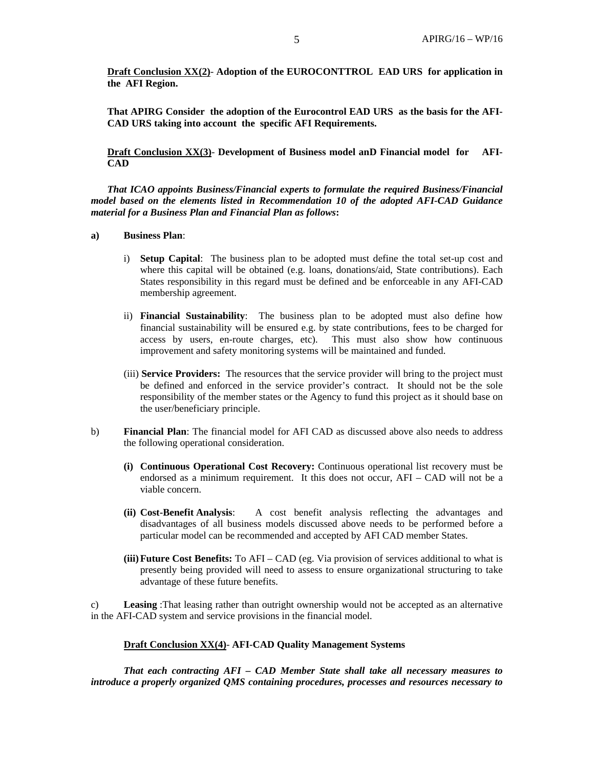**Draft Conclusion XX(2)**- **Adoption of the EUROCONTTROL EAD URS for application in the AFI Region.** 

**That APIRG Consider the adoption of the Eurocontrol EAD URS as the basis for the AFI-CAD URS taking into account the specific AFI Requirements.** 

**Draft Conclusion XX(3)**- **Development of Business model anD Financial model for AFI-CAD** 

*That ICAO appoints Business/Financial experts to formulate the required Business/Financial model based on the elements listed in Recommendation 10 of the adopted AFI-CAD Guidance material for a Business Plan and Financial Plan as follows***:** 

- **a) Business Plan**:
	- i) **Setup Capital**: The business plan to be adopted must define the total set-up cost and where this capital will be obtained (e.g. loans, donations/aid, State contributions). Each States responsibility in this regard must be defined and be enforceable in any AFI-CAD membership agreement.
	- ii) **Financial Sustainability**: The business plan to be adopted must also define how financial sustainability will be ensured e.g. by state contributions, fees to be charged for access by users, en-route charges, etc). This must also show how continuous improvement and safety monitoring systems will be maintained and funded.
	- (iii) **Service Providers:** The resources that the service provider will bring to the project must be defined and enforced in the service provider's contract. It should not be the sole responsibility of the member states or the Agency to fund this project as it should base on the user/beneficiary principle.
- b) **Financial Plan**: The financial model for AFI CAD as discussed above also needs to address the following operational consideration.
	- **(i) Continuous Operational Cost Recovery:** Continuous operational list recovery must be endorsed as a minimum requirement. It this does not occur, AFI – CAD will not be a viable concern.
	- **(ii) Cost-Benefit Analysis**: A cost benefit analysis reflecting the advantages and disadvantages of all business models discussed above needs to be performed before a particular model can be recommended and accepted by AFI CAD member States.
	- **(iii) Future Cost Benefits:** To AFI CAD (eg. Via provision of services additional to what is presently being provided will need to assess to ensure organizational structuring to take advantage of these future benefits.

c) **Leasing** :That leasing rather than outright ownership would not be accepted as an alternative in the AFI-CAD system and service provisions in the financial model.

#### **Draft Conclusion XX(4)**- **AFI-CAD Quality Management Systems**

*That each contracting AFI – CAD Member State shall take all necessary measures to introduce a properly organized QMS containing procedures, processes and resources necessary to*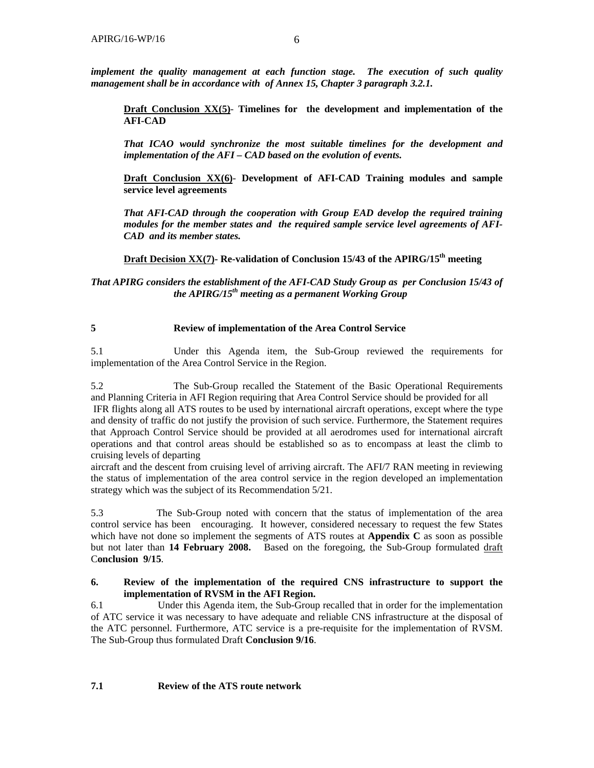*implement the quality management at each function stage. The execution of such quality management shall be in accordance with of Annex 15, Chapter 3 paragraph 3.2.1.* 

**Draft Conclusion XX(5)**- **Timelines for the development and implementation of the AFI-CAD** 

*That ICAO would synchronize the most suitable timelines for the development and implementation of the AFI – CAD based on the evolution of events.* 

**Draft Conclusion XX(6)**- **Development of AFI-CAD Training modules and sample service level agreements** 

*That AFI-CAD through the cooperation with Group EAD develop the required training modules for the member states and the required sample service level agreements of AFI-CAD and its member states.* 

**Draft Decision XX(7)-** Re-validation of Conclusion 15/43 of the APIRG/15<sup>th</sup> meeting

*That APIRG considers the establishment of the AFI-CAD Study Group as per Conclusion 15/43 of the APIRG/15th meeting as a permanent Working Group* 

# **5 Review of implementation of the Area Control Service**

5.1 Under this Agenda item, the Sub-Group reviewed the requirements for implementation of the Area Control Service in the Region.

5.2 The Sub-Group recalled the Statement of the Basic Operational Requirements and Planning Criteria in AFI Region requiring that Area Control Service should be provided for all

 IFR flights along all ATS routes to be used by international aircraft operations, except where the type and density of traffic do not justify the provision of such service. Furthermore, the Statement requires that Approach Control Service should be provided at all aerodromes used for international aircraft operations and that control areas should be established so as to encompass at least the climb to cruising levels of departing

aircraft and the descent from cruising level of arriving aircraft. The AFI/7 RAN meeting in reviewing the status of implementation of the area control service in the region developed an implementation strategy which was the subject of its Recommendation 5/21.

5.3 The Sub-Group noted with concern that the status of implementation of the area control service has been encouraging. It however, considered necessary to request the few States which have not done so implement the segments of ATS routes at **Appendix C** as soon as possible but not later than **14 February 2008.** Based on the foregoing, the Sub-Group formulated draft C**onclusion 9/15**.

#### **6. Review of the implementation of the required CNS infrastructure to support the implementation of RVSM in the AFI Region.**

6.1 Under this Agenda item, the Sub-Group recalled that in order for the implementation of ATC service it was necessary to have adequate and reliable CNS infrastructure at the disposal of the ATC personnel. Furthermore, ATC service is a pre-requisite for the implementation of RVSM. The Sub-Group thus formulated Draft **Conclusion 9/16**.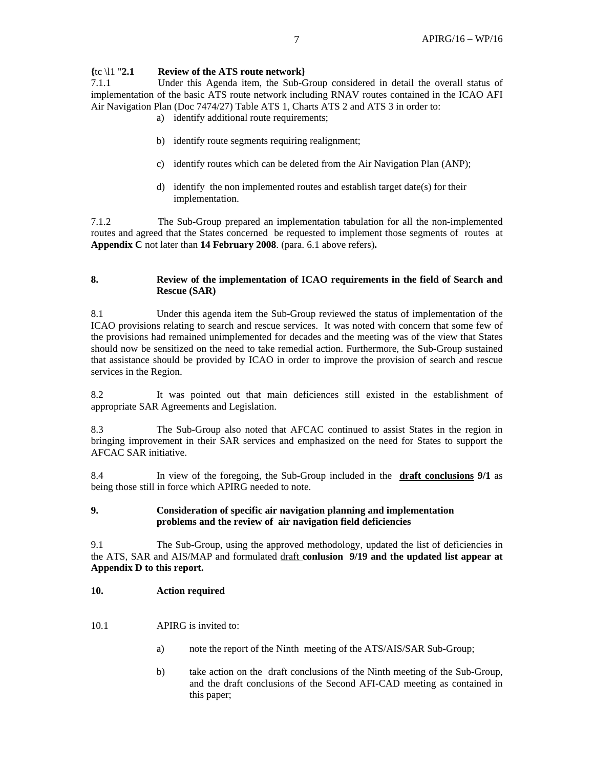# **{**tc \l1 "**2.1 Review of the ATS route network}**

7.1.1 Under this Agenda item, the Sub-Group considered in detail the overall status of implementation of the basic ATS route network including RNAV routes contained in the ICAO AFI Air Navigation Plan (Doc 7474/27) Table ATS 1, Charts ATS 2 and ATS 3 in order to:

- a) identify additional route requirements;
- b) identify route segments requiring realignment;
- c) identify routes which can be deleted from the Air Navigation Plan (ANP);
- d) identify the non implemented routes and establish target date(s) for their implementation.

7.1.2 The Sub-Group prepared an implementation tabulation for all the non-implemented routes and agreed that the States concerned be requested to implement those segments of routes at **Appendix C** not later than **14 February 2008**. (para. 6.1 above refers)**.**

# **8. Review of the implementation of ICAO requirements in the field of Search and Rescue (SAR)**

8.1 Under this agenda item the Sub-Group reviewed the status of implementation of the ICAO provisions relating to search and rescue services. It was noted with concern that some few of the provisions had remained unimplemented for decades and the meeting was of the view that States should now be sensitized on the need to take remedial action. Furthermore, the Sub-Group sustained that assistance should be provided by ICAO in order to improve the provision of search and rescue services in the Region.

8.2 It was pointed out that main deficiences still existed in the establishment of appropriate SAR Agreements and Legislation.

8.3 The Sub-Group also noted that AFCAC continued to assist States in the region in bringing improvement in their SAR services and emphasized on the need for States to support the AFCAC SAR initiative.

8.4 In view of the foregoing, the Sub-Group included in the **draft conclusions 9/1** as being those still in force which APIRG needed to note.

# **9. Consideration of specific air navigation planning and implementation problems and the review of air navigation field deficiencies**

9.1 The Sub-Group, using the approved methodology, updated the list of deficiencies in the ATS, SAR and AIS/MAP and formulated draft **conlusion 9/19 and the updated list appear at Appendix D to this report.**

# **10. Action required**

10.1 APIRG is invited to:

- a) note the report of the Ninth meeting of the ATS/AIS/SAR Sub-Group;
- b) take action on the draft conclusions of the Ninth meeting of the Sub-Group, and the draft conclusions of the Second AFI-CAD meeting as contained in this paper;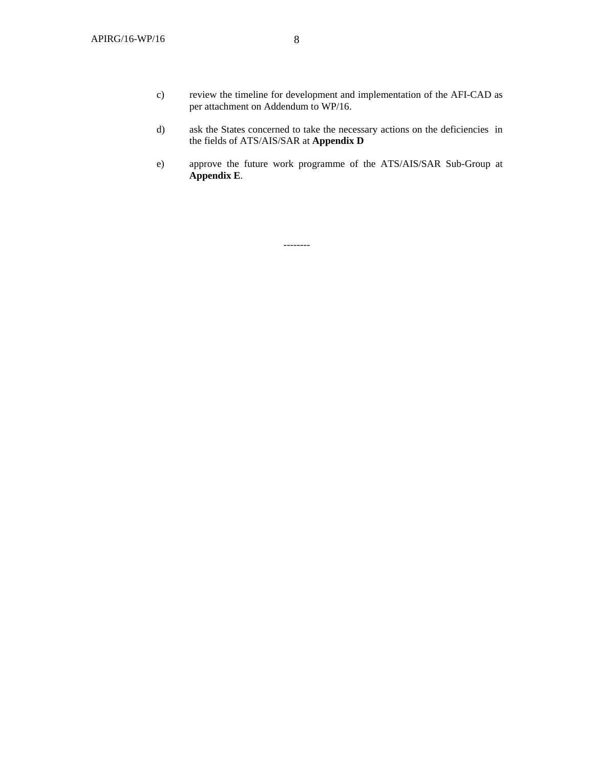- c) review the timeline for development and implementation of the AFI-CAD as per attachment on Addendum to WP/16.
- d) ask the States concerned to take the necessary actions on the deficiencies in the fields of ATS/AIS/SAR at **Appendix D**
- e) approve the future work programme of the ATS/AIS/SAR Sub-Group at **Appendix E**.

--------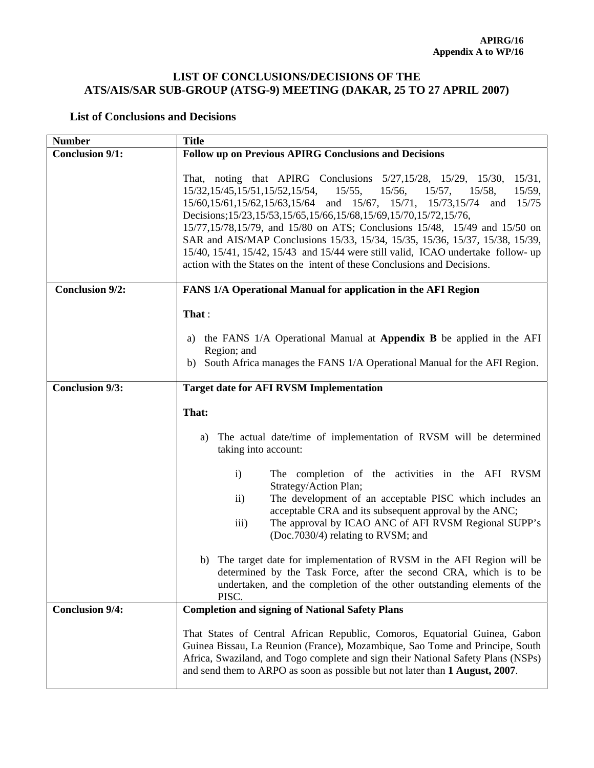# **LIST OF CONCLUSIONS/DECISIONS OF THE ATS/AIS/SAR SUB-GROUP (ATSG-9) MEETING (DAKAR, 25 TO 27 APRIL 2007)**

# **List of Conclusions and Decisions**

| <b>Number</b>          | <b>Title</b>                                                                                                                                                                                                                                                                                                                                                                                                                                                                                                                                                                                                                                        |  |  |  |  |  |  |
|------------------------|-----------------------------------------------------------------------------------------------------------------------------------------------------------------------------------------------------------------------------------------------------------------------------------------------------------------------------------------------------------------------------------------------------------------------------------------------------------------------------------------------------------------------------------------------------------------------------------------------------------------------------------------------------|--|--|--|--|--|--|
| <b>Conclusion 9/1:</b> | <b>Follow up on Previous APIRG Conclusions and Decisions</b>                                                                                                                                                                                                                                                                                                                                                                                                                                                                                                                                                                                        |  |  |  |  |  |  |
|                        | That, noting that APIRG Conclusions 5/27,15/28, 15/29, 15/30,<br>15/31,<br>$15/55$ , $15/56$ ,<br>15/32, 15/45, 15/51, 15/52, 15/54,<br>$15/57$ , $15/58$ ,<br>15/59,<br>15/60,15/61,15/62,15/63,15/64 and 15/67, 15/71, 15/73,15/74 and<br>15/75<br>Decisions;15/23,15/53,15/65,15/66,15/68,15/69,15/70,15/72,15/76,<br>15/77,15/78,15/79, and 15/80 on ATS; Conclusions 15/48, 15/49 and 15/50 on<br>SAR and AIS/MAP Conclusions 15/33, 15/34, 15/35, 15/36, 15/37, 15/38, 15/39,<br>15/40, 15/41, 15/42, 15/43 and 15/44 were still valid, ICAO undertake follow- up<br>action with the States on the intent of these Conclusions and Decisions. |  |  |  |  |  |  |
| <b>Conclusion 9/2:</b> | FANS 1/A Operational Manual for application in the AFI Region                                                                                                                                                                                                                                                                                                                                                                                                                                                                                                                                                                                       |  |  |  |  |  |  |
|                        | That:                                                                                                                                                                                                                                                                                                                                                                                                                                                                                                                                                                                                                                               |  |  |  |  |  |  |
|                        | the FANS 1/A Operational Manual at Appendix B be applied in the AFI<br>a)<br>Region; and                                                                                                                                                                                                                                                                                                                                                                                                                                                                                                                                                            |  |  |  |  |  |  |
|                        | South Africa manages the FANS 1/A Operational Manual for the AFI Region.<br>b)                                                                                                                                                                                                                                                                                                                                                                                                                                                                                                                                                                      |  |  |  |  |  |  |
| <b>Conclusion 9/3:</b> | <b>Target date for AFI RVSM Implementation</b>                                                                                                                                                                                                                                                                                                                                                                                                                                                                                                                                                                                                      |  |  |  |  |  |  |
|                        | That:<br>a) The actual date/time of implementation of RVSM will be determined                                                                                                                                                                                                                                                                                                                                                                                                                                                                                                                                                                       |  |  |  |  |  |  |
|                        | taking into account:                                                                                                                                                                                                                                                                                                                                                                                                                                                                                                                                                                                                                                |  |  |  |  |  |  |
|                        | The completion of the activities in the AFI RVSM<br>$\mathbf{i}$<br>Strategy/Action Plan;                                                                                                                                                                                                                                                                                                                                                                                                                                                                                                                                                           |  |  |  |  |  |  |
|                        | The development of an acceptable PISC which includes an<br>$\mathbf{ii}$<br>acceptable CRA and its subsequent approval by the ANC;<br>The approval by ICAO ANC of AFI RVSM Regional SUPP's<br>iii)                                                                                                                                                                                                                                                                                                                                                                                                                                                  |  |  |  |  |  |  |
|                        | (Doc.7030/4) relating to RVSM; and                                                                                                                                                                                                                                                                                                                                                                                                                                                                                                                                                                                                                  |  |  |  |  |  |  |
|                        | b) The target date for implementation of RVSM in the AFI Region will be<br>determined by the Task Force, after the second CRA, which is to be<br>undertaken, and the completion of the other outstanding elements of the<br>PISC.                                                                                                                                                                                                                                                                                                                                                                                                                   |  |  |  |  |  |  |
| <b>Conclusion 9/4:</b> | <b>Completion and signing of National Safety Plans</b>                                                                                                                                                                                                                                                                                                                                                                                                                                                                                                                                                                                              |  |  |  |  |  |  |
|                        | That States of Central African Republic, Comoros, Equatorial Guinea, Gabon<br>Guinea Bissau, La Reunion (France), Mozambique, Sao Tome and Principe, South<br>Africa, Swaziland, and Togo complete and sign their National Safety Plans (NSPs)<br>and send them to ARPO as soon as possible but not later than 1 August, 2007.                                                                                                                                                                                                                                                                                                                      |  |  |  |  |  |  |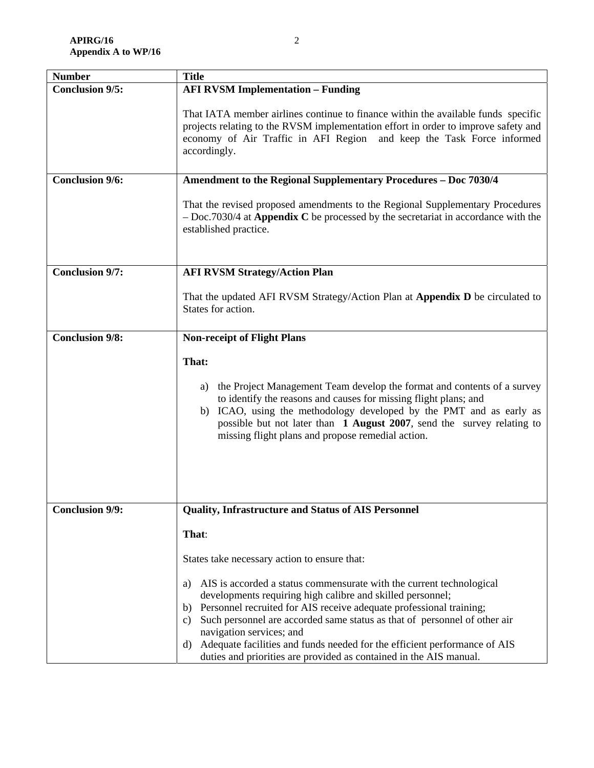| <b>Number</b>          | <b>Title</b>                                                                                                                                                                                                                                                                                                                                                                                                                                                                                  |
|------------------------|-----------------------------------------------------------------------------------------------------------------------------------------------------------------------------------------------------------------------------------------------------------------------------------------------------------------------------------------------------------------------------------------------------------------------------------------------------------------------------------------------|
| <b>Conclusion 9/5:</b> | <b>AFI RVSM Implementation - Funding</b>                                                                                                                                                                                                                                                                                                                                                                                                                                                      |
|                        | That IATA member airlines continue to finance within the available funds specific<br>projects relating to the RVSM implementation effort in order to improve safety and<br>economy of Air Traffic in AFI Region and keep the Task Force informed<br>accordingly.                                                                                                                                                                                                                              |
| <b>Conclusion 9/6:</b> | <b>Amendment to the Regional Supplementary Procedures - Doc 7030/4</b>                                                                                                                                                                                                                                                                                                                                                                                                                        |
|                        | That the revised proposed amendments to the Regional Supplementary Procedures<br>$-$ Doc.7030/4 at <b>Appendix C</b> be processed by the secretariat in accordance with the<br>established practice.                                                                                                                                                                                                                                                                                          |
| <b>Conclusion 9/7:</b> | <b>AFI RVSM Strategy/Action Plan</b>                                                                                                                                                                                                                                                                                                                                                                                                                                                          |
|                        | That the updated AFI RVSM Strategy/Action Plan at Appendix D be circulated to<br>States for action.                                                                                                                                                                                                                                                                                                                                                                                           |
| <b>Conclusion 9/8:</b> | <b>Non-receipt of Flight Plans</b>                                                                                                                                                                                                                                                                                                                                                                                                                                                            |
|                        | That:<br>a) the Project Management Team develop the format and contents of a survey<br>to identify the reasons and causes for missing flight plans; and<br>b) ICAO, using the methodology developed by the PMT and as early as<br>possible but not later than 1 August 2007, send the survey relating to<br>missing flight plans and propose remedial action.                                                                                                                                 |
| <b>Conclusion 9/9:</b> | <b>Quality, Infrastructure and Status of AIS Personnel</b>                                                                                                                                                                                                                                                                                                                                                                                                                                    |
|                        | That:                                                                                                                                                                                                                                                                                                                                                                                                                                                                                         |
|                        | States take necessary action to ensure that:                                                                                                                                                                                                                                                                                                                                                                                                                                                  |
|                        | AIS is accorded a status commensurate with the current technological<br>a)<br>developments requiring high calibre and skilled personnel;<br>Personnel recruited for AIS receive adequate professional training;<br>b)<br>Such personnel are accorded same status as that of personnel of other air<br>C)<br>navigation services; and<br>Adequate facilities and funds needed for the efficient performance of AIS<br>d)<br>duties and priorities are provided as contained in the AIS manual. |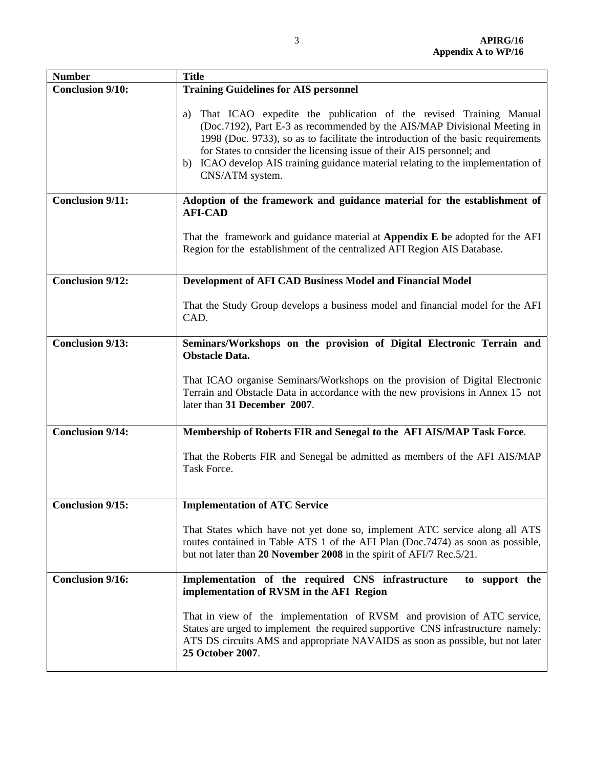| <b>Number</b>           | <b>Title</b>                                                                                                                                                                                                                                                                                                                                                                                                                |  |  |  |  |  |  |
|-------------------------|-----------------------------------------------------------------------------------------------------------------------------------------------------------------------------------------------------------------------------------------------------------------------------------------------------------------------------------------------------------------------------------------------------------------------------|--|--|--|--|--|--|
| <b>Conclusion 9/10:</b> | <b>Training Guidelines for AIS personnel</b>                                                                                                                                                                                                                                                                                                                                                                                |  |  |  |  |  |  |
|                         | That ICAO expedite the publication of the revised Training Manual<br>a)<br>(Doc.7192), Part E-3 as recommended by the AIS/MAP Divisional Meeting in<br>1998 (Doc. 9733), so as to facilitate the introduction of the basic requirements<br>for States to consider the licensing issue of their AIS personnel; and<br>ICAO develop AIS training guidance material relating to the implementation of<br>b)<br>CNS/ATM system. |  |  |  |  |  |  |
| <b>Conclusion 9/11:</b> | Adoption of the framework and guidance material for the establishment of<br><b>AFI-CAD</b>                                                                                                                                                                                                                                                                                                                                  |  |  |  |  |  |  |
|                         | That the framework and guidance material at Appendix E be adopted for the AFI<br>Region for the establishment of the centralized AFI Region AIS Database.                                                                                                                                                                                                                                                                   |  |  |  |  |  |  |
| <b>Conclusion 9/12:</b> | Development of AFI CAD Business Model and Financial Model                                                                                                                                                                                                                                                                                                                                                                   |  |  |  |  |  |  |
|                         | That the Study Group develops a business model and financial model for the AFI<br>CAD.                                                                                                                                                                                                                                                                                                                                      |  |  |  |  |  |  |
| <b>Conclusion 9/13:</b> | Seminars/Workshops on the provision of Digital Electronic Terrain and                                                                                                                                                                                                                                                                                                                                                       |  |  |  |  |  |  |
|                         | <b>Obstacle Data.</b><br>That ICAO organise Seminars/Workshops on the provision of Digital Electronic<br>Terrain and Obstacle Data in accordance with the new provisions in Annex 15 not<br>later than 31 December 2007.                                                                                                                                                                                                    |  |  |  |  |  |  |
| <b>Conclusion 9/14:</b> | Membership of Roberts FIR and Senegal to the AFI AIS/MAP Task Force.                                                                                                                                                                                                                                                                                                                                                        |  |  |  |  |  |  |
|                         | That the Roberts FIR and Senegal be admitted as members of the AFI AIS/MAP<br>Task Force.                                                                                                                                                                                                                                                                                                                                   |  |  |  |  |  |  |
| <b>Conclusion 9/15:</b> | <b>Implementation of ATC Service</b>                                                                                                                                                                                                                                                                                                                                                                                        |  |  |  |  |  |  |
|                         | That States which have not yet done so, implement ATC service along all ATS<br>routes contained in Table ATS 1 of the AFI Plan (Doc.7474) as soon as possible,<br>but not later than 20 November 2008 in the spirit of AFI/7 Rec.5/21.                                                                                                                                                                                      |  |  |  |  |  |  |
| <b>Conclusion 9/16:</b> | Implementation of the required CNS infrastructure<br>to support the<br>implementation of RVSM in the AFI Region                                                                                                                                                                                                                                                                                                             |  |  |  |  |  |  |
|                         | That in view of the implementation of RVSM and provision of ATC service,<br>States are urged to implement the required supportive CNS infrastructure namely:<br>ATS DS circuits AMS and appropriate NAVAIDS as soon as possible, but not later<br>25 October 2007.                                                                                                                                                          |  |  |  |  |  |  |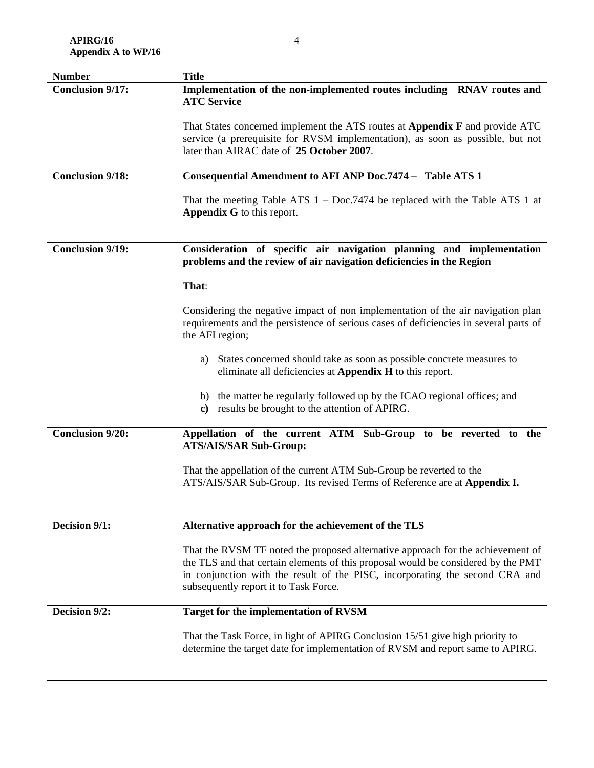| <b>Number</b>           | <b>Title</b>                                                                                                                                                                                                                                                                                  |
|-------------------------|-----------------------------------------------------------------------------------------------------------------------------------------------------------------------------------------------------------------------------------------------------------------------------------------------|
| <b>Conclusion 9/17:</b> | Implementation of the non-implemented routes including RNAV routes and<br><b>ATC Service</b>                                                                                                                                                                                                  |
|                         | That States concerned implement the ATS routes at Appendix F and provide ATC<br>service (a prerequisite for RVSM implementation), as soon as possible, but not<br>later than AIRAC date of 25 October 2007.                                                                                   |
| <b>Conclusion 9/18:</b> | Consequential Amendment to AFI ANP Doc.7474 - Table ATS 1                                                                                                                                                                                                                                     |
|                         | That the meeting Table ATS $1 - Doc.7474$ be replaced with the Table ATS 1 at<br>Appendix G to this report.                                                                                                                                                                                   |
| <b>Conclusion 9/19:</b> | Consideration of specific air navigation planning and implementation<br>problems and the review of air navigation deficiencies in the Region                                                                                                                                                  |
|                         | That:                                                                                                                                                                                                                                                                                         |
|                         | Considering the negative impact of non implementation of the air navigation plan<br>requirements and the persistence of serious cases of deficiencies in several parts of<br>the AFI region;                                                                                                  |
|                         | States concerned should take as soon as possible concrete measures to<br>a)<br>eliminate all deficiencies at <b>Appendix H</b> to this report.                                                                                                                                                |
|                         | b) the matter be regularly followed up by the ICAO regional offices; and<br>c) results be brought to the attention of APIRG.                                                                                                                                                                  |
| <b>Conclusion 9/20:</b> | Appellation of the current ATM Sub-Group to be reverted to the<br><b>ATS/AIS/SAR Sub-Group:</b>                                                                                                                                                                                               |
|                         | That the appellation of the current ATM Sub-Group be reverted to the<br>ATS/AIS/SAR Sub-Group. Its revised Terms of Reference are at Appendix I.                                                                                                                                              |
| Decision 9/1:           | Alternative approach for the achievement of the TLS                                                                                                                                                                                                                                           |
|                         | That the RVSM TF noted the proposed alternative approach for the achievement of<br>the TLS and that certain elements of this proposal would be considered by the PMT<br>in conjunction with the result of the PISC, incorporating the second CRA and<br>subsequently report it to Task Force. |
| Decision 9/2:           | <b>Target for the implementation of RVSM</b>                                                                                                                                                                                                                                                  |
|                         | That the Task Force, in light of APIRG Conclusion 15/51 give high priority to<br>determine the target date for implementation of RVSM and report same to APIRG.                                                                                                                               |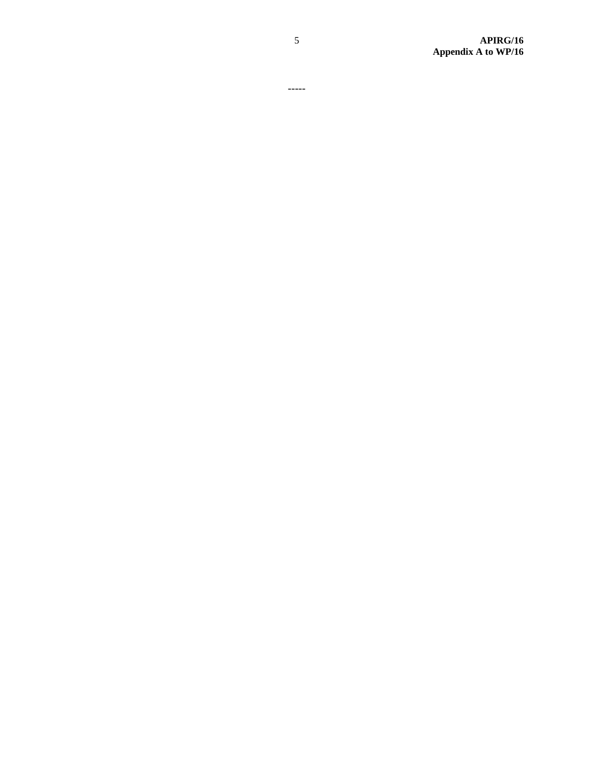5

-----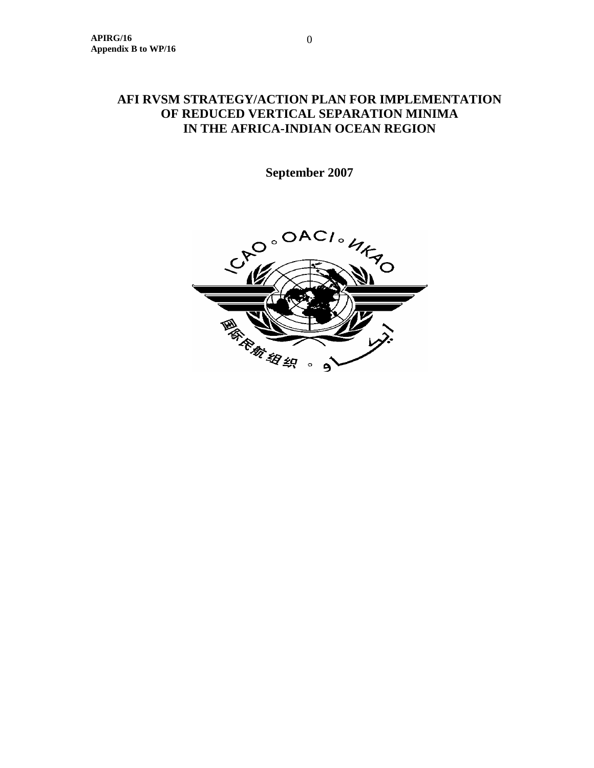# **AFI RVSM STRATEGY/ACTION PLAN FOR IMPLEMENTATION OF REDUCED VERTICAL SEPARATION MINIMA IN THE AFRICA-INDIAN OCEAN REGION**

**September 2007** 

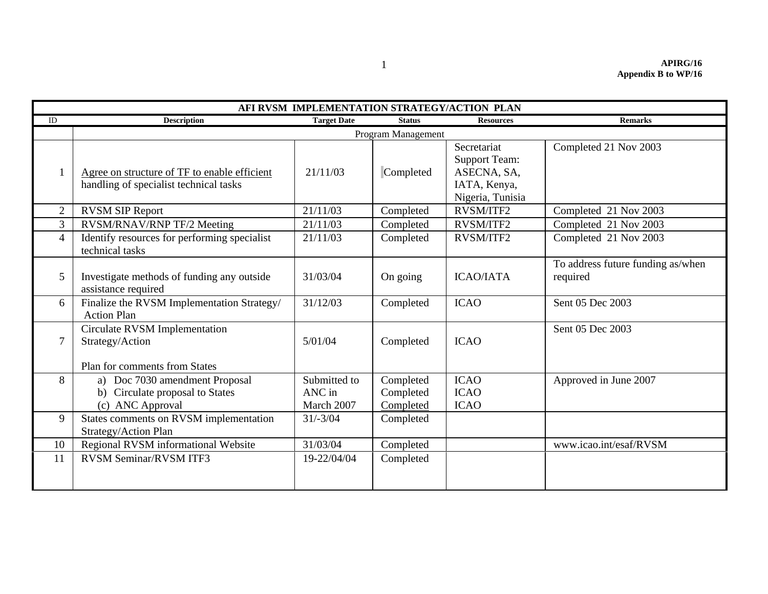| AFI RVSM IMPLEMENTATION STRATEGY/ACTION PLAN |                                                                                          |                                      |                                     |                                                                                        |                                               |  |  |
|----------------------------------------------|------------------------------------------------------------------------------------------|--------------------------------------|-------------------------------------|----------------------------------------------------------------------------------------|-----------------------------------------------|--|--|
| ID                                           | <b>Description</b>                                                                       | <b>Target Date</b>                   | <b>Status</b>                       | <b>Resources</b>                                                                       | <b>Remarks</b>                                |  |  |
|                                              | Program Management                                                                       |                                      |                                     |                                                                                        |                                               |  |  |
|                                              | Agree on structure of TF to enable efficient<br>handling of specialist technical tasks   | 21/11/03                             | Completed                           | Secretariat<br><b>Support Team:</b><br>ASECNA, SA,<br>IATA, Kenya,<br>Nigeria, Tunisia | Completed 21 Nov 2003                         |  |  |
| $\overline{2}$                               | <b>RVSM SIP Report</b>                                                                   | 21/11/03                             | Completed                           | RVSM/ITF2                                                                              | Completed 21 Nov 2003                         |  |  |
| $\overline{3}$                               | RVSM/RNAV/RNP TF/2 Meeting                                                               | 21/11/03                             | Completed                           | RVSM/ITF2                                                                              | Completed 21 Nov 2003                         |  |  |
| $\overline{4}$                               | Identify resources for performing specialist<br>technical tasks                          | 21/11/03                             | Completed                           | RVSM/ITF2                                                                              | Completed 21 Nov 2003                         |  |  |
| 5                                            | Investigate methods of funding any outside<br>assistance required                        | 31/03/04                             | On going                            | <b>ICAO/IATA</b>                                                                       | To address future funding as/when<br>required |  |  |
| 6                                            | Finalize the RVSM Implementation Strategy/<br><b>Action Plan</b>                         | 31/12/03                             | Completed                           | <b>ICAO</b>                                                                            | Sent 05 Dec 2003                              |  |  |
| 7                                            | Circulate RVSM Implementation<br>Strategy/Action<br><b>Plan for comments from States</b> | 5/01/04                              | Completed                           | <b>ICAO</b>                                                                            | Sent 05 Dec 2003                              |  |  |
| 8                                            | a) Doc 7030 amendment Proposal<br>b) Circulate proposal to States<br>(c) ANC Approval    | Submitted to<br>ANC in<br>March 2007 | Completed<br>Completed<br>Completed | <b>ICAO</b><br><b>ICAO</b><br><b>ICAO</b>                                              | Approved in June 2007                         |  |  |
| 9                                            | States comments on RVSM implementation<br>Strategy/Action Plan                           | $31/-3/04$                           | Completed                           |                                                                                        |                                               |  |  |
| 10                                           | Regional RVSM informational Website                                                      | 31/03/04                             | Completed                           |                                                                                        | www.icao.int/esaf/RVSM                        |  |  |
| 11                                           | RVSM Seminar/RVSM ITF3                                                                   | 19-22/04/04                          | Completed                           |                                                                                        |                                               |  |  |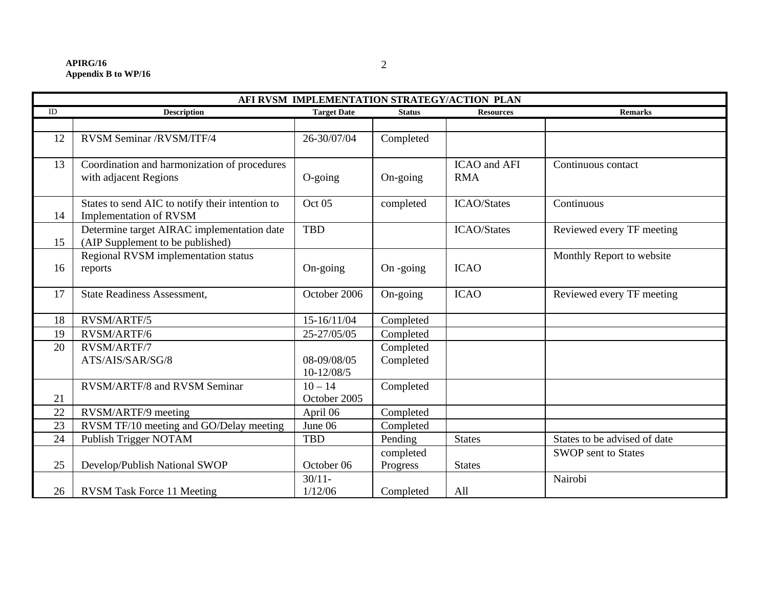|    | AFI RVSM IMPLEMENTATION STRATEGY/ACTION PLAN                                     |                           |                        |                            |                              |  |  |
|----|----------------------------------------------------------------------------------|---------------------------|------------------------|----------------------------|------------------------------|--|--|
| ID | <b>Description</b>                                                               | <b>Target Date</b>        | <b>Status</b>          | <b>Resources</b>           | <b>Remarks</b>               |  |  |
|    |                                                                                  |                           |                        |                            |                              |  |  |
| 12 | RVSM Seminar /RVSM/ITF/4                                                         | 26-30/07/04               | Completed              |                            |                              |  |  |
| 13 | Coordination and harmonization of procedures<br>with adjacent Regions            | O-going                   | On-going               | ICAO and AFI<br><b>RMA</b> | Continuous contact           |  |  |
| 14 | States to send AIC to notify their intention to<br><b>Implementation of RVSM</b> | Oct <sub>05</sub>         | completed              | <b>ICAO/States</b>         | Continuous                   |  |  |
| 15 | Determine target AIRAC implementation date<br>(AIP Supplement to be published)   | <b>TBD</b>                |                        | <b>ICAO/States</b>         | Reviewed every TF meeting    |  |  |
| 16 | Regional RVSM implementation status<br>reports                                   | On-going                  | $On - going$           | <b>ICAO</b>                | Monthly Report to website    |  |  |
| 17 | <b>State Readiness Assessment,</b>                                               | October 2006              | On-going               | <b>ICAO</b>                | Reviewed every TF meeting    |  |  |
| 18 | RVSM/ARTF/5                                                                      | 15-16/11/04               | Completed              |                            |                              |  |  |
| 19 | RVSM/ARTF/6                                                                      | 25-27/05/05               | Completed              |                            |                              |  |  |
| 20 | RVSM/ARTF/7<br>ATS/AIS/SAR/SG/8                                                  | 08-09/08/05<br>10-12/08/5 | Completed<br>Completed |                            |                              |  |  |
| 21 | RVSM/ARTF/8 and RVSM Seminar                                                     | $10 - 14$<br>October 2005 | Completed              |                            |                              |  |  |
| 22 | RVSM/ARTF/9 meeting                                                              | April 06                  | Completed              |                            |                              |  |  |
| 23 | RVSM TF/10 meeting and GO/Delay meeting                                          | June 06                   | Completed              |                            |                              |  |  |
| 24 | Publish Trigger NOTAM                                                            | <b>TBD</b>                | Pending                | <b>States</b>              | States to be advised of date |  |  |
| 25 | Develop/Publish National SWOP                                                    | October 06                | completed<br>Progress  | <b>States</b>              | <b>SWOP</b> sent to States   |  |  |
| 26 | <b>RVSM Task Force 11 Meeting</b>                                                | $30/11 -$<br>1/12/06      | Completed              | All                        | Nairobi                      |  |  |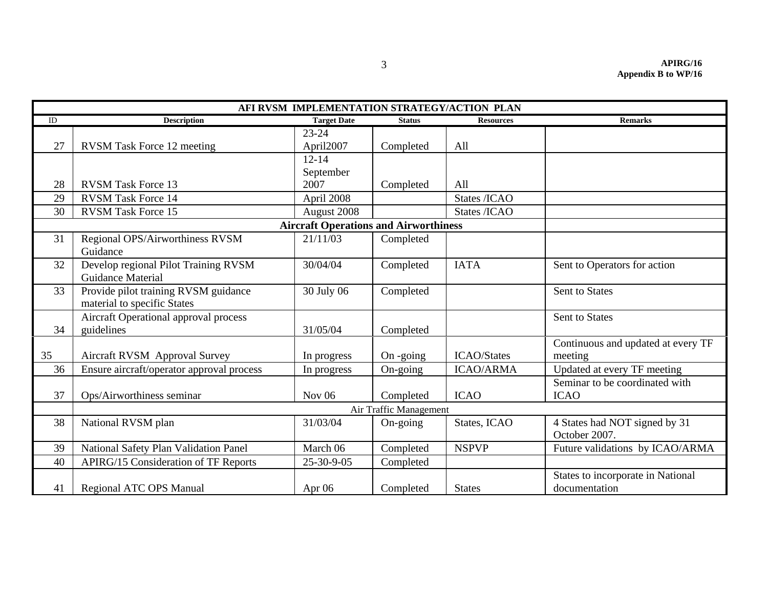| AFI RVSM IMPLEMENTATION STRATEGY/ACTION PLAN |                                                                     |                                              |                        |                    |                                                    |  |
|----------------------------------------------|---------------------------------------------------------------------|----------------------------------------------|------------------------|--------------------|----------------------------------------------------|--|
| ID                                           | <b>Description</b>                                                  | <b>Target Date</b>                           | <b>Status</b>          | <b>Resources</b>   | <b>Remarks</b>                                     |  |
| 27                                           | RVSM Task Force 12 meeting                                          | $23 - 24$<br>April2007                       | Completed              | All                |                                                    |  |
| 28                                           | <b>RVSM Task Force 13</b>                                           | $12 - 14$<br>September<br>2007               | Completed              | All                |                                                    |  |
| 29                                           | <b>RVSM Task Force 14</b>                                           | April 2008                                   |                        | States /ICAO       |                                                    |  |
| 30                                           | <b>RVSM Task Force 15</b>                                           | August 2008                                  |                        | States /ICAO       |                                                    |  |
|                                              |                                                                     | <b>Aircraft Operations and Airworthiness</b> |                        |                    |                                                    |  |
| 31                                           | Regional OPS/Airworthiness RVSM<br>Guidance                         | 21/11/03                                     | Completed              |                    |                                                    |  |
| 32                                           | Develop regional Pilot Training RVSM<br><b>Guidance Material</b>    | 30/04/04                                     | Completed              | <b>IATA</b>        | Sent to Operators for action                       |  |
| 33                                           | Provide pilot training RVSM guidance<br>material to specific States | 30 July 06                                   | Completed              |                    | Sent to States                                     |  |
| 34                                           | Aircraft Operational approval process<br>guidelines                 | 31/05/04                                     | Completed              |                    | <b>Sent to States</b>                              |  |
| 35                                           | Aircraft RVSM Approval Survey                                       | In progress                                  | On -going              | <b>ICAO/States</b> | Continuous and updated at every TF<br>meeting      |  |
| 36                                           | Ensure aircraft/operator approval process                           | In progress                                  | On-going               | <b>ICAO/ARMA</b>   | Updated at every TF meeting                        |  |
| 37                                           | Ops/Airworthiness seminar                                           | <b>Nov 06</b>                                | Completed              | <b>ICAO</b>        | Seminar to be coordinated with<br><b>ICAO</b>      |  |
|                                              |                                                                     |                                              | Air Traffic Management |                    |                                                    |  |
| 38                                           | National RVSM plan                                                  | 31/03/04                                     | On-going               | States, ICAO       | 4 States had NOT signed by 31<br>October 2007.     |  |
| 39                                           | National Safety Plan Validation Panel                               | March 06                                     | Completed              | <b>NSPVP</b>       | Future validations by ICAO/ARMA                    |  |
| 40                                           | <b>APIRG/15 Consideration of TF Reports</b>                         | 25-30-9-05                                   | Completed              |                    |                                                    |  |
| 41                                           | Regional ATC OPS Manual                                             | Apr $06$                                     | Completed              | <b>States</b>      | States to incorporate in National<br>documentation |  |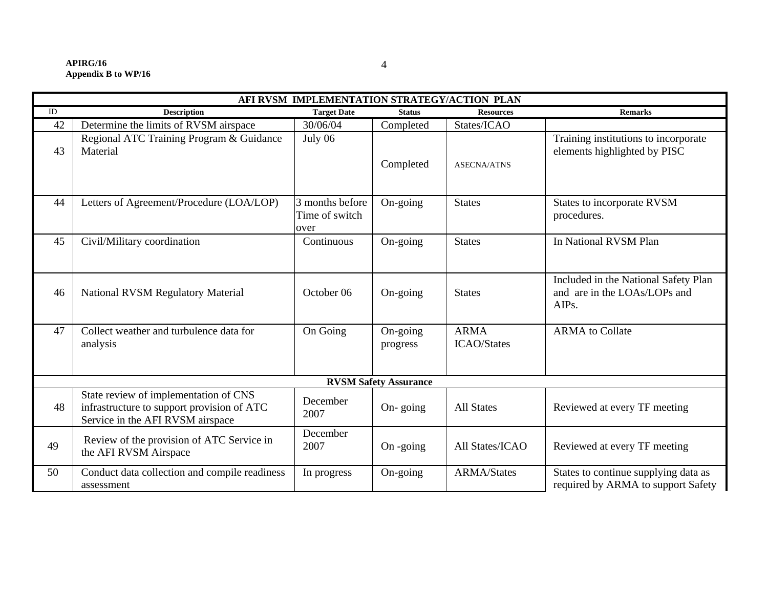|    | AFI RVSM IMPLEMENTATION STRATEGY/ACTION PLAN                                                                            |                                           |                              |                                   |                                                                               |  |  |
|----|-------------------------------------------------------------------------------------------------------------------------|-------------------------------------------|------------------------------|-----------------------------------|-------------------------------------------------------------------------------|--|--|
| ID | <b>Description</b>                                                                                                      | <b>Target Date</b>                        | <b>Status</b>                | <b>Resources</b>                  | <b>Remarks</b>                                                                |  |  |
| 42 | Determine the limits of RVSM airspace                                                                                   | 30/06/04                                  | Completed                    | States/ICAO                       |                                                                               |  |  |
| 43 | Regional ATC Training Program & Guidance<br>Material                                                                    | July 06                                   | Completed                    | <b>ASECNA/ATNS</b>                | Training institutions to incorporate<br>elements highlighted by PISC          |  |  |
| 44 | Letters of Agreement/Procedure (LOA/LOP)                                                                                | 3 months before<br>Time of switch<br>over | On-going                     | <b>States</b>                     | States to incorporate RVSM<br>procedures.                                     |  |  |
| 45 | Civil/Military coordination                                                                                             | Continuous                                | On-going                     | <b>States</b>                     | In National RVSM Plan                                                         |  |  |
| 46 | <b>National RVSM Regulatory Material</b>                                                                                | October 06                                | On-going                     | <b>States</b>                     | Included in the National Safety Plan<br>and are in the LOAs/LOPs and<br>AIPs. |  |  |
| 47 | Collect weather and turbulence data for<br>analysis                                                                     | On Going                                  | On-going<br>progress         | <b>ARMA</b><br><b>ICAO/States</b> | <b>ARMA</b> to Collate                                                        |  |  |
|    |                                                                                                                         |                                           | <b>RVSM Safety Assurance</b> |                                   |                                                                               |  |  |
| 48 | State review of implementation of CNS<br>infrastructure to support provision of ATC<br>Service in the AFI RVSM airspace | December<br>2007                          | On-going                     | <b>All States</b>                 | Reviewed at every TF meeting                                                  |  |  |
| 49 | Review of the provision of ATC Service in<br>the AFI RVSM Airspace                                                      | December<br>2007                          | $On$ -going                  | All States/ICAO                   | Reviewed at every TF meeting                                                  |  |  |
| 50 | Conduct data collection and compile readiness<br>assessment                                                             | In progress                               | On-going                     | <b>ARMA/States</b>                | States to continue supplying data as<br>required by ARMA to support Safety    |  |  |

4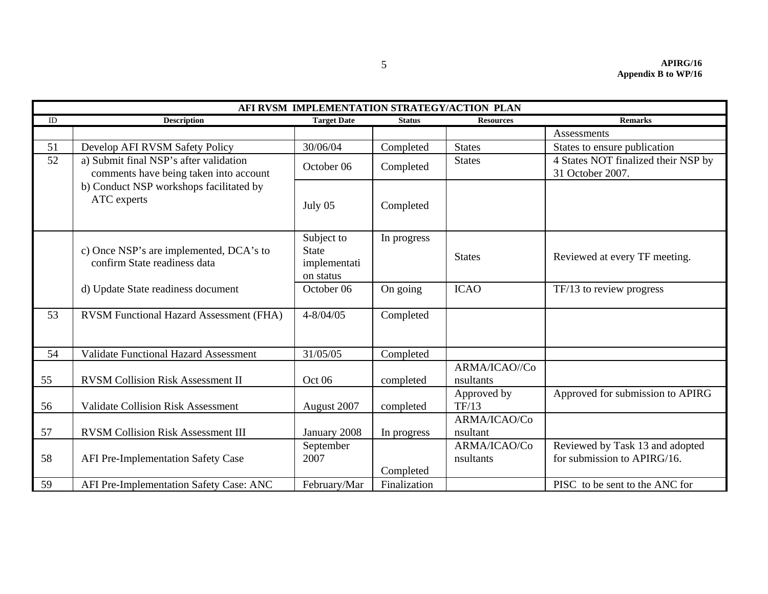| AFI RVSM IMPLEMENTATION STRATEGY/ACTION PLAN |                                                                                  |                                                         |               |                            |                                                                |  |
|----------------------------------------------|----------------------------------------------------------------------------------|---------------------------------------------------------|---------------|----------------------------|----------------------------------------------------------------|--|
| ID                                           | <b>Description</b>                                                               | <b>Target Date</b>                                      | <b>Status</b> | <b>Resources</b>           | <b>Remarks</b>                                                 |  |
|                                              |                                                                                  |                                                         |               |                            | Assessments                                                    |  |
| 51                                           | Develop AFI RVSM Safety Policy                                                   | 30/06/04                                                | Completed     | <b>States</b>              | States to ensure publication                                   |  |
| 52                                           | a) Submit final NSP's after validation<br>comments have being taken into account | October 06                                              | Completed     | <b>States</b>              | 4 States NOT finalized their NSP by<br>31 October 2007.        |  |
|                                              | b) Conduct NSP workshops facilitated by<br>ATC experts                           | July 05                                                 | Completed     |                            |                                                                |  |
|                                              | c) Once NSP's are implemented, DCA's to<br>confirm State readiness data          | Subject to<br><b>State</b><br>implementati<br>on status | In progress   | <b>States</b>              | Reviewed at every TF meeting.                                  |  |
|                                              | d) Update State readiness document                                               | October 06                                              | On going      | <b>ICAO</b>                | TF/13 to review progress                                       |  |
| 53                                           | RVSM Functional Hazard Assessment (FHA)                                          | $4 - 8/04/05$                                           | Completed     |                            |                                                                |  |
| 54                                           | <b>Validate Functional Hazard Assessment</b>                                     | 31/05/05                                                | Completed     |                            |                                                                |  |
| 55                                           | <b>RVSM Collision Risk Assessment II</b>                                         | Oct 06                                                  | completed     | ARMA/ICAO//Co<br>nsultants |                                                                |  |
| 56                                           | Validate Collision Risk Assessment                                               | August 2007                                             | completed     | Approved by<br>TF/13       | Approved for submission to APIRG                               |  |
| 57                                           | <b>RVSM Collision Risk Assessment III</b>                                        | January 2008                                            | In progress   | ARMA/ICAO/Co<br>nsultant   |                                                                |  |
| 58                                           | <b>AFI Pre-Implementation Safety Case</b>                                        | September<br>2007                                       | Completed     | ARMA/ICAO/Co<br>nsultants  | Reviewed by Task 13 and adopted<br>for submission to APIRG/16. |  |
| 59                                           | AFI Pre-Implementation Safety Case: ANC                                          | February/Mar                                            | Finalization  |                            | PISC to be sent to the ANC for                                 |  |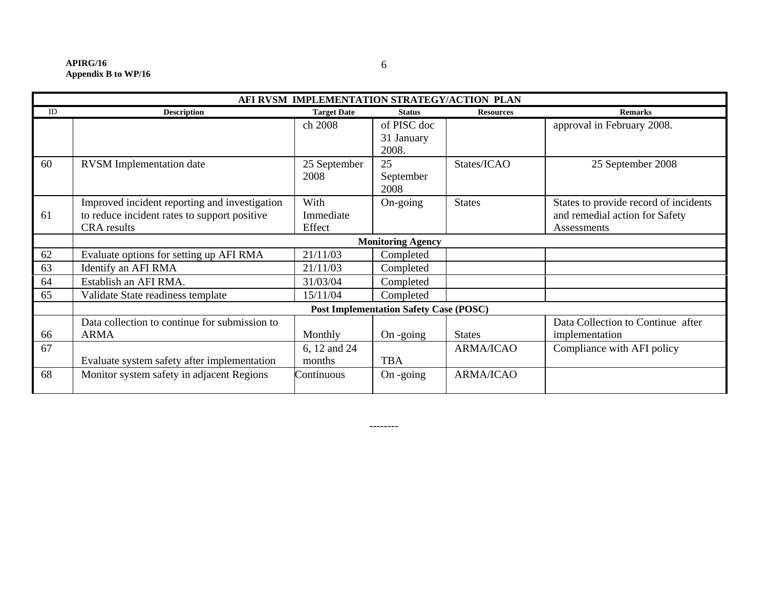|    |                                               | AFI RVSM IMPLEMENTATION STRATEGY/ACTION PLAN |                                               |                  |                                       |
|----|-----------------------------------------------|----------------------------------------------|-----------------------------------------------|------------------|---------------------------------------|
| ID | <b>Description</b>                            | <b>Target Date</b>                           | <b>Status</b>                                 | <b>Resources</b> | <b>Remarks</b>                        |
|    |                                               | ch 2008                                      | of PISC doc                                   |                  | approval in February 2008.            |
|    |                                               |                                              | 31 January                                    |                  |                                       |
|    |                                               |                                              | 2008.                                         |                  |                                       |
| 60 | <b>RVSM</b> Implementation date               | 25 September                                 | 25                                            | States/ICAO      | 25 September 2008                     |
|    |                                               | 2008                                         | September                                     |                  |                                       |
|    |                                               |                                              | 2008                                          |                  |                                       |
|    | Improved incident reporting and investigation | With                                         | On-going                                      | <b>States</b>    | States to provide record of incidents |
| 61 | to reduce incident rates to support positive  | Immediate                                    |                                               |                  | and remedial action for Safety        |
|    | <b>CRA</b> results                            | Effect                                       |                                               |                  | Assessments                           |
|    |                                               |                                              | <b>Monitoring Agency</b>                      |                  |                                       |
| 62 | Evaluate options for setting up AFI RMA       | 21/11/03                                     | Completed                                     |                  |                                       |
| 63 | Identify an AFI RMA                           | 21/11/03                                     | Completed                                     |                  |                                       |
| 64 | Establish an AFI RMA.                         | 31/03/04                                     | Completed                                     |                  |                                       |
| 65 | Validate State readiness template             | 15/11/04                                     | Completed                                     |                  |                                       |
|    |                                               |                                              | <b>Post Implementation Safety Case (POSC)</b> |                  |                                       |
|    | Data collection to continue for submission to |                                              |                                               |                  | Data Collection to Continue after     |
| 66 | <b>ARMA</b>                                   | Monthly                                      | $On - going$                                  | <b>States</b>    | implementation                        |
| 67 |                                               | 6, 12 and 24                                 |                                               | <b>ARMA/ICAO</b> | Compliance with AFI policy            |
|    | Evaluate system safety after implementation   | months                                       | <b>TBA</b>                                    |                  |                                       |
| 68 | Monitor system safety in adjacent Regions     | Continuous                                   | $On - going$                                  | <b>ARMA/ICAO</b> |                                       |
|    |                                               |                                              |                                               |                  |                                       |

--------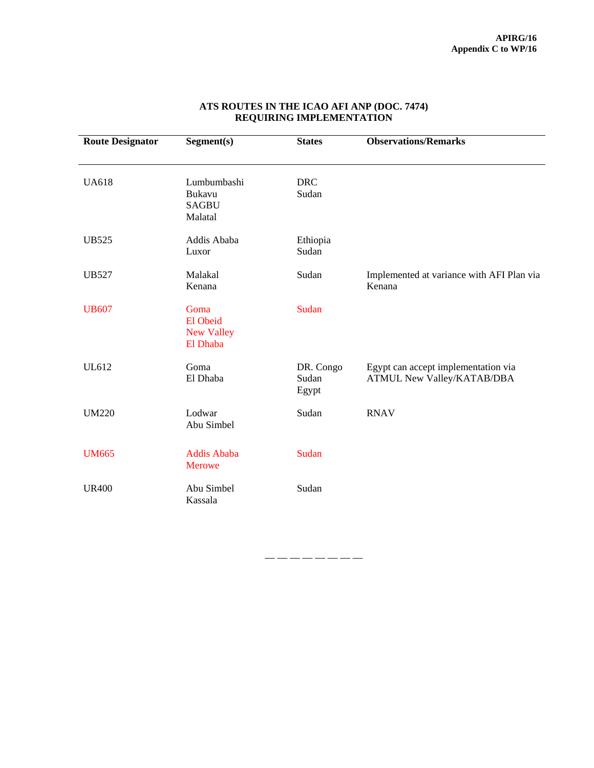| <b>Route Designator</b> | Segment(s)                                              | <b>States</b>               | <b>Observations/Remarks</b>                                       |
|-------------------------|---------------------------------------------------------|-----------------------------|-------------------------------------------------------------------|
| <b>UA618</b>            | Lumbumbashi<br><b>Bukavu</b><br><b>SAGBU</b><br>Malatal | <b>DRC</b><br>Sudan         |                                                                   |
| <b>UB525</b>            | Addis Ababa<br>Luxor                                    | Ethiopia<br>Sudan           |                                                                   |
| <b>UB527</b>            | Malakal<br>Kenana                                       | Sudan                       | Implemented at variance with AFI Plan via<br>Kenana               |
| <b>UB607</b>            | Goma<br>El Obeid<br><b>New Valley</b><br>El Dhaba       | Sudan                       |                                                                   |
| <b>UL612</b>            | Goma<br>El Dhaba                                        | DR. Congo<br>Sudan<br>Egypt | Egypt can accept implementation via<br>ATMUL New Valley/KATAB/DBA |
| <b>UM220</b>            | Lodwar<br>Abu Simbel                                    | Sudan                       | <b>RNAV</b>                                                       |
| <b>UM665</b>            | <b>Addis Ababa</b><br><b>Merowe</b>                     | Sudan                       |                                                                   |
| <b>UR400</b>            | Abu Simbel<br>Kassala                                   | Sudan                       |                                                                   |

# **ATS ROUTES IN THE ICAO AFI ANP (DOC. 7474) REQUIRING IMPLEMENTATION**

— — — — — — — —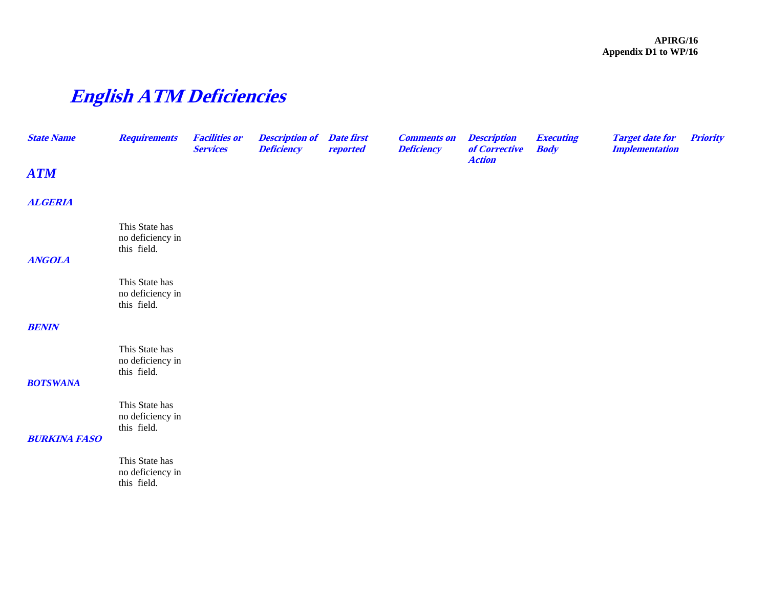# **English ATM Deficiencies**

| <b>State Name</b>   | <b>Requirements</b>                               | <b>Facilities or</b><br><b>Services</b> | <b>Description of</b><br><b>Deficiency</b> | <b>Date first</b><br>reported | <b>Comments on</b><br><b>Deficiency</b> | <b>Description</b><br>of Corrective<br><b>Action</b> | <b>Executing</b><br><b>Body</b> | <b>Target date for</b><br><b>Implementation</b> | <b>Priority</b> |
|---------------------|---------------------------------------------------|-----------------------------------------|--------------------------------------------|-------------------------------|-----------------------------------------|------------------------------------------------------|---------------------------------|-------------------------------------------------|-----------------|
| <b>ATM</b>          |                                                   |                                         |                                            |                               |                                         |                                                      |                                 |                                                 |                 |
| <b>ALGERIA</b>      |                                                   |                                         |                                            |                               |                                         |                                                      |                                 |                                                 |                 |
| <b>ANGOLA</b>       | This State has<br>no deficiency in<br>this field. |                                         |                                            |                               |                                         |                                                      |                                 |                                                 |                 |
|                     | This State has<br>no deficiency in<br>this field. |                                         |                                            |                               |                                         |                                                      |                                 |                                                 |                 |
| <b>BENIN</b>        |                                                   |                                         |                                            |                               |                                         |                                                      |                                 |                                                 |                 |
| <b>BOTSWANA</b>     | This State has<br>no deficiency in<br>this field. |                                         |                                            |                               |                                         |                                                      |                                 |                                                 |                 |
|                     | This State has                                    |                                         |                                            |                               |                                         |                                                      |                                 |                                                 |                 |
|                     | no deficiency in<br>this field.                   |                                         |                                            |                               |                                         |                                                      |                                 |                                                 |                 |
| <b>BURKINA FASO</b> |                                                   |                                         |                                            |                               |                                         |                                                      |                                 |                                                 |                 |
|                     | This State has<br>no deficiency in<br>this field. |                                         |                                            |                               |                                         |                                                      |                                 |                                                 |                 |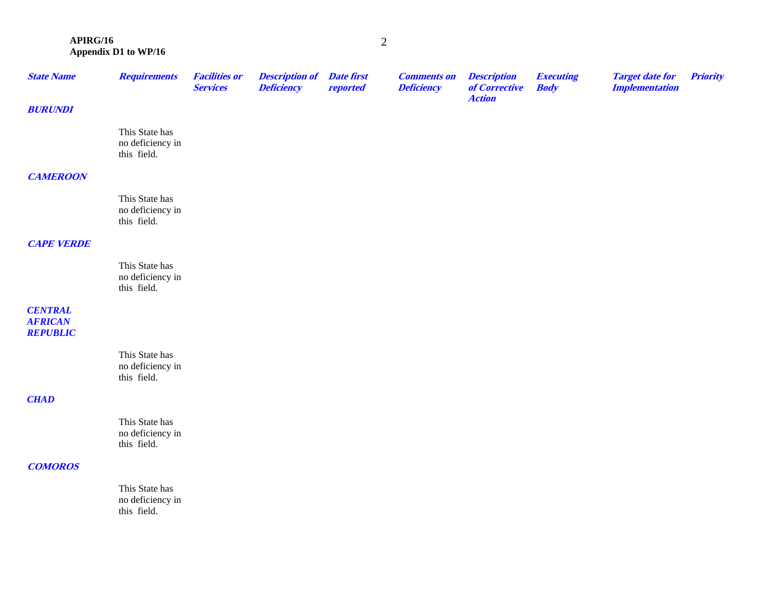| <b>State Name</b>                                   | <b>Requirements</b>                               | <b>Facilities or</b><br><b>Services</b> | <b>Description of</b><br><b>Deficiency</b> | <b>Date first</b><br>reported | <b>Comments on</b><br><b>Deficiency</b> | <b>Description</b><br>of Corrective<br><b>Action</b> | <b>Executing</b><br><b>Body</b> | <b>Target date for</b><br><b>Implementation</b> | <b>Priority</b> |
|-----------------------------------------------------|---------------------------------------------------|-----------------------------------------|--------------------------------------------|-------------------------------|-----------------------------------------|------------------------------------------------------|---------------------------------|-------------------------------------------------|-----------------|
| <b>BURUNDI</b>                                      |                                                   |                                         |                                            |                               |                                         |                                                      |                                 |                                                 |                 |
|                                                     | This State has<br>no deficiency in<br>this field. |                                         |                                            |                               |                                         |                                                      |                                 |                                                 |                 |
| <b>CAMEROON</b>                                     |                                                   |                                         |                                            |                               |                                         |                                                      |                                 |                                                 |                 |
|                                                     | This State has<br>no deficiency in<br>this field. |                                         |                                            |                               |                                         |                                                      |                                 |                                                 |                 |
| <b>CAPE VERDE</b>                                   |                                                   |                                         |                                            |                               |                                         |                                                      |                                 |                                                 |                 |
|                                                     | This State has<br>no deficiency in<br>this field. |                                         |                                            |                               |                                         |                                                      |                                 |                                                 |                 |
| <b>CENTRAL</b><br><b>AFRICAN</b><br><b>REPUBLIC</b> |                                                   |                                         |                                            |                               |                                         |                                                      |                                 |                                                 |                 |
|                                                     | This State has<br>no deficiency in<br>this field. |                                         |                                            |                               |                                         |                                                      |                                 |                                                 |                 |
| <b>CHAD</b>                                         |                                                   |                                         |                                            |                               |                                         |                                                      |                                 |                                                 |                 |
|                                                     | This State has<br>no deficiency in<br>this field. |                                         |                                            |                               |                                         |                                                      |                                 |                                                 |                 |
| <b>COMOROS</b>                                      |                                                   |                                         |                                            |                               |                                         |                                                      |                                 |                                                 |                 |
|                                                     | This State has<br>no deficiency in<br>this field. |                                         |                                            |                               |                                         |                                                      |                                 |                                                 |                 |

2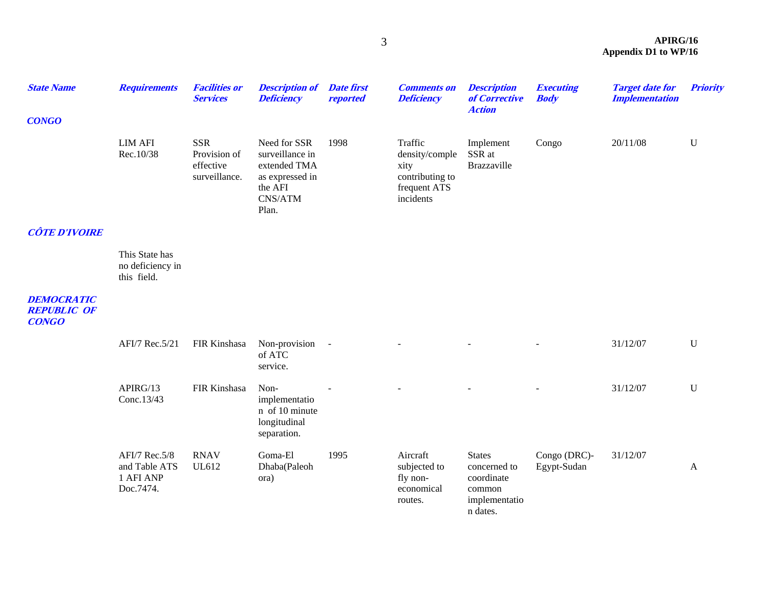| APIRG/16             |  |
|----------------------|--|
| Appendix D1 to WP/16 |  |

| <b>State Name</b>                                       | <b>Requirements</b>                                      | <b>Facilities or</b><br><b>Services</b>                  | <b>Description of</b><br><b>Deficiency</b>                                                        | <b>Date first</b><br>reported | <b>Comments on</b><br><b>Deficiency</b>                                           | <b>Description</b><br>of Corrective<br><b>Action</b>                               | <b>Executing</b><br><b>Body</b> | <b>Target date for</b><br><b>Implementation</b> | <b>Priority</b> |
|---------------------------------------------------------|----------------------------------------------------------|----------------------------------------------------------|---------------------------------------------------------------------------------------------------|-------------------------------|-----------------------------------------------------------------------------------|------------------------------------------------------------------------------------|---------------------------------|-------------------------------------------------|-----------------|
| <b>CONGO</b>                                            |                                                          |                                                          |                                                                                                   |                               |                                                                                   |                                                                                    |                                 |                                                 |                 |
|                                                         | <b>LIM AFI</b><br>Rec.10/38                              | <b>SSR</b><br>Provision of<br>effective<br>surveillance. | Need for SSR<br>surveillance in<br>extended TMA<br>as expressed in<br>the AFI<br>CNS/ATM<br>Plan. | 1998                          | Traffic<br>density/comple<br>xity<br>contributing to<br>frequent ATS<br>incidents | Implement<br>SSR at<br><b>Brazzaville</b>                                          | Congo                           | 20/11/08                                        | $\mathbf U$     |
| <b>CÔTE D'IVOIRE</b>                                    |                                                          |                                                          |                                                                                                   |                               |                                                                                   |                                                                                    |                                 |                                                 |                 |
|                                                         | This State has<br>no deficiency in<br>this field.        |                                                          |                                                                                                   |                               |                                                                                   |                                                                                    |                                 |                                                 |                 |
| <b>DEMOCRATIC</b><br><b>REPUBLIC OF</b><br><b>CONGO</b> |                                                          |                                                          |                                                                                                   |                               |                                                                                   |                                                                                    |                                 |                                                 |                 |
|                                                         | AFI/7 Rec.5/21                                           | FIR Kinshasa                                             | Non-provision<br>of ATC<br>service.                                                               |                               |                                                                                   |                                                                                    |                                 | 31/12/07                                        | $\mathbf U$     |
|                                                         | APIRG/13<br>Conc.13/43                                   | FIR Kinshasa                                             | Non-<br>implementatio<br>n of 10 minute<br>longitudinal<br>separation.                            |                               |                                                                                   |                                                                                    |                                 | 31/12/07                                        | $\mathbf U$     |
|                                                         | AFI/7 Rec.5/8<br>and Table ATS<br>1 AFI ANP<br>Doc.7474. | <b>RNAV</b><br><b>UL612</b>                              | Goma-El<br>Dhaba(Paleoh<br>ora)                                                                   | 1995                          | Aircraft<br>subjected to<br>fly non-<br>economical<br>routes.                     | <b>States</b><br>concerned to<br>coordinate<br>common<br>implementatio<br>n dates. | Congo (DRC)-<br>Egypt-Sudan     | 31/12/07                                        | A               |

3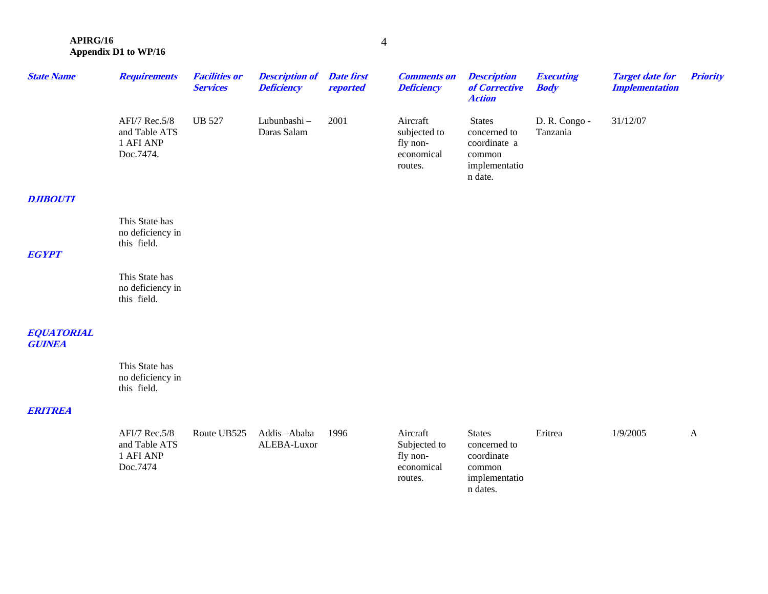| <b>State Name</b>                  | <b>Requirements</b>                                      | <b>Facilities or</b><br><b>Services</b> | <b>Description of</b><br><b>Deficiency</b> | <b>Date first</b><br>reported | <b>Comments on</b><br><b>Deficiency</b>                       | <b>Description</b><br>of Corrective<br><b>Action</b>                                | <b>Executing</b><br><b>Body</b> | <b>Target date for</b><br><b>Implementation</b> | <b>Priority</b> |
|------------------------------------|----------------------------------------------------------|-----------------------------------------|--------------------------------------------|-------------------------------|---------------------------------------------------------------|-------------------------------------------------------------------------------------|---------------------------------|-------------------------------------------------|-----------------|
|                                    | AFI/7 Rec.5/8<br>and Table ATS<br>1 AFI ANP<br>Doc.7474. | <b>UB 527</b>                           | Lubunbashi-<br>Daras Salam                 | 2001                          | Aircraft<br>subjected to<br>fly non-<br>economical<br>routes. | <b>States</b><br>concerned to<br>coordinate a<br>common<br>implementatio<br>n date. | D. R. Congo -<br>Tanzania       | 31/12/07                                        |                 |
| <b>DJIBOUTI</b>                    |                                                          |                                         |                                            |                               |                                                               |                                                                                     |                                 |                                                 |                 |
| <b>EGYPT</b>                       | This State has<br>no deficiency in<br>this field.        |                                         |                                            |                               |                                                               |                                                                                     |                                 |                                                 |                 |
|                                    | This State has<br>no deficiency in<br>this field.        |                                         |                                            |                               |                                                               |                                                                                     |                                 |                                                 |                 |
| <b>EQUATORIAL</b><br><b>GUINEA</b> |                                                          |                                         |                                            |                               |                                                               |                                                                                     |                                 |                                                 |                 |
|                                    | This State has<br>no deficiency in<br>this field.        |                                         |                                            |                               |                                                               |                                                                                     |                                 |                                                 |                 |
| <b>ERITREA</b>                     |                                                          |                                         |                                            |                               |                                                               |                                                                                     |                                 |                                                 |                 |
|                                    | AFI/7 Rec.5/8<br>and Table ATS<br>1 AFI ANP<br>Doc.7474  | Route UB525                             | Addis-Ababa<br>ALEBA-Luxor                 | 1996                          | Aircraft<br>Subjected to<br>fly non-<br>economical<br>routes. | <b>States</b><br>concerned to<br>coordinate<br>common<br>implementatio<br>n dates.  | Eritrea                         | 1/9/2005                                        | $\mathbf{A}$    |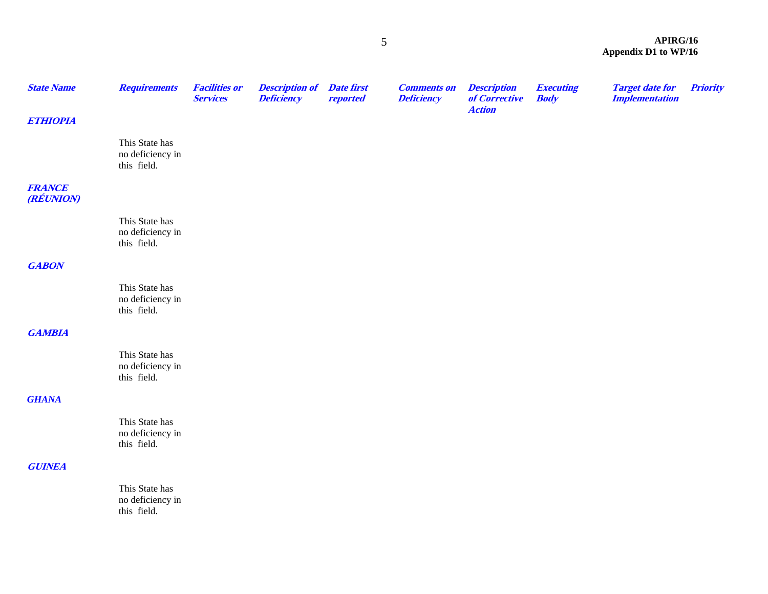|                            |                                                   |                                         |                                            |                               | 5                                       | APIRG/16<br>Appendix D1 to WP/16                     |                                 |                                                 |                 |
|----------------------------|---------------------------------------------------|-----------------------------------------|--------------------------------------------|-------------------------------|-----------------------------------------|------------------------------------------------------|---------------------------------|-------------------------------------------------|-----------------|
| <b>State Name</b>          | <b>Requirements</b>                               | <b>Facilities or</b><br><b>Services</b> | <b>Description of</b><br><b>Deficiency</b> | <b>Date first</b><br>reported | <b>Comments on</b><br><b>Deficiency</b> | <b>Description</b><br>of Corrective<br><b>Action</b> | <b>Executing</b><br><b>Body</b> | <b>Target date for</b><br><b>Implementation</b> | <b>Priority</b> |
| <b>ETHIOPIA</b>            |                                                   |                                         |                                            |                               |                                         |                                                      |                                 |                                                 |                 |
|                            | This State has<br>no deficiency in<br>this field. |                                         |                                            |                               |                                         |                                                      |                                 |                                                 |                 |
| <b>FRANCE</b><br>(RÉUNION) |                                                   |                                         |                                            |                               |                                         |                                                      |                                 |                                                 |                 |
|                            | This State has<br>no deficiency in<br>this field. |                                         |                                            |                               |                                         |                                                      |                                 |                                                 |                 |
| <b>GABON</b>               |                                                   |                                         |                                            |                               |                                         |                                                      |                                 |                                                 |                 |
|                            | This State has<br>no deficiency in<br>this field. |                                         |                                            |                               |                                         |                                                      |                                 |                                                 |                 |
| <b>GAMBIA</b>              |                                                   |                                         |                                            |                               |                                         |                                                      |                                 |                                                 |                 |
|                            | This State has<br>no deficiency in<br>this field. |                                         |                                            |                               |                                         |                                                      |                                 |                                                 |                 |
| <b>GHANA</b>               |                                                   |                                         |                                            |                               |                                         |                                                      |                                 |                                                 |                 |
|                            | This State has<br>no deficiency in<br>this field. |                                         |                                            |                               |                                         |                                                      |                                 |                                                 |                 |
| <b>GUINEA</b>              |                                                   |                                         |                                            |                               |                                         |                                                      |                                 |                                                 |                 |
|                            | This State has<br>no deficiency in<br>this field. |                                         |                                            |                               |                                         |                                                      |                                 |                                                 |                 |
|                            |                                                   |                                         |                                            |                               |                                         |                                                      |                                 |                                                 |                 |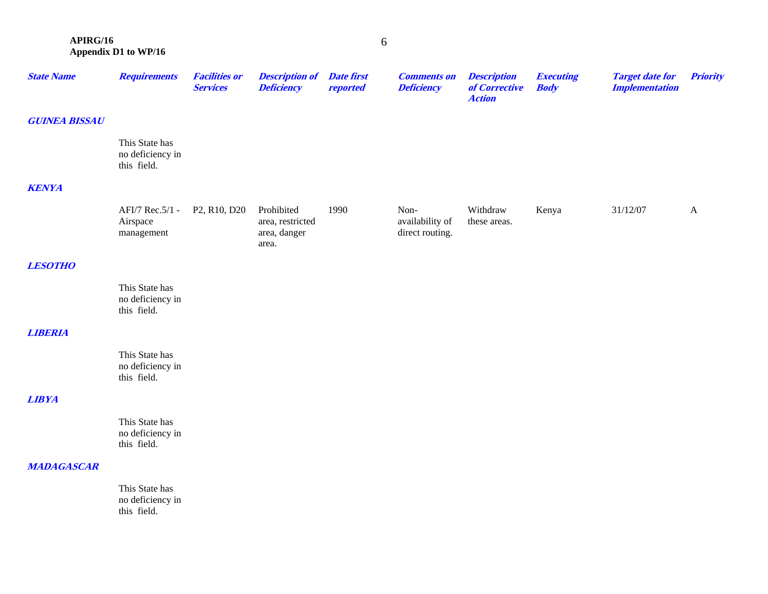| <b>State Name</b>    | <b>Requirements</b>                               | <b>Facilities or</b><br><b>Services</b>            | <b>Description of</b><br><b>Deficiency</b>              | <b>Date first</b><br>reported | <b>Comments on</b><br><b>Deficiency</b>    | <b>Description</b><br>of Corrective<br><b>Action</b> | <b>Executing</b><br><b>Body</b> | <b>Target date for</b><br><b>Implementation</b> | <b>Priority</b> |
|----------------------|---------------------------------------------------|----------------------------------------------------|---------------------------------------------------------|-------------------------------|--------------------------------------------|------------------------------------------------------|---------------------------------|-------------------------------------------------|-----------------|
| <b>GUINEA BISSAU</b> |                                                   |                                                    |                                                         |                               |                                            |                                                      |                                 |                                                 |                 |
|                      | This State has<br>no deficiency in<br>this field. |                                                    |                                                         |                               |                                            |                                                      |                                 |                                                 |                 |
| <b>KENYA</b>         |                                                   |                                                    |                                                         |                               |                                            |                                                      |                                 |                                                 |                 |
|                      | AFI/7 Rec.5/1 -<br>Airspace<br>management         | P <sub>2</sub> , R <sub>10</sub> , D <sub>20</sub> | Prohibited<br>area, restricted<br>area, danger<br>area. | 1990                          | Non-<br>availability of<br>direct routing. | Withdraw<br>these areas.                             | Kenya                           | 31/12/07                                        | $\mathbf{A}$    |
| <b>LESOTHO</b>       |                                                   |                                                    |                                                         |                               |                                            |                                                      |                                 |                                                 |                 |
|                      | This State has<br>no deficiency in<br>this field. |                                                    |                                                         |                               |                                            |                                                      |                                 |                                                 |                 |
| <b>LIBERIA</b>       |                                                   |                                                    |                                                         |                               |                                            |                                                      |                                 |                                                 |                 |
|                      | This State has<br>no deficiency in<br>this field. |                                                    |                                                         |                               |                                            |                                                      |                                 |                                                 |                 |
| <b>LIBYA</b>         |                                                   |                                                    |                                                         |                               |                                            |                                                      |                                 |                                                 |                 |
|                      | This State has<br>no deficiency in<br>this field. |                                                    |                                                         |                               |                                            |                                                      |                                 |                                                 |                 |
| <b>MADAGASCAR</b>    |                                                   |                                                    |                                                         |                               |                                            |                                                      |                                 |                                                 |                 |
|                      | This State has                                    |                                                    |                                                         |                               |                                            |                                                      |                                 |                                                 |                 |

 no deficiency in this field.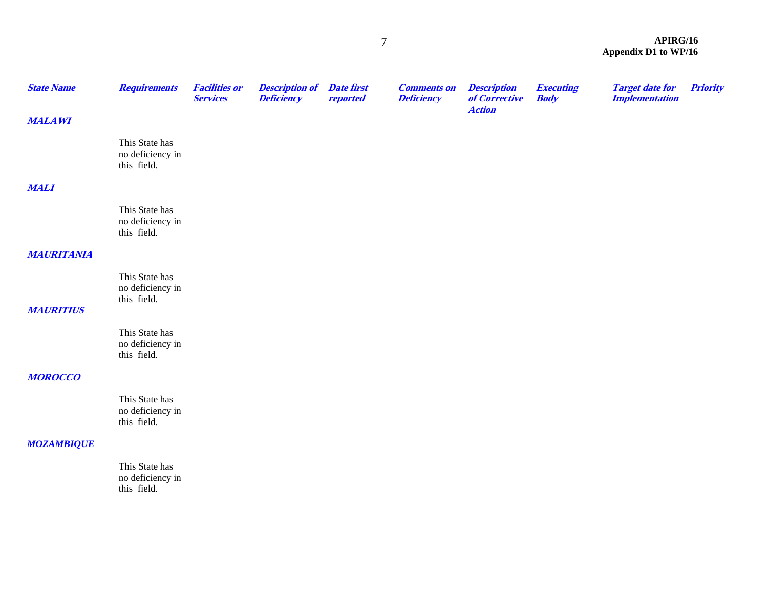|                   |                                                   |                                         |                                            |                               |                                         |                                                      |                                 | Appendix D1 to WP/16                            |                 |
|-------------------|---------------------------------------------------|-----------------------------------------|--------------------------------------------|-------------------------------|-----------------------------------------|------------------------------------------------------|---------------------------------|-------------------------------------------------|-----------------|
| <b>State Name</b> | <b>Requirements</b>                               | <b>Facilities or</b><br><b>Services</b> | <b>Description of</b><br><b>Deficiency</b> | <b>Date first</b><br>reported | <b>Comments on</b><br><b>Deficiency</b> | <b>Description</b><br>of Corrective<br><b>Action</b> | <b>Executing</b><br><b>Body</b> | <b>Target date for</b><br><b>Implementation</b> | <b>Priority</b> |
| <b>MALAWI</b>     |                                                   |                                         |                                            |                               |                                         |                                                      |                                 |                                                 |                 |
|                   | This State has<br>no deficiency in<br>this field. |                                         |                                            |                               |                                         |                                                      |                                 |                                                 |                 |
| <b>MALI</b>       |                                                   |                                         |                                            |                               |                                         |                                                      |                                 |                                                 |                 |
|                   | This State has<br>no deficiency in<br>this field. |                                         |                                            |                               |                                         |                                                      |                                 |                                                 |                 |
| <b>MAURITANIA</b> |                                                   |                                         |                                            |                               |                                         |                                                      |                                 |                                                 |                 |
|                   | This State has<br>no deficiency in<br>this field. |                                         |                                            |                               |                                         |                                                      |                                 |                                                 |                 |
| <b>MAURITIUS</b>  |                                                   |                                         |                                            |                               |                                         |                                                      |                                 |                                                 |                 |
|                   | This State has<br>no deficiency in<br>this field. |                                         |                                            |                               |                                         |                                                      |                                 |                                                 |                 |
| <b>MOROCCO</b>    |                                                   |                                         |                                            |                               |                                         |                                                      |                                 |                                                 |                 |
|                   | This State has<br>no deficiency in<br>this field. |                                         |                                            |                               |                                         |                                                      |                                 |                                                 |                 |
| <b>MOZAMBIQUE</b> |                                                   |                                         |                                            |                               |                                         |                                                      |                                 |                                                 |                 |
|                   | This State has<br>no deficiency in<br>this field. |                                         |                                            |                               |                                         |                                                      |                                 |                                                 |                 |
|                   |                                                   |                                         |                                            |                               |                                         |                                                      |                                 |                                                 |                 |

**APIRG/16**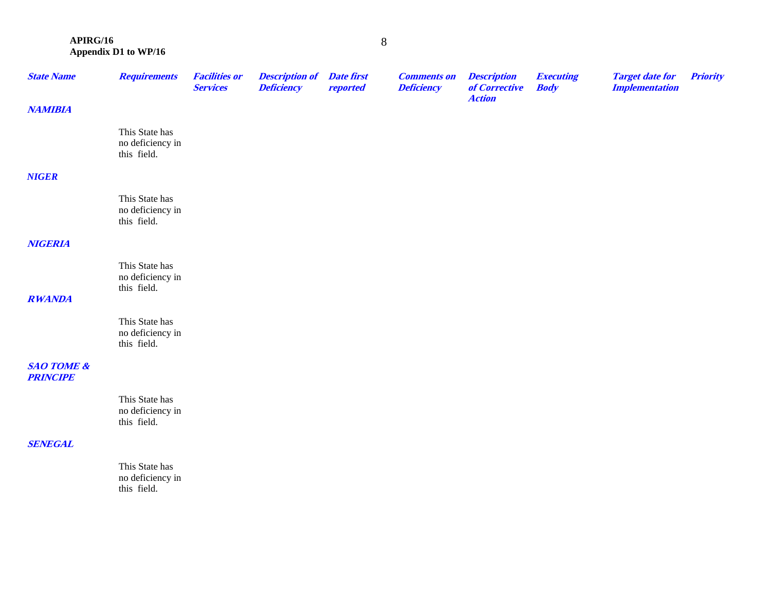| <b>State Name</b>                        | <b>Requirements</b>                               | <b>Facilities or</b><br><b>Services</b> | <b>Description of</b><br><b>Deficiency</b> | <b>Date first</b><br>reported | <b>Comments on</b><br><b>Deficiency</b> | <b>Description</b><br>of Corrective<br><b>Action</b> | <b>Executing</b><br><b>Body</b> | <b>Target date for</b><br><b>Implementation</b> | <b>Priority</b> |
|------------------------------------------|---------------------------------------------------|-----------------------------------------|--------------------------------------------|-------------------------------|-----------------------------------------|------------------------------------------------------|---------------------------------|-------------------------------------------------|-----------------|
| <b>NAMIBIA</b>                           |                                                   |                                         |                                            |                               |                                         |                                                      |                                 |                                                 |                 |
|                                          | This State has<br>no deficiency in<br>this field. |                                         |                                            |                               |                                         |                                                      |                                 |                                                 |                 |
| <b>NIGER</b>                             |                                                   |                                         |                                            |                               |                                         |                                                      |                                 |                                                 |                 |
|                                          | This State has<br>no deficiency in<br>this field. |                                         |                                            |                               |                                         |                                                      |                                 |                                                 |                 |
| <b>NIGERIA</b>                           |                                                   |                                         |                                            |                               |                                         |                                                      |                                 |                                                 |                 |
|                                          | This State has<br>no deficiency in<br>this field. |                                         |                                            |                               |                                         |                                                      |                                 |                                                 |                 |
| <b>RWANDA</b>                            |                                                   |                                         |                                            |                               |                                         |                                                      |                                 |                                                 |                 |
|                                          | This State has<br>no deficiency in<br>this field. |                                         |                                            |                               |                                         |                                                      |                                 |                                                 |                 |
| <b>SAO TOME &amp;</b><br><b>PRINCIPE</b> |                                                   |                                         |                                            |                               |                                         |                                                      |                                 |                                                 |                 |
|                                          | This State has<br>no deficiency in<br>this field. |                                         |                                            |                               |                                         |                                                      |                                 |                                                 |                 |
| <b>SENEGAL</b>                           |                                                   |                                         |                                            |                               |                                         |                                                      |                                 |                                                 |                 |
|                                          | This State has<br>no deficiency in<br>this field. |                                         |                                            |                               |                                         |                                                      |                                 |                                                 |                 |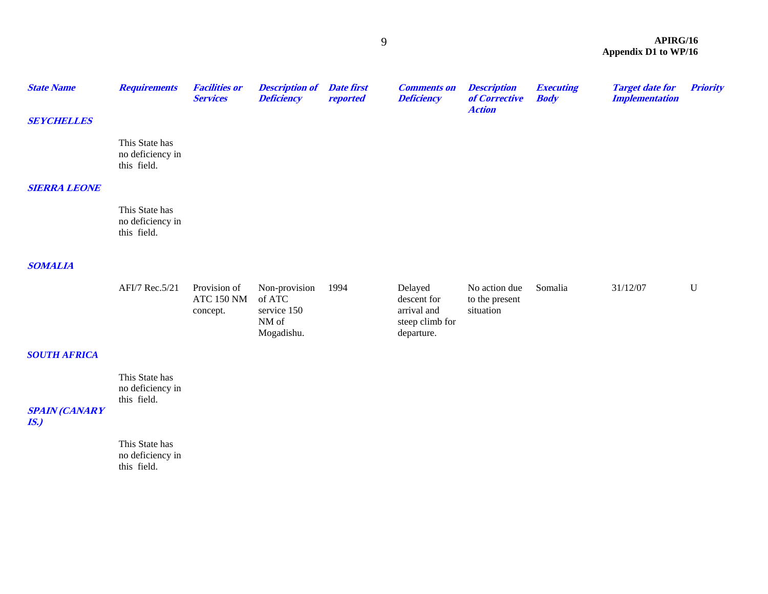| <b>State Name</b>           | <b>Requirements</b>                               | <b>Facilities or</b><br><b>Services</b>       | <b>Description of</b><br><b>Deficiency</b>                    | <b>Date first</b><br>reported | <b>Comments on</b><br><b>Deficiency</b>                                | <b>Description</b><br>of Corrective<br><b>Action</b> | <b>Executing</b><br><b>Body</b> | <b>Target date for</b><br><b>Implementation</b> | <b>Priority</b> |
|-----------------------------|---------------------------------------------------|-----------------------------------------------|---------------------------------------------------------------|-------------------------------|------------------------------------------------------------------------|------------------------------------------------------|---------------------------------|-------------------------------------------------|-----------------|
| <b>SEYCHELLES</b>           |                                                   |                                               |                                                               |                               |                                                                        |                                                      |                                 |                                                 |                 |
|                             | This State has<br>no deficiency in<br>this field. |                                               |                                                               |                               |                                                                        |                                                      |                                 |                                                 |                 |
| <b>SIERRA LEONE</b>         |                                                   |                                               |                                                               |                               |                                                                        |                                                      |                                 |                                                 |                 |
|                             | This State has<br>no deficiency in<br>this field. |                                               |                                                               |                               |                                                                        |                                                      |                                 |                                                 |                 |
| <b>SOMALIA</b>              |                                                   |                                               |                                                               |                               |                                                                        |                                                      |                                 |                                                 |                 |
|                             | AFI/7 Rec.5/21                                    | Provision of<br><b>ATC 150 NM</b><br>concept. | Non-provision<br>of ATC<br>service 150<br>NM of<br>Mogadishu. | 1994                          | Delayed<br>descent for<br>arrival and<br>steep climb for<br>departure. | No action due<br>to the present<br>situation         | Somalia                         | 31/12/07                                        | U               |
| <b>SOUTH AFRICA</b>         |                                                   |                                               |                                                               |                               |                                                                        |                                                      |                                 |                                                 |                 |
|                             | This State has<br>no deficiency in<br>this field. |                                               |                                                               |                               |                                                                        |                                                      |                                 |                                                 |                 |
| <b>SPAIN (CANARY</b><br>IS. |                                                   |                                               |                                                               |                               |                                                                        |                                                      |                                 |                                                 |                 |
|                             | This State has<br>no deficiency in<br>this field. |                                               |                                                               |                               |                                                                        |                                                      |                                 |                                                 |                 |

**APIRG/16** 

**Appendix D1 to WP/16**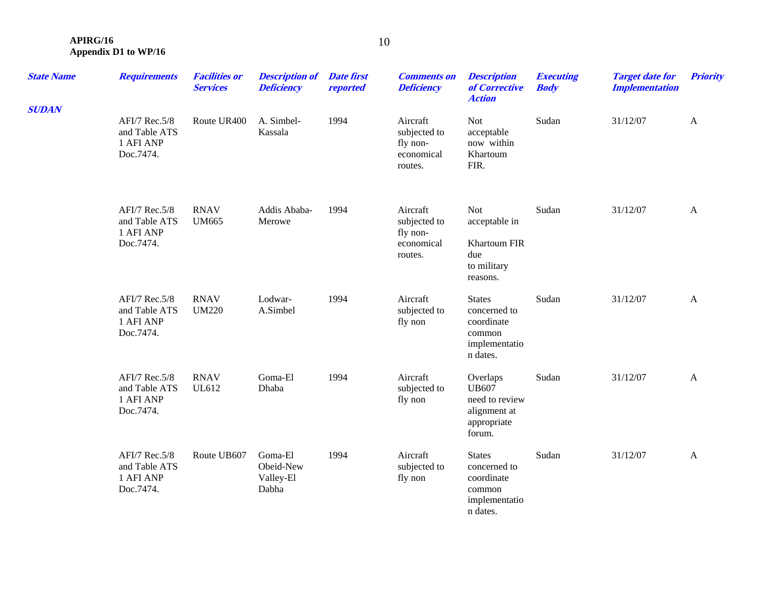| <b>State Name</b> | <b>Requirements</b>                                      | <b>Facilities or</b><br><b>Services</b> | <b>Description of</b><br><b>Deficiency</b> | <b>Date first</b><br>reported | <b>Comments on</b><br><b>Deficiency</b>                       | <b>Description</b><br>of Corrective<br><b>Action</b>                                | <b>Executing</b><br><b>Body</b> | <b>Target date for</b><br><b>Implementation</b> | <b>Priority</b> |
|-------------------|----------------------------------------------------------|-----------------------------------------|--------------------------------------------|-------------------------------|---------------------------------------------------------------|-------------------------------------------------------------------------------------|---------------------------------|-------------------------------------------------|-----------------|
| <b>SUDAN</b>      | AFI/7 Rec.5/8<br>and Table ATS<br>1 AFI ANP<br>Doc.7474. | Route UR400                             | A. Simbel-<br>Kassala                      | 1994                          | Aircraft<br>subjected to<br>fly non-<br>economical<br>routes. | <b>Not</b><br>acceptable<br>now within<br>Khartoum<br>FIR.                          | Sudan                           | 31/12/07                                        | $\mathbf{A}$    |
|                   | AFI/7 Rec.5/8<br>and Table ATS<br>1 AFI ANP<br>Doc.7474. | <b>RNAV</b><br><b>UM665</b>             | Addis Ababa-<br>Merowe                     | 1994                          | Aircraft<br>subjected to<br>fly non-<br>economical<br>routes. | <b>Not</b><br>acceptable in<br>Khartoum FIR<br>due<br>to military<br>reasons.       | Sudan                           | 31/12/07                                        | A               |
|                   | AFI/7 Rec.5/8<br>and Table ATS<br>1 AFI ANP<br>Doc.7474. | <b>RNAV</b><br><b>UM220</b>             | Lodwar-<br>A.Simbel                        | 1994                          | Aircraft<br>subjected to<br>fly non                           | <b>States</b><br>concerned to<br>coordinate<br>common<br>implementatio<br>n dates.  | Sudan                           | 31/12/07                                        | A               |
|                   | AFI/7 Rec.5/8<br>and Table ATS<br>1 AFI ANP<br>Doc.7474. | <b>RNAV</b><br><b>UL612</b>             | Goma-El<br>Dhaba                           | 1994                          | Aircraft<br>subjected to<br>fly non                           | Overlaps<br><b>UB607</b><br>need to review<br>alignment at<br>appropriate<br>forum. | Sudan                           | 31/12/07                                        | A               |
|                   | AFI/7 Rec.5/8<br>and Table ATS<br>1 AFI ANP<br>Doc.7474. | Route UB607                             | Goma-El<br>Obeid-New<br>Valley-El<br>Dabha | 1994                          | Aircraft<br>subjected to<br>fly non                           | <b>States</b><br>concerned to<br>coordinate<br>common<br>implementatio<br>n dates.  | Sudan                           | 31/12/07                                        | $\mathbf{A}$    |

10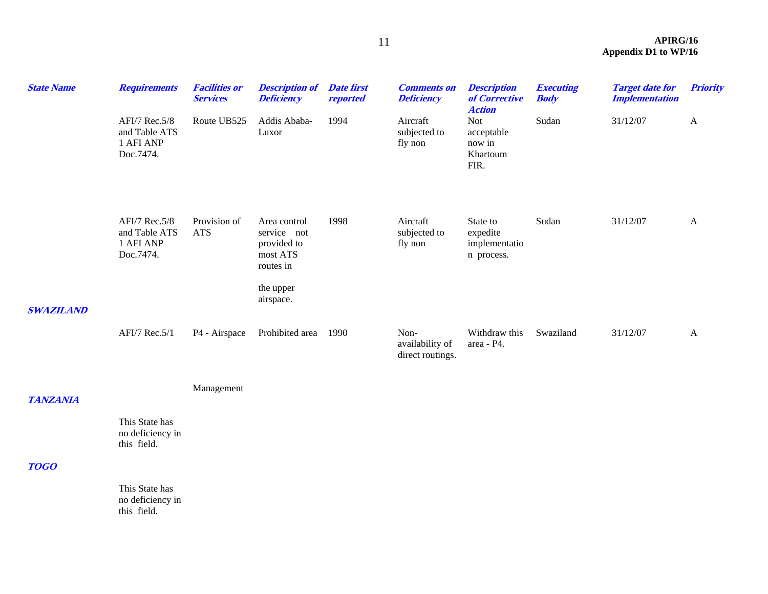| <b>State Name</b> | <b>Requirements</b>                                      | <b>Facilities or</b><br><b>Services</b> | <b>Description of</b><br><b>Deficiency</b>                                                    | <b>Date first</b><br>reported | <b>Comments on</b><br><b>Deficiency</b>     | <b>Description</b><br>of Corrective<br><b>Action</b>   | <b>Executing</b><br><b>Body</b> | <b>Target date for</b><br><b>Implementation</b> | <b>Priority</b> |
|-------------------|----------------------------------------------------------|-----------------------------------------|-----------------------------------------------------------------------------------------------|-------------------------------|---------------------------------------------|--------------------------------------------------------|---------------------------------|-------------------------------------------------|-----------------|
|                   | AFI/7 Rec.5/8<br>and Table ATS<br>1 AFI ANP<br>Doc.7474. | Route UB525                             | Addis Ababa-<br>Luxor                                                                         | 1994                          | Aircraft<br>subjected to<br>fly non         | <b>Not</b><br>acceptable<br>now in<br>Khartoum<br>FIR. | Sudan                           | 31/12/07                                        | $\mathbf{A}$    |
|                   | AFI/7 Rec.5/8<br>and Table ATS<br>1 AFI ANP<br>Doc.7474. | Provision of<br><b>ATS</b>              | Area control<br>service not<br>provided to<br>most ATS<br>routes in<br>the upper<br>airspace. | 1998                          | Aircraft<br>subjected to<br>fly non         | State to<br>expedite<br>implementatio<br>n process.    | Sudan                           | 31/12/07                                        | A               |
| <b>SWAZILAND</b>  | AFI/7 Rec.5/1                                            | P4 - Airspace                           | Prohibited area                                                                               | 1990                          | Non-<br>availability of<br>direct routings. | Withdraw this<br>area - P4.                            | Swaziland                       | 31/12/07                                        | A               |
| <b>TANZANIA</b>   |                                                          | Management                              |                                                                                               |                               |                                             |                                                        |                                 |                                                 |                 |

This State has no deficiency in this field.

#### **TOGO**

This State has no deficiency in this field.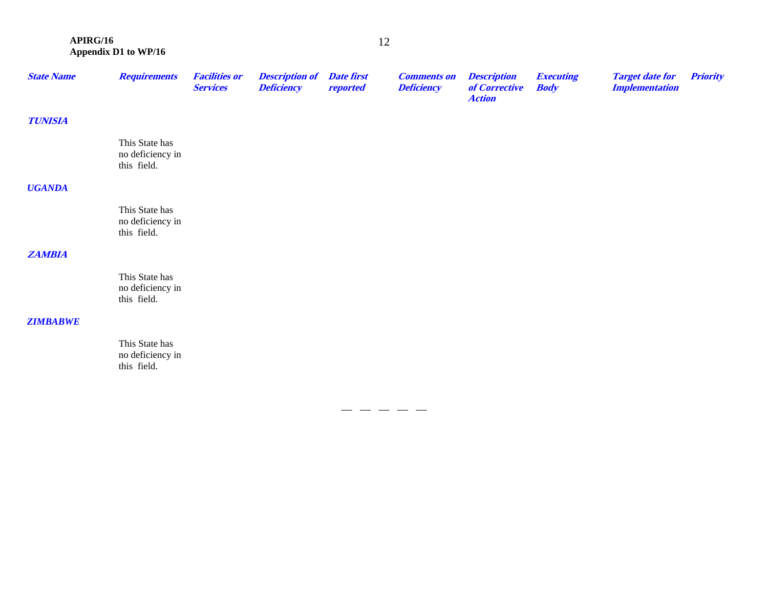| <b>State Name</b> | <b>Requirements</b>                               | <b>Facilities or</b><br><b>Services</b> | <b>Description of</b><br><b>Deficiency</b> | <b>Date first</b><br>reported | <b>Comments on</b><br><b>Deficiency</b> | <b>Description</b><br>of Corrective<br><b>Action</b> | <b>Executing</b><br><b>Body</b> | <b>Target date for</b><br><b>Implementation</b> | <b>Priority</b> |
|-------------------|---------------------------------------------------|-----------------------------------------|--------------------------------------------|-------------------------------|-----------------------------------------|------------------------------------------------------|---------------------------------|-------------------------------------------------|-----------------|
| <b>TUNISIA</b>    |                                                   |                                         |                                            |                               |                                         |                                                      |                                 |                                                 |                 |
|                   | This State has<br>no deficiency in<br>this field. |                                         |                                            |                               |                                         |                                                      |                                 |                                                 |                 |
| <b>UGANDA</b>     |                                                   |                                         |                                            |                               |                                         |                                                      |                                 |                                                 |                 |
|                   | This State has<br>no deficiency in<br>this field. |                                         |                                            |                               |                                         |                                                      |                                 |                                                 |                 |
| <b>ZAMBIA</b>     |                                                   |                                         |                                            |                               |                                         |                                                      |                                 |                                                 |                 |
|                   | This State has<br>no deficiency in<br>this field. |                                         |                                            |                               |                                         |                                                      |                                 |                                                 |                 |
| <b>ZIMBABWE</b>   |                                                   |                                         |                                            |                               |                                         |                                                      |                                 |                                                 |                 |
|                   | This State has<br>no deficiency in<br>this field. |                                         |                                            |                               |                                         |                                                      |                                 |                                                 |                 |

 $-$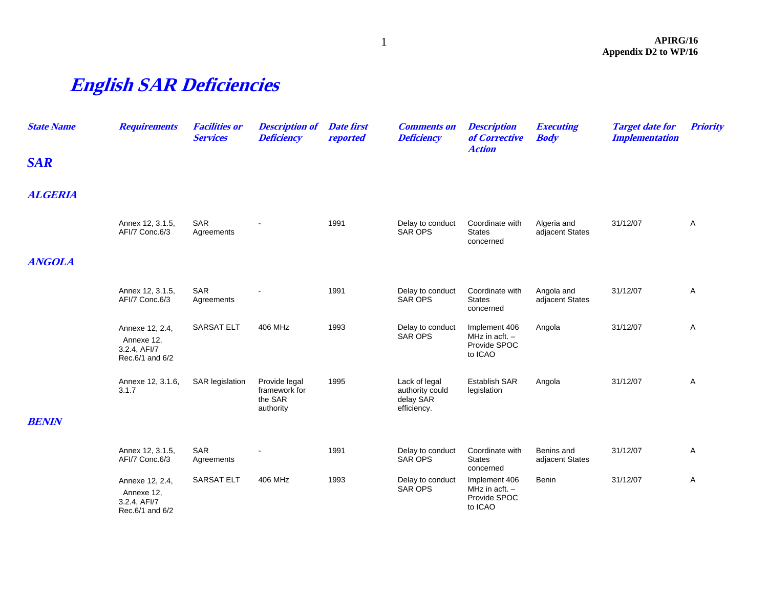# **English SAR Deficiencies**

| <b>State Name</b> | <b>Requirements</b>                                              | <b>Facilities or</b><br><b>Services</b> | <b>Description of</b><br><b>Deficiency</b>             | <b>Date first</b><br>reported | <b>Comments on</b><br><b>Deficiency</b>                      | <b>Description</b><br>of Corrective<br><b>Action</b>         | <b>Executing</b><br><b>Body</b> | <b>Target date for</b><br><b>Implementation</b> | <b>Priority</b> |
|-------------------|------------------------------------------------------------------|-----------------------------------------|--------------------------------------------------------|-------------------------------|--------------------------------------------------------------|--------------------------------------------------------------|---------------------------------|-------------------------------------------------|-----------------|
| <b>SAR</b>        |                                                                  |                                         |                                                        |                               |                                                              |                                                              |                                 |                                                 |                 |
| <b>ALGERIA</b>    |                                                                  |                                         |                                                        |                               |                                                              |                                                              |                                 |                                                 |                 |
|                   | Annex 12, 3.1.5,<br>AFI/7 Conc.6/3                               | SAR<br>Agreements                       |                                                        | 1991                          | Delay to conduct<br><b>SAR OPS</b>                           | Coordinate with<br><b>States</b><br>concerned                | Algeria and<br>adjacent States  | 31/12/07                                        | Α               |
| <b>ANGOLA</b>     |                                                                  |                                         |                                                        |                               |                                                              |                                                              |                                 |                                                 |                 |
|                   | Annex 12, 3.1.5,<br>AFI/7 Conc.6/3                               | SAR<br>Agreements                       |                                                        | 1991                          | Delay to conduct<br><b>SAR OPS</b>                           | Coordinate with<br><b>States</b><br>concerned                | Angola and<br>adjacent States   | 31/12/07                                        | Α               |
|                   | Annexe 12, 2.4,<br>Annexe 12,<br>3.2.4, AFI/7<br>Rec.6/1 and 6/2 | <b>SARSAT ELT</b>                       | 406 MHz                                                | 1993                          | Delay to conduct<br><b>SAR OPS</b>                           | Implement 406<br>MHz in $actt.$ -<br>Provide SPOC<br>to ICAO | Angola                          | 31/12/07                                        | Α               |
|                   | Annexe 12, 3.1.6,<br>3.1.7                                       | <b>SAR</b> legislation                  | Provide legal<br>framework for<br>the SAR<br>authority | 1995                          | Lack of legal<br>authority could<br>delay SAR<br>efficiency. | Establish SAR<br>legislation                                 | Angola                          | 31/12/07                                        | Α               |
| <b>BENIN</b>      |                                                                  |                                         |                                                        |                               |                                                              |                                                              |                                 |                                                 |                 |
|                   | Annex 12, 3.1.5,<br>AFI/7 Conc.6/3                               | SAR<br>Agreements                       |                                                        | 1991                          | Delay to conduct<br><b>SAR OPS</b>                           | Coordinate with<br>States<br>concerned                       | Benins and<br>adjacent States   | 31/12/07                                        | Α               |
|                   | Annexe 12, 2.4,<br>Annexe 12,<br>3.2.4, AFI/7<br>Rec.6/1 and 6/2 | <b>SARSAT ELT</b>                       | 406 MHz                                                | 1993                          | Delay to conduct<br><b>SAR OPS</b>                           | Implement 406<br>MHz in $act. -$<br>Provide SPOC<br>to ICAO  | Benin                           | 31/12/07                                        | A               |

1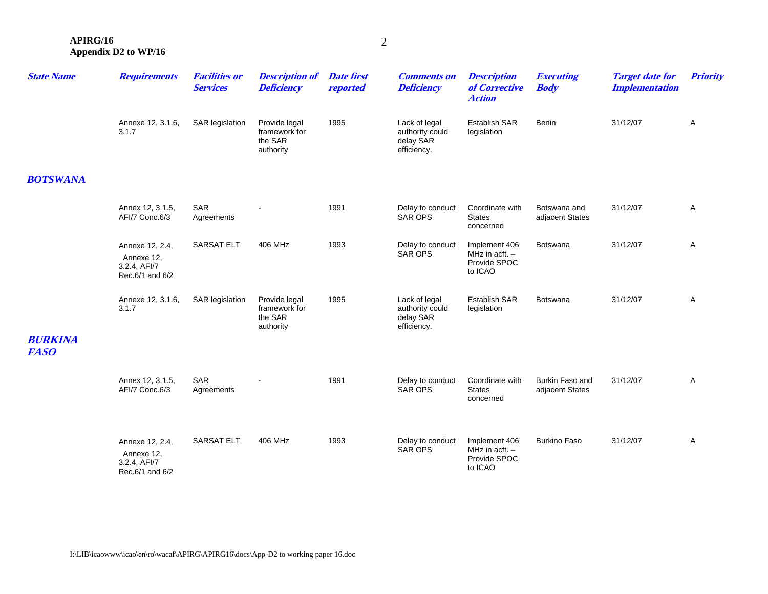| <b>State Name</b>             | <b>Requirements</b>                                              | <b>Facilities or</b><br><b>Services</b> | <b>Description of</b><br><b>Deficiency</b>             | <b>Date first</b><br>reported | <b>Comments on</b><br><b>Deficiency</b>                      | <b>Description</b><br>of Corrective<br><b>Action</b>             | <b>Executing</b><br><b>Body</b>    | <b>Target date for</b><br><b>Implementation</b> | <b>Priority</b> |
|-------------------------------|------------------------------------------------------------------|-----------------------------------------|--------------------------------------------------------|-------------------------------|--------------------------------------------------------------|------------------------------------------------------------------|------------------------------------|-------------------------------------------------|-----------------|
|                               | Annexe 12, 3.1.6,<br>3.1.7                                       | <b>SAR</b> legislation                  | Provide legal<br>framework for<br>the SAR<br>authority | 1995                          | Lack of legal<br>authority could<br>delay SAR<br>efficiency. | <b>Establish SAR</b><br>legislation                              | Benin                              | 31/12/07                                        | Α               |
| <b>BOTSWANA</b>               |                                                                  |                                         |                                                        |                               |                                                              |                                                                  |                                    |                                                 |                 |
|                               | Annex 12, 3.1.5,<br>AFI/7 Conc.6/3                               | SAR<br>Agreements                       |                                                        | 1991                          | Delay to conduct<br><b>SAR OPS</b>                           | Coordinate with<br><b>States</b><br>concerned                    | Botswana and<br>adjacent States    | 31/12/07                                        | Α               |
|                               | Annexe 12, 2.4,<br>Annexe 12,<br>3.2.4, AFI/7<br>Rec.6/1 and 6/2 | <b>SARSAT ELT</b>                       | 406 MHz                                                | 1993                          | Delay to conduct<br><b>SAR OPS</b>                           | Implement 406<br>MHz in $\arctan$ . -<br>Provide SPOC<br>to ICAO | Botswana                           | 31/12/07                                        | Α               |
|                               | Annexe 12, 3.1.6,<br>3.1.7                                       | <b>SAR</b> legislation                  | Provide legal<br>framework for<br>the SAR<br>authority | 1995                          | Lack of legal<br>authority could<br>delay SAR<br>efficiency. | <b>Establish SAR</b><br>legislation                              | Botswana                           | 31/12/07                                        | Α               |
| <b>BURKINA</b><br><b>FASO</b> |                                                                  |                                         |                                                        |                               |                                                              |                                                                  |                                    |                                                 |                 |
|                               | Annex 12, 3.1.5,<br>AFI/7 Conc.6/3                               | <b>SAR</b><br>Agreements                |                                                        | 1991                          | Delay to conduct<br>SAR OPS                                  | Coordinate with<br><b>States</b><br>concerned                    | Burkin Faso and<br>adjacent States | 31/12/07                                        | Α               |
|                               | Annexe 12, 2.4,<br>Annexe 12,<br>3.2.4, AFI/7<br>Rec.6/1 and 6/2 | <b>SARSAT ELT</b>                       | 406 MHz                                                | 1993                          | Delay to conduct<br><b>SAR OPS</b>                           | Implement 406<br>MHz in $\arctan$ . -<br>Provide SPOC<br>to ICAO | <b>Burkino Faso</b>                | 31/12/07                                        | Α               |

2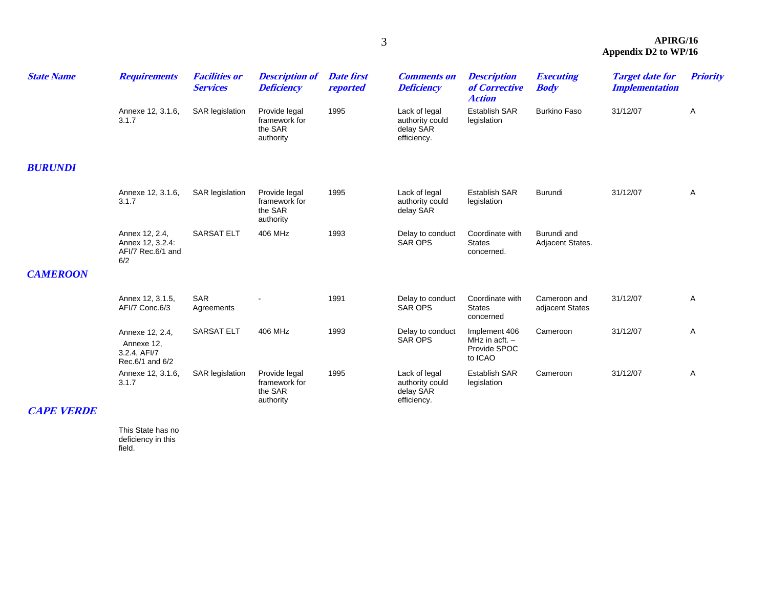| <b>State Name</b> | <b>Requirements</b>                                              | <b>Facilities or</b><br><b>Services</b> | <b>Description of</b><br><b>Deficiency</b>             | <b>Date first</b><br>reported | <b>Comments on</b><br><b>Deficiency</b>                      | <b>Description</b><br>of Corrective<br><b>Action</b>             | <b>Executing</b><br><b>Body</b> | <b>Target date for</b><br><b>Implementation</b> | <b>Priority</b> |
|-------------------|------------------------------------------------------------------|-----------------------------------------|--------------------------------------------------------|-------------------------------|--------------------------------------------------------------|------------------------------------------------------------------|---------------------------------|-------------------------------------------------|-----------------|
|                   | Annexe 12, 3.1.6,<br>3.1.7                                       | <b>SAR</b> legislation                  | Provide legal<br>framework for<br>the SAR<br>authority | 1995                          | Lack of legal<br>authority could<br>delay SAR<br>efficiency. | <b>Establish SAR</b><br>legislation                              | <b>Burkino Faso</b>             | 31/12/07                                        | Α               |
| <b>BURUNDI</b>    |                                                                  |                                         |                                                        |                               |                                                              |                                                                  |                                 |                                                 |                 |
|                   | Annexe 12, 3.1.6,<br>3.1.7                                       | SAR legislation                         | Provide legal<br>framework for<br>the SAR<br>authority | 1995                          | Lack of legal<br>authority could<br>delay SAR                | <b>Establish SAR</b><br>legislation                              | Burundi                         | 31/12/07                                        | Α               |
|                   | Annex 12, 2.4,<br>Annex 12, 3.2.4:<br>AFI/7 Rec.6/1 and<br>6/2   | <b>SARSAT ELT</b>                       | 406 MHz                                                | 1993                          | Delay to conduct<br><b>SAR OPS</b>                           | Coordinate with<br><b>States</b><br>concerned.                   | Burundi and<br>Adjacent States. |                                                 |                 |
| <b>CAMEROON</b>   |                                                                  |                                         |                                                        |                               |                                                              |                                                                  |                                 |                                                 |                 |
|                   | Annex 12, 3.1.5,<br>AFI/7 Conc.6/3                               | SAR<br>Agreements                       |                                                        | 1991                          | Delay to conduct<br><b>SAR OPS</b>                           | Coordinate with<br><b>States</b><br>concerned                    | Cameroon and<br>adjacent States | 31/12/07                                        | Α               |
|                   | Annexe 12, 2.4,<br>Annexe 12,<br>3.2.4, AFI/7<br>Rec.6/1 and 6/2 | <b>SARSAT ELT</b>                       | 406 MHz                                                | 1993                          | Delay to conduct<br><b>SAR OPS</b>                           | Implement 406<br>MHz in $\arctan$ . -<br>Provide SPOC<br>to ICAO | Cameroon                        | 31/12/07                                        | Α               |
|                   | Annexe 12, 3.1.6,<br>3.1.7                                       | <b>SAR</b> legislation                  | Provide legal<br>framework for<br>the SAR<br>authority | 1995                          | Lack of legal<br>authority could<br>delay SAR<br>efficiency. | <b>Establish SAR</b><br>legislation                              | Cameroon                        | 31/12/07                                        | Α               |

**CAPE VERDE** 

This State has no deficiency in this field.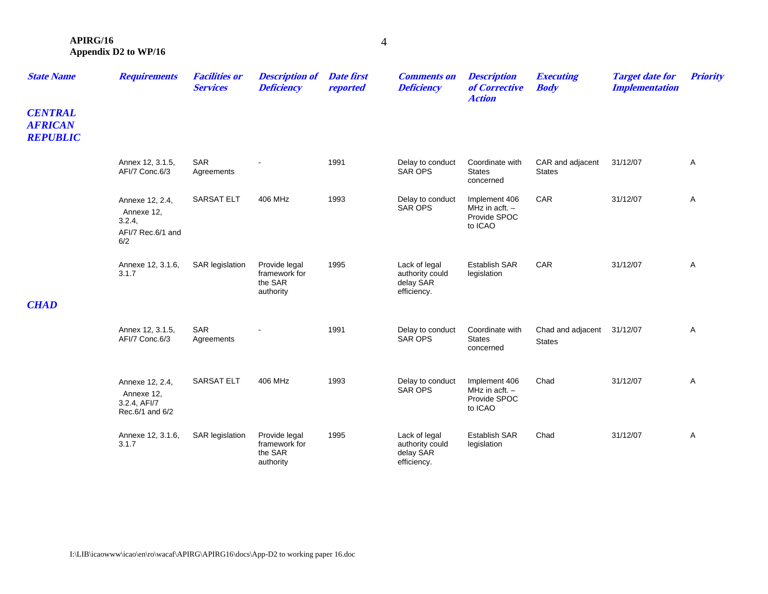| <b>State Name</b>                                   | <b>Requirements</b>                                                 | <b>Facilities or</b><br><b>Services</b> | <b>Description of</b><br><b>Deficiency</b>             | <b>Date first</b><br>reported | <b>Comments on</b><br><b>Deficiency</b>                      | <b>Description</b><br>of Corrective<br><b>Action</b>             | <b>Executing</b><br><b>Body</b>    | <b>Target date for</b><br><b>Implementation</b> | <b>Priority</b> |
|-----------------------------------------------------|---------------------------------------------------------------------|-----------------------------------------|--------------------------------------------------------|-------------------------------|--------------------------------------------------------------|------------------------------------------------------------------|------------------------------------|-------------------------------------------------|-----------------|
| <b>CENTRAL</b><br><b>AFRICAN</b><br><b>REPUBLIC</b> |                                                                     |                                         |                                                        |                               |                                                              |                                                                  |                                    |                                                 |                 |
|                                                     | Annex 12, 3.1.5,<br>AFI/7 Conc.6/3                                  | SAR<br>Agreements                       |                                                        | 1991                          | Delay to conduct<br><b>SAR OPS</b>                           | Coordinate with<br><b>States</b><br>concerned                    | CAR and adjacent<br><b>States</b>  | 31/12/07                                        | Α               |
|                                                     | Annexe 12, 2.4,<br>Annexe 12,<br>3.2.4,<br>AFI/7 Rec.6/1 and<br>6/2 | <b>SARSAT ELT</b>                       | 406 MHz                                                | 1993                          | Delay to conduct<br><b>SAR OPS</b>                           | Implement 406<br>MHz in $\arctan$ . -<br>Provide SPOC<br>to ICAO | CAR                                | 31/12/07                                        | Α               |
| <b>CHAD</b>                                         | Annexe 12, 3.1.6,<br>3.1.7                                          | <b>SAR</b> legislation                  | Provide legal<br>framework for<br>the SAR<br>authority | 1995                          | Lack of legal<br>authority could<br>delay SAR<br>efficiency. | <b>Establish SAR</b><br>legislation                              | CAR                                | 31/12/07                                        | Α               |
|                                                     | Annex 12, 3.1.5,<br>AFI/7 Conc.6/3                                  | SAR<br>Agreements                       |                                                        | 1991                          | Delay to conduct<br><b>SAR OPS</b>                           | Coordinate with<br><b>States</b><br>concerned                    | Chad and adjacent<br><b>States</b> | 31/12/07                                        | Α               |
|                                                     | Annexe 12, 2.4,<br>Annexe 12,<br>3.2.4, AFI/7<br>Rec.6/1 and 6/2    | <b>SARSAT ELT</b>                       | 406 MHz                                                | 1993                          | Delay to conduct<br><b>SAR OPS</b>                           | Implement 406<br>MHz in $\arctan$ . -<br>Provide SPOC<br>to ICAO | Chad                               | 31/12/07                                        | Α               |
|                                                     | Annexe 12, 3.1.6,<br>3.1.7                                          | SAR legislation                         | Provide legal<br>framework for<br>the SAR<br>authority | 1995                          | Lack of legal<br>authority could<br>delay SAR<br>efficiency. | <b>Establish SAR</b><br>legislation                              | Chad                               | 31/12/07                                        | Α               |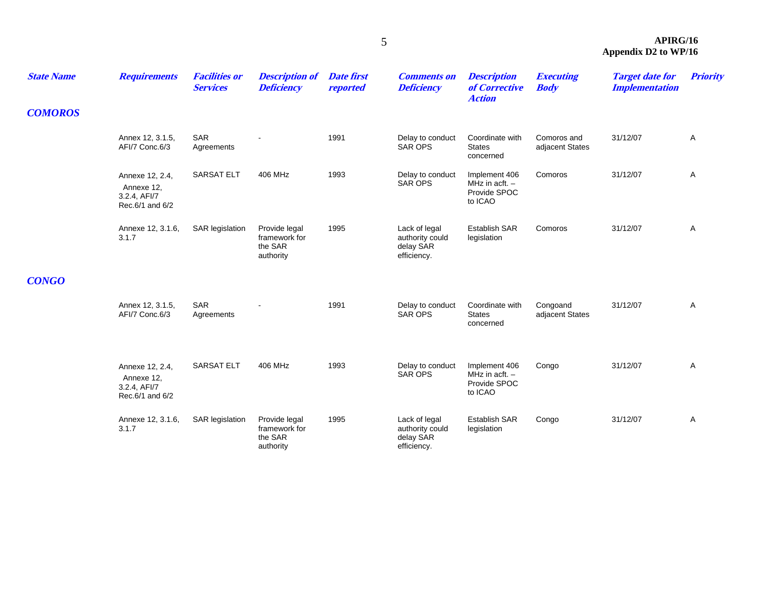| <b>State Name</b><br><b>COMOROS</b> | <b>Requirements</b>                                              | <b>Facilities or</b><br><b>Services</b> | <b>Description of</b><br><b>Deficiency</b>             | <b>Date first</b><br>reported | <b>Comments on</b><br><b>Deficiency</b>                      | <b>Description</b><br>of Corrective<br><b>Action</b>             | <b>Executing</b><br><b>Body</b> | <b>Target date for</b><br><b>Implementation</b> | <b>Priority</b> |
|-------------------------------------|------------------------------------------------------------------|-----------------------------------------|--------------------------------------------------------|-------------------------------|--------------------------------------------------------------|------------------------------------------------------------------|---------------------------------|-------------------------------------------------|-----------------|
|                                     | Annex 12, 3.1.5,<br>AFI/7 Conc.6/3                               | SAR<br>Agreements                       |                                                        | 1991                          | Delay to conduct<br>SAR OPS                                  | Coordinate with<br><b>States</b><br>concerned                    | Comoros and<br>adjacent States  | 31/12/07                                        | Α               |
|                                     | Annexe 12, 2.4,<br>Annexe 12,<br>3.2.4, AFI/7<br>Rec.6/1 and 6/2 | <b>SARSAT ELT</b>                       | 406 MHz                                                | 1993                          | Delay to conduct<br><b>SAR OPS</b>                           | Implement 406<br>MHz in $\arctan$ . -<br>Provide SPOC<br>to ICAO | Comoros                         | 31/12/07                                        | Α               |
|                                     | Annexe 12, 3.1.6,<br>3.1.7                                       | <b>SAR</b> legislation                  | Provide legal<br>framework for<br>the SAR<br>authority | 1995                          | Lack of legal<br>authority could<br>delay SAR<br>efficiency. | <b>Establish SAR</b><br>legislation                              | Comoros                         | 31/12/07                                        | Α               |
| <b>CONGO</b>                        |                                                                  |                                         |                                                        |                               |                                                              |                                                                  |                                 |                                                 |                 |
|                                     | Annex 12, 3.1.5,<br>AFI/7 Conc.6/3                               | SAR<br>Agreements                       |                                                        | 1991                          | Delay to conduct<br><b>SAR OPS</b>                           | Coordinate with<br><b>States</b><br>concerned                    | Congoand<br>adjacent States     | 31/12/07                                        | Α               |
|                                     | Annexe 12, 2.4,<br>Annexe 12,<br>3.2.4, AFI/7<br>Rec.6/1 and 6/2 | <b>SARSAT ELT</b>                       | 406 MHz                                                | 1993                          | Delay to conduct<br><b>SAR OPS</b>                           | Implement 406<br>MHz in acft. $-$<br>Provide SPOC<br>to ICAO     | Congo                           | 31/12/07                                        | Α               |
|                                     | Annexe 12, 3.1.6,<br>3.1.7                                       | <b>SAR</b> legislation                  | Provide legal<br>framework for<br>the SAR<br>authority | 1995                          | Lack of legal<br>authority could<br>delay SAR<br>efficiency. | <b>Establish SAR</b><br>legislation                              | Congo                           | 31/12/07                                        | Α               |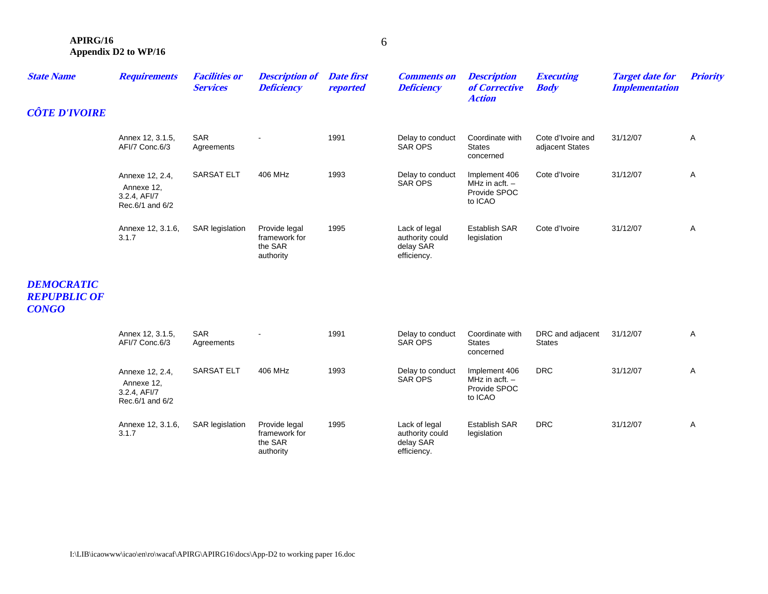| <b>State Name</b>                                        | <b>Requirements</b>                                              | <b>Facilities or</b><br><b>Services</b> | <b>Description of</b><br><b>Deficiency</b>             | <b>Date first</b><br>reported | <b>Comments on</b><br><b>Deficiency</b>                      | <b>Description</b><br>of Corrective<br><b>Action</b>         | <b>Executing</b><br><b>Body</b>      | <b>Target date for</b><br><b>Implementation</b> | <b>Priority</b> |
|----------------------------------------------------------|------------------------------------------------------------------|-----------------------------------------|--------------------------------------------------------|-------------------------------|--------------------------------------------------------------|--------------------------------------------------------------|--------------------------------------|-------------------------------------------------|-----------------|
| <b>CÔTE D'IVOIRE</b>                                     |                                                                  |                                         |                                                        |                               |                                                              |                                                              |                                      |                                                 |                 |
|                                                          | Annex 12, 3.1.5,<br>AFI/7 Conc.6/3                               | SAR<br>Agreements                       |                                                        | 1991                          | Delay to conduct<br><b>SAR OPS</b>                           | Coordinate with<br><b>States</b><br>concerned                | Cote d'Ivoire and<br>adjacent States | 31/12/07                                        | Α               |
|                                                          | Annexe 12, 2.4,<br>Annexe 12,<br>3.2.4, AFI/7<br>Rec.6/1 and 6/2 | <b>SARSAT ELT</b>                       | 406 MHz                                                | 1993                          | Delay to conduct<br><b>SAR OPS</b>                           | Implement 406<br>MHz in $actt.$ -<br>Provide SPOC<br>to ICAO | Cote d'Ivoire                        | 31/12/07                                        | Α               |
|                                                          | Annexe 12, 3.1.6,<br>3.1.7                                       | <b>SAR</b> legislation                  | Provide legal<br>framework for<br>the SAR<br>authority | 1995                          | Lack of legal<br>authority could<br>delay SAR<br>efficiency. | <b>Establish SAR</b><br>legislation                          | Cote d'Ivoire                        | 31/12/07                                        | Α               |
| <b>DEMOCRATIC</b><br><b>REPUPBLIC OF</b><br><b>CONGO</b> |                                                                  |                                         |                                                        |                               |                                                              |                                                              |                                      |                                                 |                 |
|                                                          | Annex 12, 3.1.5,<br>AFI/7 Conc.6/3                               | <b>SAR</b><br>Agreements                |                                                        | 1991                          | Delay to conduct<br><b>SAR OPS</b>                           | Coordinate with<br><b>States</b><br>concerned                | DRC and adjacent<br><b>States</b>    | 31/12/07                                        | A               |
|                                                          | Annexe 12, 2.4,<br>Annexe 12,<br>3.2.4, AFI/7<br>Rec.6/1 and 6/2 | <b>SARSAT ELT</b>                       | 406 MHz                                                | 1993                          | Delay to conduct<br><b>SAR OPS</b>                           | Implement 406<br>MHz in $actt.$ –<br>Provide SPOC<br>to ICAO | <b>DRC</b>                           | 31/12/07                                        | Α               |

| Annexe 12, 3.1.6,<br>3.1.7 | <b>SAR legislation</b> | Provide legal<br>framework for<br>the SAR<br>authority | 1995 | Lack of legal<br>authority could<br>delay SAR<br>efficiency. | <b>Establish SAR</b><br>legislation | <b>DRC</b> | 31/12/07 |  |
|----------------------------|------------------------|--------------------------------------------------------|------|--------------------------------------------------------------|-------------------------------------|------------|----------|--|

6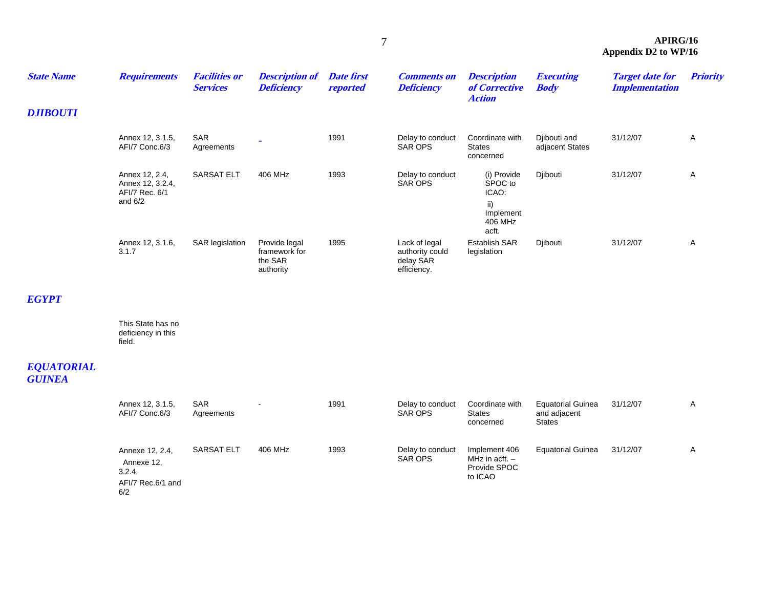| <b>State Name</b>                  | <b>Requirements</b>                                                 | <b>Facilities or</b><br><b>Services</b> | <b>Description of</b><br><b>Deficiency</b>             | <b>Date first</b><br>reported | <b>Comments on</b><br><b>Deficiency</b>                      | <b>Description</b><br>of Corrective<br><b>Action</b>                              | <b>Executing</b><br><b>Body</b>                           | <b>Target date for</b><br><b>Implementation</b> | <b>Priority</b> |
|------------------------------------|---------------------------------------------------------------------|-----------------------------------------|--------------------------------------------------------|-------------------------------|--------------------------------------------------------------|-----------------------------------------------------------------------------------|-----------------------------------------------------------|-------------------------------------------------|-----------------|
| <b>DJIBOUTI</b>                    |                                                                     |                                         |                                                        |                               |                                                              |                                                                                   |                                                           |                                                 |                 |
|                                    | Annex 12, 3.1.5,<br>AFI/7 Conc.6/3                                  | SAR<br>Agreements                       |                                                        | 1991                          | Delay to conduct<br>SAR OPS                                  | Coordinate with<br><b>States</b><br>concerned                                     | Djibouti and<br>adjacent States                           | 31/12/07                                        | A               |
|                                    | Annex 12, 2.4,<br>Annex 12, 3.2.4,<br>AFI/7 Rec. 6/1<br>and $6/2$   | <b>SARSAT ELT</b>                       | 406 MHz                                                | 1993                          | Delay to conduct<br><b>SAR OPS</b>                           | (i) Provide<br>SPOC to<br>ICAO:<br>$\mathsf{ii}$<br>Implement<br>406 MHz<br>acft. | Djibouti                                                  | 31/12/07                                        | Α               |
|                                    | Annex 12, 3.1.6,<br>3.1.7                                           | SAR legislation                         | Provide legal<br>framework for<br>the SAR<br>authority | 1995                          | Lack of legal<br>authority could<br>delay SAR<br>efficiency. | <b>Establish SAR</b><br>legislation                                               | Djibouti                                                  | 31/12/07                                        | A               |
| <b>EGYPT</b>                       |                                                                     |                                         |                                                        |                               |                                                              |                                                                                   |                                                           |                                                 |                 |
|                                    | This State has no<br>deficiency in this<br>field.                   |                                         |                                                        |                               |                                                              |                                                                                   |                                                           |                                                 |                 |
| <b>EQUATORIAL</b><br><b>GUINEA</b> |                                                                     |                                         |                                                        |                               |                                                              |                                                                                   |                                                           |                                                 |                 |
|                                    | Annex 12, 3.1.5,<br>AFI/7 Conc.6/3                                  | SAR<br>Agreements                       |                                                        | 1991                          | Delay to conduct<br><b>SAR OPS</b>                           | Coordinate with<br><b>States</b><br>concerned                                     | <b>Equatorial Guinea</b><br>and adjacent<br><b>States</b> | 31/12/07                                        | A               |
|                                    | Annexe 12, 2.4,<br>Annexe 12,<br>3.2.4,<br>AFI/7 Rec.6/1 and<br>6/2 | <b>SARSAT ELT</b>                       | 406 MHz                                                | 1993                          | Delay to conduct<br><b>SAR OPS</b>                           | Implement 406<br>MHz in $act. -$<br>Provide SPOC<br>to ICAO                       | <b>Equatorial Guinea</b>                                  | 31/12/07                                        | Α               |

7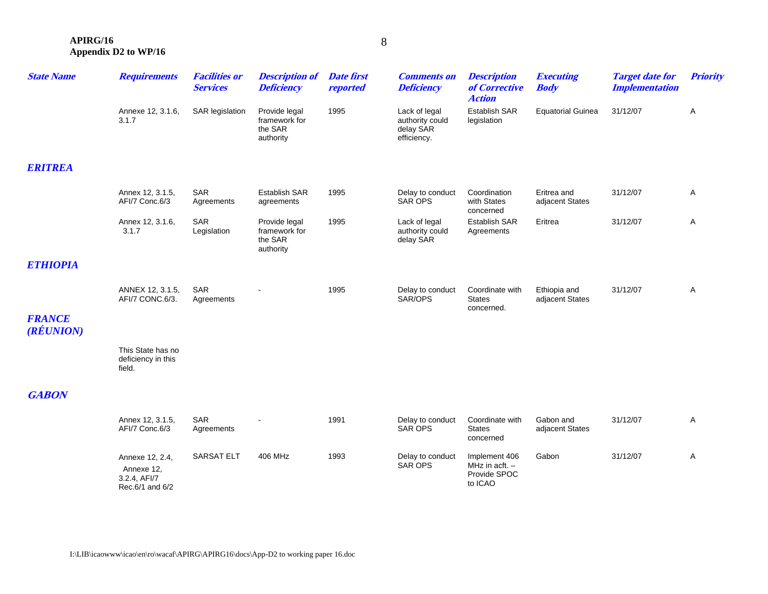| <b>State Name</b>          | <b>Requirements</b>                                                           | <b>Facilities or</b><br><b>Services</b> | <b>Description of</b><br><b>Deficiency</b>             | <b>Date first</b><br>reported | <b>Comments on</b><br><b>Deficiency</b>                      | <b>Description</b><br>of Corrective<br><b>Action</b>             | <b>Executing</b><br><b>Body</b> | <b>Target date for</b><br><b>Implementation</b> | <b>Priority</b> |
|----------------------------|-------------------------------------------------------------------------------|-----------------------------------------|--------------------------------------------------------|-------------------------------|--------------------------------------------------------------|------------------------------------------------------------------|---------------------------------|-------------------------------------------------|-----------------|
|                            | Annexe 12, 3.1.6,<br>3.1.7                                                    | <b>SAR</b> legislation                  | Provide legal<br>framework for<br>the SAR<br>authority | 1995                          | Lack of legal<br>authority could<br>delay SAR<br>efficiency. | Establish SAR<br>legislation                                     | <b>Equatorial Guinea</b>        | 31/12/07                                        | Α               |
| <b>ERITREA</b>             |                                                                               |                                         |                                                        |                               |                                                              |                                                                  |                                 |                                                 |                 |
|                            | Annex 12, 3.1.5,<br>AFI/7 Conc.6/3                                            | SAR<br>Agreements                       | <b>Establish SAR</b><br>agreements                     | 1995                          | Delay to conduct<br><b>SAR OPS</b>                           | Coordination<br>with States<br>concerned                         | Eritrea and<br>adjacent States  | 31/12/07                                        | Α               |
|                            | Annex 12, 3.1.6,<br>3.1.7                                                     | SAR<br>Legislation                      | Provide legal<br>framework for<br>the SAR<br>authority | 1995                          | Lack of legal<br>authority could<br>delay SAR                | Establish SAR<br>Agreements                                      | Eritrea                         | 31/12/07                                        | Α               |
| <b>ETHIOPIA</b>            |                                                                               |                                         |                                                        |                               |                                                              |                                                                  |                                 |                                                 |                 |
|                            | ANNEX 12, 3.1.5,<br>AFI/7 CONC.6/3.                                           | SAR<br>Agreements                       |                                                        | 1995                          | Delay to conduct<br>SAR/OPS                                  | Coordinate with<br><b>States</b><br>concerned.                   | Ethiopia and<br>adjacent States | 31/12/07                                        | Α               |
| <b>FRANCE</b><br>(RÉUNION) |                                                                               |                                         |                                                        |                               |                                                              |                                                                  |                                 |                                                 |                 |
|                            | This State has no<br>deficiency in this<br>field.                             |                                         |                                                        |                               |                                                              |                                                                  |                                 |                                                 |                 |
| <b>GABON</b>               |                                                                               |                                         |                                                        |                               |                                                              |                                                                  |                                 |                                                 |                 |
|                            | Annex 12, 3.1.5,<br>AFI/7 Conc.6/3                                            | SAR<br>Agreements                       |                                                        | 1991                          | Delay to conduct<br><b>SAR OPS</b>                           | Coordinate with<br><b>States</b><br>concerned                    | Gabon and<br>adjacent States    | 31/12/07                                        | Α               |
|                            | Annexe 12, 2.4,<br>Annexe 12,<br>3.2.4, AFI/7<br>$D_{\Omega}$ $C/1$ and $C/2$ | <b>SARSAT ELT</b>                       | 406 MHz                                                | 1993                          | Delay to conduct<br>SAR OPS                                  | Implement 406<br>MHz in $\arctan$ . -<br>Provide SPOC<br>to ICAO | Gabon                           | 31/12/07                                        | A               |

Rec.6/1 and 6/2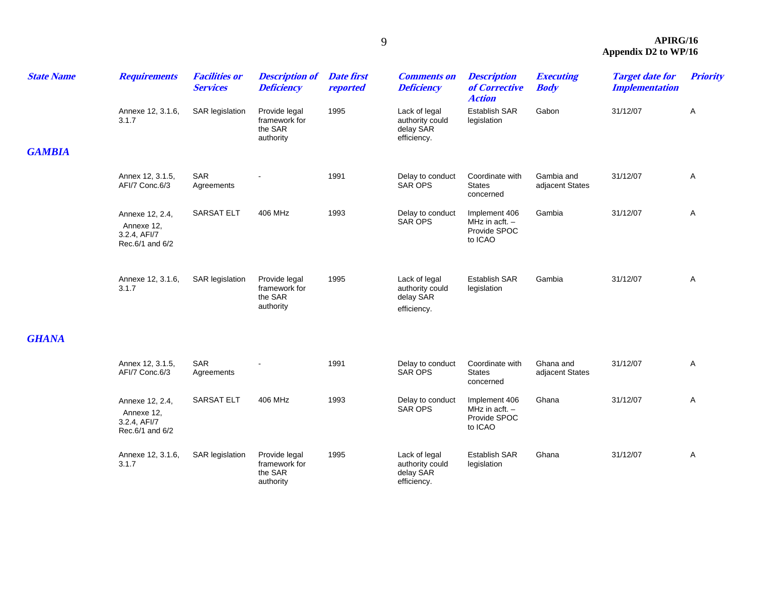| <b>State Name</b> | <b>Requirements</b>                                              | <b>Facilities or</b><br><b>Services</b> | <b>Description of</b><br><b>Deficiency</b>             | <b>Date first</b><br>reported | <b>Comments on</b><br><b>Deficiency</b>                      | <b>Description</b><br>of Corrective<br><b>Action</b>             | <b>Executing</b><br><b>Body</b> | <b>Target date for</b><br><b>Implementation</b> | <b>Priority</b> |
|-------------------|------------------------------------------------------------------|-----------------------------------------|--------------------------------------------------------|-------------------------------|--------------------------------------------------------------|------------------------------------------------------------------|---------------------------------|-------------------------------------------------|-----------------|
|                   | Annexe 12, 3.1.6,<br>3.1.7                                       | <b>SAR</b> legislation                  | Provide legal<br>framework for<br>the SAR<br>authority | 1995                          | Lack of legal<br>authority could<br>delay SAR<br>efficiency. | <b>Establish SAR</b><br>legislation                              | Gabon                           | 31/12/07                                        | Α               |
| <b>GAMBIA</b>     |                                                                  |                                         |                                                        |                               |                                                              |                                                                  |                                 |                                                 |                 |
|                   | Annex 12, 3.1.5,<br>AFI/7 Conc.6/3                               | SAR<br>Agreements                       |                                                        | 1991                          | Delay to conduct<br><b>SAR OPS</b>                           | Coordinate with<br><b>States</b><br>concerned                    | Gambia and<br>adjacent States   | 31/12/07                                        | Α               |
|                   | Annexe 12, 2.4,<br>Annexe 12,<br>3.2.4, AFI/7<br>Rec.6/1 and 6/2 | <b>SARSAT ELT</b>                       | 406 MHz                                                | 1993                          | Delay to conduct<br><b>SAR OPS</b>                           | Implement 406<br>MHz in acft. $-$<br>Provide SPOC<br>to ICAO     | Gambia                          | 31/12/07                                        | Α               |
|                   | Annexe 12, 3.1.6,<br>3.1.7                                       | <b>SAR</b> legislation                  | Provide legal<br>framework for<br>the SAR<br>authority | 1995                          | Lack of legal<br>authority could<br>delay SAR<br>efficiency. | <b>Establish SAR</b><br>legislation                              | Gambia                          | 31/12/07                                        | Α               |
| <b>GHANA</b>      |                                                                  |                                         |                                                        |                               |                                                              |                                                                  |                                 |                                                 |                 |
|                   | Annex 12, 3.1.5,<br>AFI/7 Conc.6/3                               | SAR<br>Agreements                       |                                                        | 1991                          | Delay to conduct<br>SAR OPS                                  | Coordinate with<br><b>States</b><br>concerned                    | Ghana and<br>adjacent States    | 31/12/07                                        | A               |
|                   | Annexe 12, 2.4,<br>Annexe 12,<br>3.2.4, AFI/7<br>Rec.6/1 and 6/2 | <b>SARSAT ELT</b>                       | 406 MHz                                                | 1993                          | Delay to conduct<br><b>SAR OPS</b>                           | Implement 406<br>MHz in $\arctan$ . -<br>Provide SPOC<br>to ICAO | Ghana                           | 31/12/07                                        | Α               |
|                   | Annexe 12, 3.1.6,<br>3.1.7                                       | SAR legislation                         | Provide legal<br>framework for<br>the SAR<br>authority | 1995                          | Lack of legal<br>authority could<br>delay SAR<br>efficiency. | <b>Establish SAR</b><br>legislation                              | Ghana                           | 31/12/07                                        | Α               |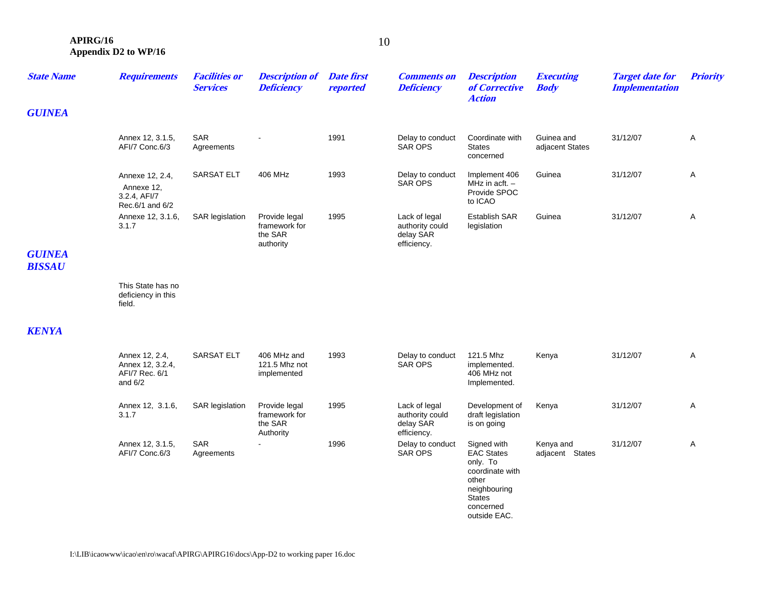| <b>State Name</b>              | <b>Requirements</b>                                               | <b>Facilities or</b><br><b>Services</b> | <b>Description of</b><br><b>Deficiency</b>             | <b>Date first</b><br>reported | <b>Comments on</b><br><b>Deficiency</b>                      | <b>Description</b><br>of Corrective<br><b>Action</b>                                                      | <b>Executing</b><br><b>Body</b> | <b>Target date for</b><br><b>Implementation</b> | <b>Priority</b> |
|--------------------------------|-------------------------------------------------------------------|-----------------------------------------|--------------------------------------------------------|-------------------------------|--------------------------------------------------------------|-----------------------------------------------------------------------------------------------------------|---------------------------------|-------------------------------------------------|-----------------|
| <b>GUINEA</b>                  |                                                                   |                                         |                                                        |                               |                                                              |                                                                                                           |                                 |                                                 |                 |
|                                | Annex 12, 3.1.5,<br>AFI/7 Conc.6/3                                | SAR<br>Agreements                       |                                                        | 1991                          | Delay to conduct<br><b>SAR OPS</b>                           | Coordinate with<br><b>States</b><br>concerned                                                             | Guinea and<br>adjacent States   | 31/12/07                                        | Α               |
|                                | Annexe 12, 2.4,<br>Annexe 12,<br>3.2.4, AFI/7<br>Rec.6/1 and 6/2  | <b>SARSAT ELT</b>                       | 406 MHz                                                | 1993                          | Delay to conduct<br><b>SAR OPS</b>                           | Implement 406<br>MHz in $act. -$<br>Provide SPOC<br>to ICAO                                               | Guinea                          | 31/12/07                                        | Α               |
|                                | Annexe 12, 3.1.6,<br>3.1.7                                        | SAR legislation                         | Provide legal<br>framework for<br>the SAR<br>authority | 1995                          | Lack of legal<br>authority could<br>delay SAR<br>efficiency. | <b>Establish SAR</b><br>legislation                                                                       | Guinea                          | 31/12/07                                        | Α               |
| <b>GUINEA</b><br><b>BISSAU</b> |                                                                   |                                         |                                                        |                               |                                                              |                                                                                                           |                                 |                                                 |                 |
|                                | This State has no<br>deficiency in this<br>field.                 |                                         |                                                        |                               |                                                              |                                                                                                           |                                 |                                                 |                 |
| <b>KENYA</b>                   |                                                                   |                                         |                                                        |                               |                                                              |                                                                                                           |                                 |                                                 |                 |
|                                | Annex 12, 2.4,<br>Annex 12, 3.2.4,<br>AFI/7 Rec. 6/1<br>and $6/2$ | <b>SARSAT ELT</b>                       | 406 MHz and<br>121.5 Mhz not<br>implemented            | 1993                          | Delay to conduct<br><b>SAR OPS</b>                           | 121.5 Mhz<br>implemented.<br>406 MHz not<br>Implemented.                                                  | Kenya                           | 31/12/07                                        | A               |
|                                | Annex 12, 3.1.6,<br>3.1.7                                         | <b>SAR</b> legislation                  | Provide legal<br>framework for<br>the SAR<br>Authority | 1995                          | Lack of legal<br>authority could<br>delay SAR<br>efficiency. | Development of<br>draft legislation<br>is on going                                                        | Kenya                           | 31/12/07                                        | A               |
|                                | Annex 12, 3.1.5,<br>AFI/7 Conc.6/3                                | SAR<br>Agreements                       |                                                        | 1996                          | Delay to conduct<br><b>SAR OPS</b>                           | Signed with<br><b>EAC States</b><br>only. To<br>coordinate with<br>other<br>neighbouring<br><b>States</b> | Kenya and<br>adjacent States    | 31/12/07                                        | Α               |

 concerned outside EAC.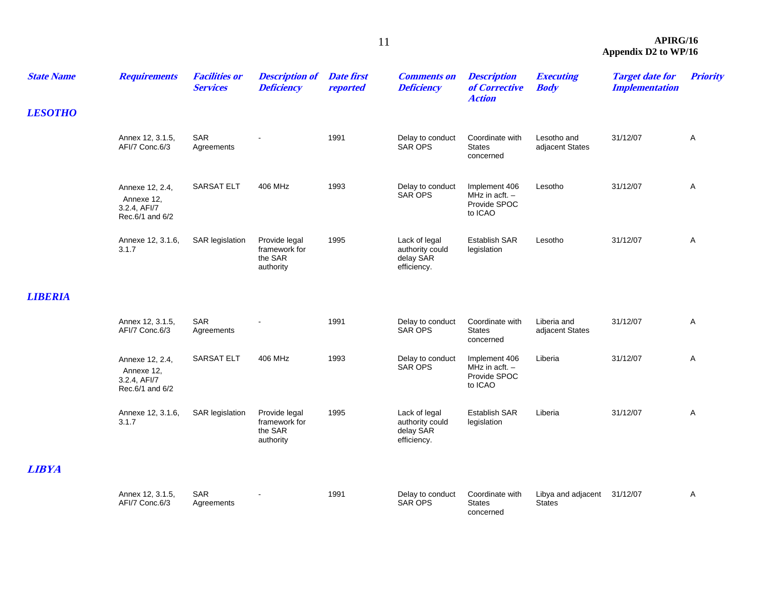| <b>State Name</b> | <b>Requirements</b>                                              | <b>Facilities or</b><br><b>Services</b> | <b>Description of</b><br><b>Deficiency</b>             | <b>Date first</b><br>reported | <b>Comments on</b><br><b>Deficiency</b>                      | <b>Description</b><br>of Corrective<br><b>Action</b>         | <b>Executing</b><br><b>Body</b>     | <b>Target date for</b><br><b>Implementation</b> | <b>Priority</b> |
|-------------------|------------------------------------------------------------------|-----------------------------------------|--------------------------------------------------------|-------------------------------|--------------------------------------------------------------|--------------------------------------------------------------|-------------------------------------|-------------------------------------------------|-----------------|
| <b>LESOTHO</b>    |                                                                  |                                         |                                                        |                               |                                                              |                                                              |                                     |                                                 |                 |
|                   | Annex 12, 3.1.5,<br>AFI/7 Conc.6/3                               | <b>SAR</b><br>Agreements                |                                                        | 1991                          | Delay to conduct<br><b>SAR OPS</b>                           | Coordinate with<br><b>States</b><br>concerned                | Lesotho and<br>adjacent States      | 31/12/07                                        | A               |
|                   | Annexe 12, 2.4,<br>Annexe 12,<br>3.2.4, AFI/7<br>Rec.6/1 and 6/2 | <b>SARSAT ELT</b>                       | 406 MHz                                                | 1993                          | Delay to conduct<br><b>SAR OPS</b>                           | Implement 406<br>MHz in $actt. -$<br>Provide SPOC<br>to ICAO | Lesotho                             | 31/12/07                                        | Α               |
|                   | Annexe 12, 3.1.6,<br>3.1.7                                       | SAR legislation                         | Provide legal<br>framework for<br>the SAR<br>authority | 1995                          | Lack of legal<br>authority could<br>delay SAR<br>efficiency. | <b>Establish SAR</b><br>legislation                          | Lesotho                             | 31/12/07                                        | A               |
| <b>LIBERIA</b>    |                                                                  |                                         |                                                        |                               |                                                              |                                                              |                                     |                                                 |                 |
|                   | Annex 12, 3.1.5,<br>AFI/7 Conc.6/3                               | SAR<br>Agreements                       |                                                        | 1991                          | Delay to conduct<br>SAR OPS                                  | Coordinate with<br><b>States</b><br>concerned                | Liberia and<br>adjacent States      | 31/12/07                                        | Α               |
|                   | Annexe 12, 2.4,<br>Annexe 12,<br>3.2.4, AFI/7<br>Rec.6/1 and 6/2 | <b>SARSAT ELT</b>                       | 406 MHz                                                | 1993                          | Delay to conduct<br>SAR OPS                                  | Implement 406<br>MHz in $act. -$<br>Provide SPOC<br>to ICAO  | Liberia                             | 31/12/07                                        | Α               |
|                   | Annexe 12, 3.1.6,<br>3.1.7                                       | SAR legislation                         | Provide legal<br>framework for<br>the SAR<br>authority | 1995                          | Lack of legal<br>authority could<br>delay SAR<br>efficiency. | <b>Establish SAR</b><br>legislation                          | Liberia                             | 31/12/07                                        | Α               |
| <b>LIBYA</b>      |                                                                  |                                         |                                                        |                               |                                                              |                                                              |                                     |                                                 |                 |
|                   | Annex 12, 3.1.5,<br>AFI/7 Conc.6/3                               | SAR<br>Agreements                       |                                                        | 1991                          | Delay to conduct<br><b>SAR OPS</b>                           | Coordinate with<br><b>States</b><br>concerned                | Libya and adjacent<br><b>States</b> | 31/12/07                                        | Α               |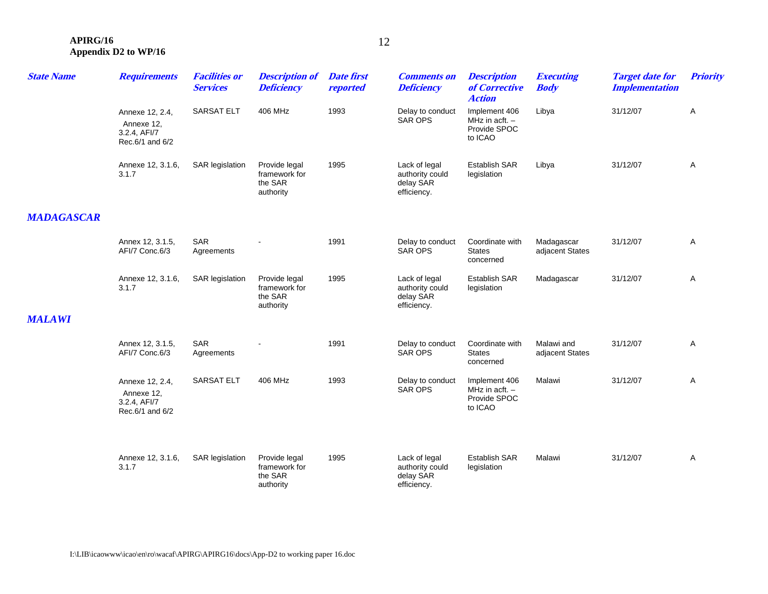| <b>State Name</b> | <b>Requirements</b>                                              | <b>Facilities or</b><br><b>Services</b> | <b>Description of</b><br><b>Deficiency</b>             | <b>Date first</b><br>reported | <b>Comments on</b><br><b>Deficiency</b>                      | <b>Description</b><br>of Corrective<br><b>Action</b>         | <b>Executing</b><br><b>Body</b> | <b>Target date for</b><br><b>Implementation</b> | <b>Priority</b> |
|-------------------|------------------------------------------------------------------|-----------------------------------------|--------------------------------------------------------|-------------------------------|--------------------------------------------------------------|--------------------------------------------------------------|---------------------------------|-------------------------------------------------|-----------------|
|                   | Annexe 12, 2.4,<br>Annexe 12,<br>3.2.4, AFI/7<br>Rec.6/1 and 6/2 | <b>SARSAT ELT</b>                       | 406 MHz                                                | 1993                          | Delay to conduct<br><b>SAR OPS</b>                           | Implement 406<br>MHz in $actt. -$<br>Provide SPOC<br>to ICAO | Libya                           | 31/12/07                                        | Α               |
|                   | Annexe 12, 3.1.6,<br>3.1.7                                       | <b>SAR</b> legislation                  | Provide legal<br>framework for<br>the SAR<br>authority | 1995                          | Lack of legal<br>authority could<br>delay SAR<br>efficiency. | <b>Establish SAR</b><br>legislation                          | Libya                           | 31/12/07                                        | Α               |
| <b>MADAGASCAR</b> |                                                                  |                                         |                                                        |                               |                                                              |                                                              |                                 |                                                 |                 |
|                   | Annex 12, 3.1.5,<br>AFI/7 Conc.6/3                               | SAR<br>Agreements                       |                                                        | 1991                          | Delay to conduct<br><b>SAR OPS</b>                           | Coordinate with<br><b>States</b><br>concerned                | Madagascar<br>adjacent States   | 31/12/07                                        | Α               |
|                   | Annexe 12, 3.1.6,<br>3.1.7                                       | <b>SAR</b> legislation                  | Provide legal<br>framework for<br>the SAR<br>authority | 1995                          | Lack of legal<br>authority could<br>delay SAR<br>efficiency. | <b>Establish SAR</b><br>legislation                          | Madagascar                      | 31/12/07                                        | Α               |
| <b>MALAWI</b>     |                                                                  |                                         |                                                        |                               |                                                              |                                                              |                                 |                                                 |                 |
|                   | Annex 12, 3.1.5,<br>AFI/7 Conc.6/3                               | SAR<br>Agreements                       |                                                        | 1991                          | Delay to conduct<br><b>SAR OPS</b>                           | Coordinate with<br><b>States</b><br>concerned                | Malawi and<br>adjacent States   | 31/12/07                                        | Α               |
|                   | Annexe 12, 2.4,<br>Annexe 12,<br>3.2.4, AFI/7<br>Rec.6/1 and 6/2 | <b>SARSAT ELT</b>                       | 406 MHz                                                | 1993                          | Delay to conduct<br><b>SAR OPS</b>                           | Implement 406<br>MHz in $act. -$<br>Provide SPOC<br>to ICAO  | Malawi                          | 31/12/07                                        | Α               |
|                   | Annexe 12, 3.1.6,<br>3.1.7                                       | SAR legislation                         | Provide legal<br>framework for<br>the SAR<br>authority | 1995                          | Lack of legal<br>authority could<br>delay SAR<br>efficiency. | <b>Establish SAR</b><br>legislation                          | Malawi                          | 31/12/07                                        | Α               |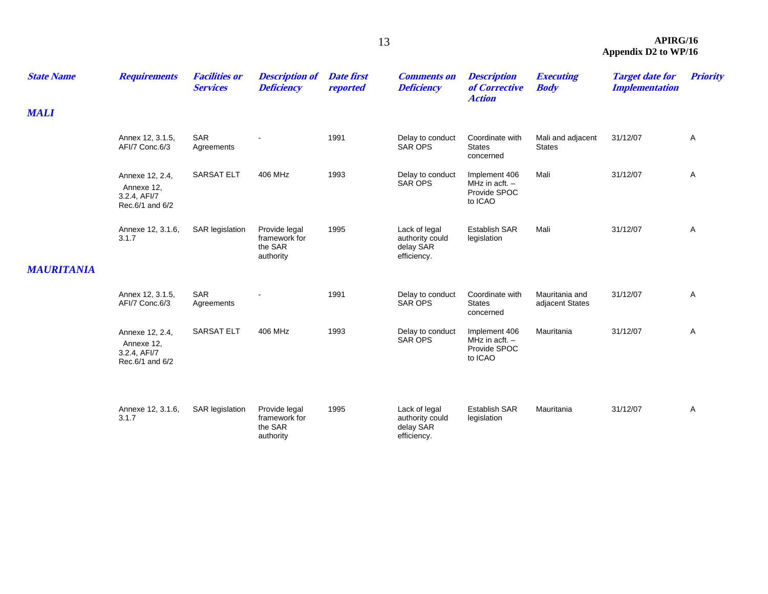| <b>State Name</b> | <b>Requirements</b>                                              | <b>Facilities or</b><br><b>Services</b> | <b>Description of</b><br><b>Deficiency</b>             | <b>Date first</b><br>reported | <b>Comments on</b><br><b>Deficiency</b>                      | <b>Description</b><br>of Corrective<br><b>Action</b>         | <b>Executing</b><br><b>Body</b>    | <b>Target date for</b><br><b>Implementation</b> | <b>Priority</b> |
|-------------------|------------------------------------------------------------------|-----------------------------------------|--------------------------------------------------------|-------------------------------|--------------------------------------------------------------|--------------------------------------------------------------|------------------------------------|-------------------------------------------------|-----------------|
| <b>MALI</b>       |                                                                  |                                         |                                                        |                               |                                                              |                                                              |                                    |                                                 |                 |
|                   | Annex 12, 3.1.5,<br>AFI/7 Conc.6/3                               | SAR<br>Agreements                       |                                                        | 1991                          | Delay to conduct<br><b>SAR OPS</b>                           | Coordinate with<br><b>States</b><br>concerned                | Mali and adjacent<br><b>States</b> | 31/12/07                                        | Α               |
|                   | Annexe 12, 2.4,<br>Annexe 12,<br>3.2.4, AFI/7<br>Rec.6/1 and 6/2 | <b>SARSAT ELT</b>                       | 406 MHz                                                | 1993                          | Delay to conduct<br><b>SAR OPS</b>                           | Implement 406<br>MHz in $actt. -$<br>Provide SPOC<br>to ICAO | Mali                               | 31/12/07                                        | Α               |
|                   | Annexe 12, 3.1.6,<br>3.1.7                                       | <b>SAR</b> legislation                  | Provide legal<br>framework for<br>the SAR<br>authority | 1995                          | Lack of legal<br>authority could<br>delay SAR<br>efficiency. | <b>Establish SAR</b><br>legislation                          | Mali                               | 31/12/07                                        | Α               |
| <b>MAURITANIA</b> |                                                                  |                                         |                                                        |                               |                                                              |                                                              |                                    |                                                 |                 |
|                   | Annex 12, 3.1.5,<br>AFI/7 Conc.6/3                               | SAR<br>Agreements                       |                                                        | 1991                          | Delay to conduct<br><b>SAR OPS</b>                           | Coordinate with<br><b>States</b><br>concerned                | Mauritania and<br>adjacent States  | 31/12/07                                        | Α               |
|                   | Annexe 12, 2.4,<br>Annexe 12,<br>3.2.4, AFI/7<br>Rec.6/1 and 6/2 | <b>SARSAT ELT</b>                       | 406 MHz                                                | 1993                          | Delay to conduct<br><b>SAR OPS</b>                           | Implement 406<br>MHz in $actt. -$<br>Provide SPOC<br>to ICAO | Mauritania                         | 31/12/07                                        | Α               |
|                   | Annexe 12, 3.1.6,<br>3.1.7                                       | SAR legislation                         | Provide legal<br>framework for<br>the SAR<br>authority | 1995                          | Lack of legal<br>authority could<br>delay SAR<br>efficiency. | <b>Establish SAR</b><br>legislation                          | Mauritania                         | 31/12/07                                        | Α               |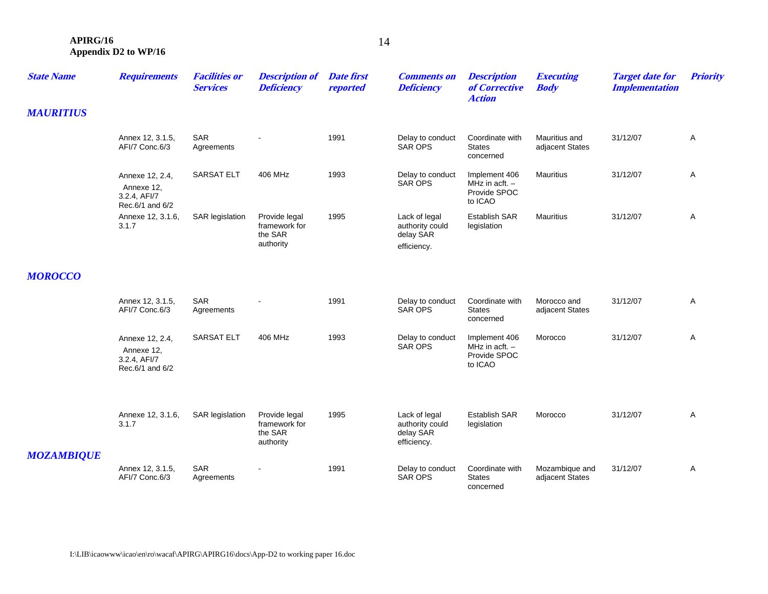| <b>State Name</b> | <b>Requirements</b>                                              | <b>Facilities or</b><br><b>Services</b> | <b>Description of</b><br><b>Deficiency</b>             | <b>Date first</b><br>reported | <b>Comments on</b><br><b>Deficiency</b>                      | <b>Description</b><br>of Corrective<br><b>Action</b>         | <b>Executing</b><br><b>Body</b>   | <b>Target date for</b><br><b>Implementation</b> | <b>Priority</b> |
|-------------------|------------------------------------------------------------------|-----------------------------------------|--------------------------------------------------------|-------------------------------|--------------------------------------------------------------|--------------------------------------------------------------|-----------------------------------|-------------------------------------------------|-----------------|
| <b>MAURITIUS</b>  |                                                                  |                                         |                                                        |                               |                                                              |                                                              |                                   |                                                 |                 |
|                   | Annex 12, 3.1.5,<br>AFI/7 Conc.6/3                               | SAR<br>Agreements                       |                                                        | 1991                          | Delay to conduct<br><b>SAR OPS</b>                           | Coordinate with<br><b>States</b><br>concerned                | Mauritius and<br>adjacent States  | 31/12/07                                        | Α               |
|                   | Annexe 12, 2.4,<br>Annexe 12,<br>3.2.4, AFI/7<br>Rec.6/1 and 6/2 | <b>SARSAT ELT</b>                       | 406 MHz                                                | 1993                          | Delay to conduct<br>SAR OPS                                  | Implement 406<br>MHz in $act. -$<br>Provide SPOC<br>to ICAO  | Mauritius                         | 31/12/07                                        | Α               |
|                   | Annexe 12, 3.1.6,<br>3.1.7                                       | <b>SAR</b> legislation                  | Provide legal<br>framework for<br>the SAR<br>authority | 1995                          | Lack of legal<br>authority could<br>delay SAR<br>efficiency. | <b>Establish SAR</b><br>legislation                          | <b>Mauritius</b>                  | 31/12/07                                        | Α               |
| <b>MOROCCO</b>    |                                                                  |                                         |                                                        |                               |                                                              |                                                              |                                   |                                                 |                 |
|                   | Annex 12, 3.1.5,<br>AFI/7 Conc.6/3                               | SAR<br>Agreements                       |                                                        | 1991                          | Delay to conduct<br><b>SAR OPS</b>                           | Coordinate with<br><b>States</b><br>concerned                | Morocco and<br>adjacent States    | 31/12/07                                        | Α               |
|                   | Annexe 12, 2.4,<br>Annexe 12,<br>3.2.4, AFI/7<br>Rec.6/1 and 6/2 | <b>SARSAT ELT</b>                       | 406 MHz                                                | 1993                          | Delay to conduct<br><b>SAR OPS</b>                           | Implement 406<br>MHz in acft. $-$<br>Provide SPOC<br>to ICAO | Morocco                           | 31/12/07                                        | Α               |
| <b>MOZAMBIQUE</b> | Annexe 12, 3.1.6,<br>3.1.7                                       | <b>SAR</b> legislation                  | Provide legal<br>framework for<br>the SAR<br>authority | 1995                          | Lack of legal<br>authority could<br>delay SAR<br>efficiency. | <b>Establish SAR</b><br>legislation                          | Morocco                           | 31/12/07                                        | Α               |
|                   | Annex 12, 3.1.5,<br>AFI/7 Conc.6/3                               | SAR<br>Agreements                       |                                                        | 1991                          | Delay to conduct<br><b>SAR OPS</b>                           | Coordinate with<br><b>States</b><br>concerned                | Mozambique and<br>adjacent States | 31/12/07                                        | Α               |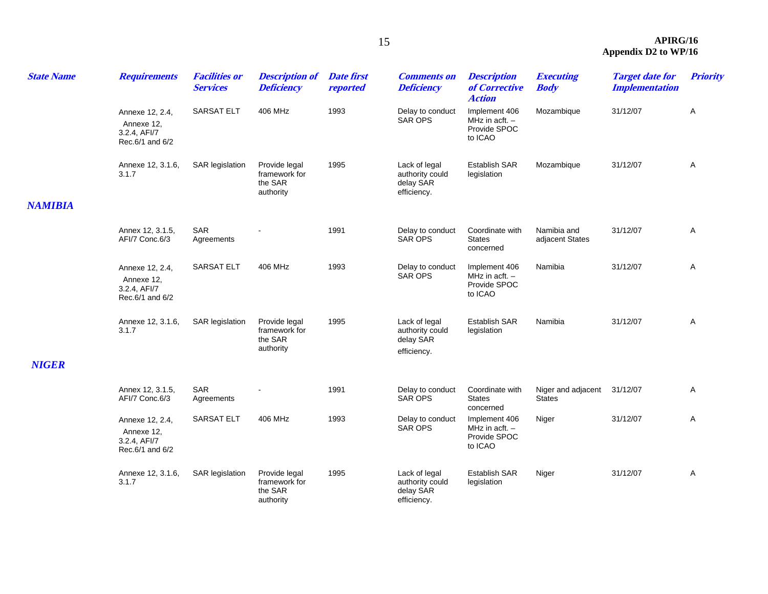| <b>State Name</b> | <b>Requirements</b>                                              | <b>Facilities or</b><br><b>Services</b> | <b>Description of</b><br><b>Deficiency</b>             | <b>Date first</b><br>reported | <b>Comments on</b><br><b>Deficiency</b>                      | <b>Description</b><br>of Corrective<br><b>Action</b>         | <b>Executing</b><br><b>Body</b>     | <b>Target date for</b><br><b>Implementation</b> | <b>Priority</b> |
|-------------------|------------------------------------------------------------------|-----------------------------------------|--------------------------------------------------------|-------------------------------|--------------------------------------------------------------|--------------------------------------------------------------|-------------------------------------|-------------------------------------------------|-----------------|
|                   | Annexe 12, 2.4,<br>Annexe 12,<br>3.2.4, AFI/7<br>Rec.6/1 and 6/2 | <b>SARSAT ELT</b>                       | 406 MHz                                                | 1993                          | Delay to conduct<br><b>SAR OPS</b>                           | Implement 406<br>MHz in $actt. -$<br>Provide SPOC<br>to ICAO | Mozambique                          | 31/12/07                                        | Α               |
|                   | Annexe 12, 3.1.6,<br>3.1.7                                       | SAR legislation                         | Provide legal<br>framework for<br>the SAR<br>authority | 1995                          | Lack of legal<br>authority could<br>delay SAR<br>efficiency. | <b>Establish SAR</b><br>legislation                          | Mozambique                          | 31/12/07                                        | Α               |
| <b>NAMIBIA</b>    |                                                                  |                                         |                                                        |                               |                                                              |                                                              |                                     |                                                 |                 |
|                   | Annex 12, 3.1.5,<br>AFI/7 Conc.6/3                               | SAR<br>Agreements                       |                                                        | 1991                          | Delay to conduct<br>SAR OPS                                  | Coordinate with<br><b>States</b><br>concerned                | Namibia and<br>adjacent States      | 31/12/07                                        | Α               |
|                   | Annexe 12, 2.4,<br>Annexe 12,<br>3.2.4, AFI/7<br>Rec.6/1 and 6/2 | <b>SARSAT ELT</b>                       | 406 MHz                                                | 1993                          | Delay to conduct<br><b>SAR OPS</b>                           | Implement 406<br>MHz in $actt. -$<br>Provide SPOC<br>to ICAO | Namibia                             | 31/12/07                                        | A               |
|                   | Annexe 12, 3.1.6,<br>3.1.7                                       | <b>SAR</b> legislation                  | Provide legal<br>framework for<br>the SAR<br>authority | 1995                          | Lack of legal<br>authority could<br>delay SAR<br>efficiency. | <b>Establish SAR</b><br>legislation                          | Namibia                             | 31/12/07                                        | Α               |
| <b>NIGER</b>      |                                                                  |                                         |                                                        |                               |                                                              |                                                              |                                     |                                                 |                 |
|                   | Annex 12, 3.1.5,<br>AFI/7 Conc.6/3                               | <b>SAR</b><br>Agreements                |                                                        | 1991                          | Delay to conduct<br>SAR OPS                                  | Coordinate with<br><b>States</b><br>concerned                | Niger and adjacent<br><b>States</b> | 31/12/07                                        | Α               |
|                   | Annexe 12, 2.4,<br>Annexe 12,<br>3.2.4, AFI/7<br>Rec.6/1 and 6/2 | <b>SARSAT ELT</b>                       | 406 MHz                                                | 1993                          | Delay to conduct<br><b>SAR OPS</b>                           | Implement 406<br>MHz in acft. $-$<br>Provide SPOC<br>to ICAO | Niger                               | 31/12/07                                        | Α               |
|                   | Annexe 12, 3.1.6,<br>3.1.7                                       | SAR legislation                         | Provide legal<br>framework for<br>the SAR<br>authority | 1995                          | Lack of legal<br>authority could<br>delay SAR<br>efficiency. | <b>Establish SAR</b><br>legislation                          | Niger                               | 31/12/07                                        | Α               |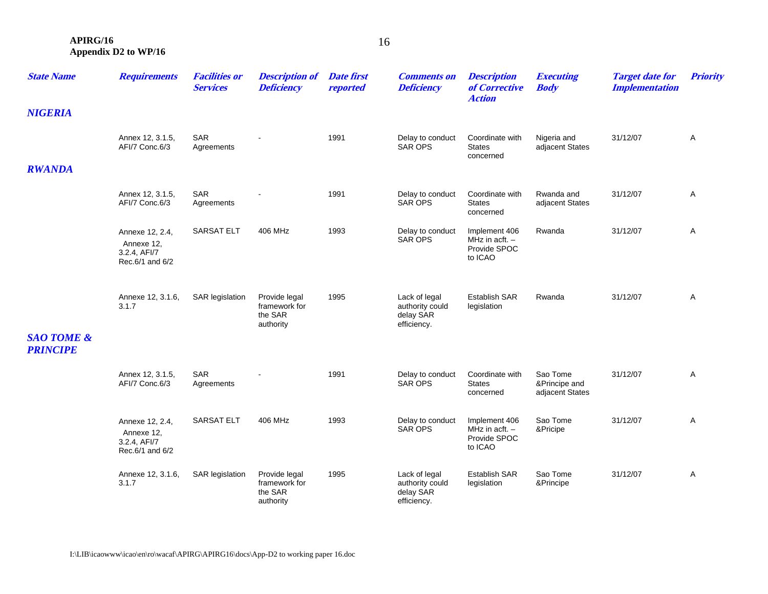| <b>State Name</b>     | <b>Requirements</b>                                              | <b>Facilities or</b><br><b>Services</b> | <b>Description of</b><br><b>Deficiency</b>             | <b>Date first</b><br>reported | <b>Comments on</b><br><b>Deficiency</b>                      | <b>Description</b><br>of Corrective<br><b>Action</b>         | <b>Executing</b><br><b>Body</b>              | <b>Target date for</b><br><b>Implementation</b> | <b>Priority</b> |
|-----------------------|------------------------------------------------------------------|-----------------------------------------|--------------------------------------------------------|-------------------------------|--------------------------------------------------------------|--------------------------------------------------------------|----------------------------------------------|-------------------------------------------------|-----------------|
| <b>NIGERIA</b>        |                                                                  |                                         |                                                        |                               |                                                              |                                                              |                                              |                                                 |                 |
| <b>RWANDA</b>         | Annex 12, 3.1.5,<br>AFI/7 Conc.6/3                               | SAR<br>Agreements                       |                                                        | 1991                          | Delay to conduct<br><b>SAR OPS</b>                           | Coordinate with<br><b>States</b><br>concerned                | Nigeria and<br>adjacent States               | 31/12/07                                        | Α               |
|                       | Annex 12, 3.1.5,<br>AFI/7 Conc.6/3                               | SAR<br>Agreements                       |                                                        | 1991                          | Delay to conduct<br><b>SAR OPS</b>                           | Coordinate with<br><b>States</b><br>concerned                | Rwanda and<br>adjacent States                | 31/12/07                                        | Α               |
|                       | Annexe 12, 2.4,<br>Annexe 12,<br>3.2.4, AFI/7<br>Rec.6/1 and 6/2 | <b>SARSAT ELT</b>                       | 406 MHz                                                | 1993                          | Delay to conduct<br><b>SAR OPS</b>                           | Implement 406<br>MHz in $actt. -$<br>Provide SPOC<br>to ICAO | Rwanda                                       | 31/12/07                                        | Α               |
| <b>SAO TOME &amp;</b> | Annexe 12, 3.1.6,<br>3.1.7                                       | SAR legislation                         | Provide legal<br>framework for<br>the SAR<br>authority | 1995                          | Lack of legal<br>authority could<br>delay SAR<br>efficiency. | <b>Establish SAR</b><br>legislation                          | Rwanda                                       | 31/12/07                                        | Α               |
| <b>PRINCIPE</b>       |                                                                  |                                         |                                                        |                               |                                                              |                                                              |                                              |                                                 |                 |
|                       | Annex 12, 3.1.5,<br>AFI/7 Conc.6/3                               | SAR<br>Agreements                       |                                                        | 1991                          | Delay to conduct<br>SAR OPS                                  | Coordinate with<br><b>States</b><br>concerned                | Sao Tome<br>&Principe and<br>adjacent States | 31/12/07                                        | Α               |
|                       | Annexe 12, 2.4,<br>Annexe 12,<br>3.2.4, AFI/7<br>Rec.6/1 and 6/2 | <b>SARSAT ELT</b>                       | 406 MHz                                                | 1993                          | Delay to conduct<br><b>SAR OPS</b>                           | Implement 406<br>MHz in acft. $-$<br>Provide SPOC<br>to ICAO | Sao Tome<br>&Pricipe                         | 31/12/07                                        | Α               |
|                       | Annexe 12, 3.1.6,<br>3.1.7                                       | <b>SAR</b> legislation                  | Provide legal<br>framework for<br>the SAR<br>authority | 1995                          | Lack of legal<br>authority could<br>delay SAR<br>efficiency. | <b>Establish SAR</b><br>legislation                          | Sao Tome<br>&Principe                        | 31/12/07                                        | A               |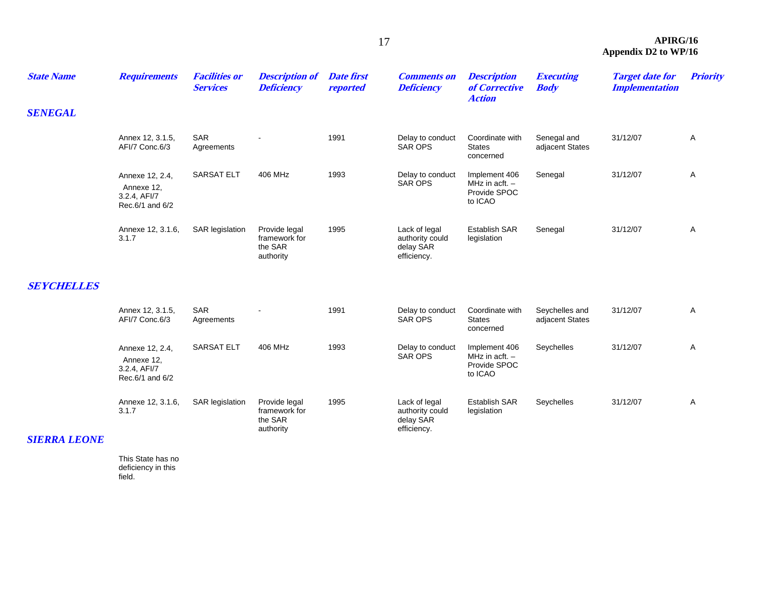| <b>State Name</b><br><b>SENEGAL</b> | <b>Requirements</b>                                              | <b>Facilities or</b><br><b>Services</b> | <b>Description of</b><br><b>Deficiency</b>             | <b>Date first</b><br>reported | <b>Comments on</b><br><b>Deficiency</b>                      | <b>Description</b><br>of Corrective<br><b>Action</b>         | <b>Executing</b><br><b>Body</b>   | <b>Target date for</b><br><b>Implementation</b> | <b>Priority</b> |
|-------------------------------------|------------------------------------------------------------------|-----------------------------------------|--------------------------------------------------------|-------------------------------|--------------------------------------------------------------|--------------------------------------------------------------|-----------------------------------|-------------------------------------------------|-----------------|
|                                     |                                                                  |                                         |                                                        |                               |                                                              |                                                              |                                   |                                                 |                 |
|                                     | Annex 12, 3.1.5,<br>AFI/7 Conc.6/3                               | SAR<br>Agreements                       |                                                        | 1991                          | Delay to conduct<br><b>SAR OPS</b>                           | Coordinate with<br><b>States</b><br>concerned                | Senegal and<br>adjacent States    | 31/12/07                                        | Α               |
|                                     | Annexe 12, 2.4,<br>Annexe 12,<br>3.2.4, AFI/7<br>Rec.6/1 and 6/2 | <b>SARSAT ELT</b>                       | 406 MHz                                                | 1993                          | Delay to conduct<br><b>SAR OPS</b>                           | Implement 406<br>MHz in $actt.$ –<br>Provide SPOC<br>to ICAO | Senegal                           | 31/12/07                                        | Α               |
|                                     | Annexe 12, 3.1.6,<br>3.1.7                                       | <b>SAR legislation</b>                  | Provide legal<br>framework for<br>the SAR<br>authority | 1995                          | Lack of legal<br>authority could<br>delay SAR<br>efficiency. | Establish SAR<br>legislation                                 | Senegal                           | 31/12/07                                        | Α               |
| <b>SEYCHELLES</b>                   |                                                                  |                                         |                                                        |                               |                                                              |                                                              |                                   |                                                 |                 |
|                                     | Annex 12, 3.1.5,<br>AFI/7 Conc.6/3                               | SAR<br>Agreements                       |                                                        | 1991                          | Delay to conduct<br><b>SAR OPS</b>                           | Coordinate with<br><b>States</b><br>concerned                | Seychelles and<br>adjacent States | 31/12/07                                        | Α               |
|                                     | Annexe 12, 2.4,<br>Annexe 12,<br>3.2.4, AFI/7<br>Rec.6/1 and 6/2 | <b>SARSAT ELT</b>                       | 406 MHz                                                | 1993                          | Delay to conduct<br><b>SAR OPS</b>                           | Implement 406<br>MHz in $actt.$ –<br>Provide SPOC<br>to ICAO | Seychelles                        | 31/12/07                                        | Α               |
| <b>SIERRA LEONE</b>                 | Annexe 12, 3.1.6,<br>3.1.7                                       | SAR legislation                         | Provide legal<br>framework for<br>the SAR<br>authority | 1995                          | Lack of legal<br>authority could<br>delay SAR<br>efficiency. | <b>Establish SAR</b><br>legislation                          | Seychelles                        | 31/12/07                                        | Α               |

This State has no deficiency in this field.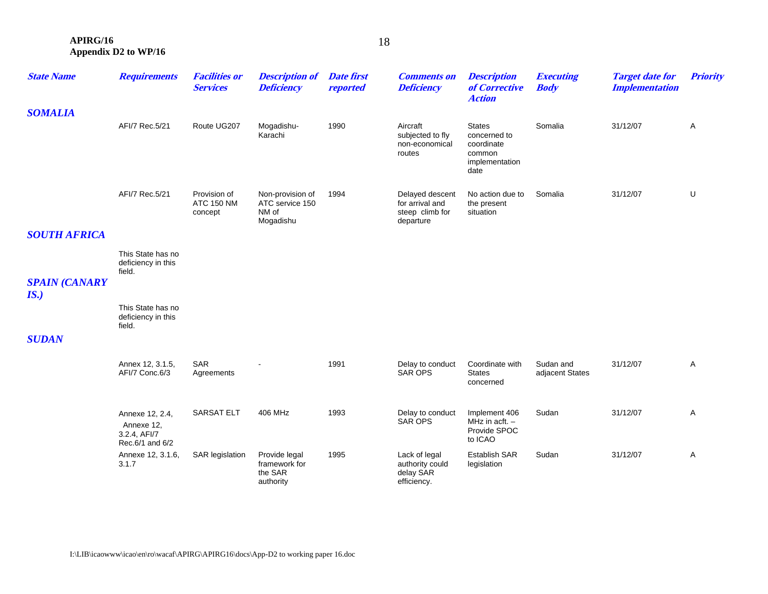| <b>State Name</b>           | <b>Requirements</b>                                              | <b>Facilities or</b><br><b>Services</b>      | <b>Description of</b><br><b>Deficiency</b>                | <b>Date first</b><br>reported | <b>Comments on</b><br><b>Deficiency</b>                            | <b>Description</b><br>of Corrective<br><b>Action</b>                            | <b>Executing</b><br><b>Body</b> | <b>Target date for</b><br><b>Implementation</b> | <b>Priority</b> |
|-----------------------------|------------------------------------------------------------------|----------------------------------------------|-----------------------------------------------------------|-------------------------------|--------------------------------------------------------------------|---------------------------------------------------------------------------------|---------------------------------|-------------------------------------------------|-----------------|
| <b>SOMALIA</b>              | AFI/7 Rec.5/21                                                   | Route UG207                                  | Mogadishu-<br>Karachi                                     | 1990                          | Aircraft<br>subjected to fly<br>non-economical<br>routes           | <b>States</b><br>concerned to<br>coordinate<br>common<br>implementation<br>date | Somalia                         | 31/12/07                                        | Α               |
|                             | AFI/7 Rec.5/21                                                   | Provision of<br><b>ATC 150 NM</b><br>concept | Non-provision of<br>ATC service 150<br>NM of<br>Mogadishu | 1994                          | Delayed descent<br>for arrival and<br>steep climb for<br>departure | No action due to<br>the present<br>situation                                    | Somalia                         | 31/12/07                                        | U               |
| <b>SOUTH AFRICA</b>         |                                                                  |                                              |                                                           |                               |                                                                    |                                                                                 |                                 |                                                 |                 |
|                             | This State has no<br>deficiency in this<br>field.                |                                              |                                                           |                               |                                                                    |                                                                                 |                                 |                                                 |                 |
| <b>SPAIN (CANARY</b><br>IS. |                                                                  |                                              |                                                           |                               |                                                                    |                                                                                 |                                 |                                                 |                 |
|                             | This State has no<br>deficiency in this<br>field.                |                                              |                                                           |                               |                                                                    |                                                                                 |                                 |                                                 |                 |
| <b>SUDAN</b>                |                                                                  |                                              |                                                           |                               |                                                                    |                                                                                 |                                 |                                                 |                 |
|                             | Annex 12, 3.1.5,<br>AFI/7 Conc.6/3                               | SAR<br>Agreements                            |                                                           | 1991                          | Delay to conduct<br><b>SAR OPS</b>                                 | Coordinate with<br><b>States</b><br>concerned                                   | Sudan and<br>adjacent States    | 31/12/07                                        | Α               |
|                             | Annexe 12, 2.4,<br>Annexe 12,<br>3.2.4, AFI/7<br>Rec.6/1 and 6/2 | <b>SARSAT ELT</b>                            | 406 MHz                                                   | 1993                          | Delay to conduct<br>SAR OPS                                        | Implement 406<br>MHz in $act. -$<br>Provide SPOC<br>to ICAO                     | Sudan                           | 31/12/07                                        | A               |
|                             | Annexe 12, 3.1.6,<br>3.1.7                                       | SAR legislation                              | Provide legal<br>framework for<br>the SAR<br>authority    | 1995                          | Lack of legal<br>authority could<br>delay SAR<br>efficiency.       | <b>Establish SAR</b><br>legislation                                             | Sudan                           | 31/12/07                                        | Α               |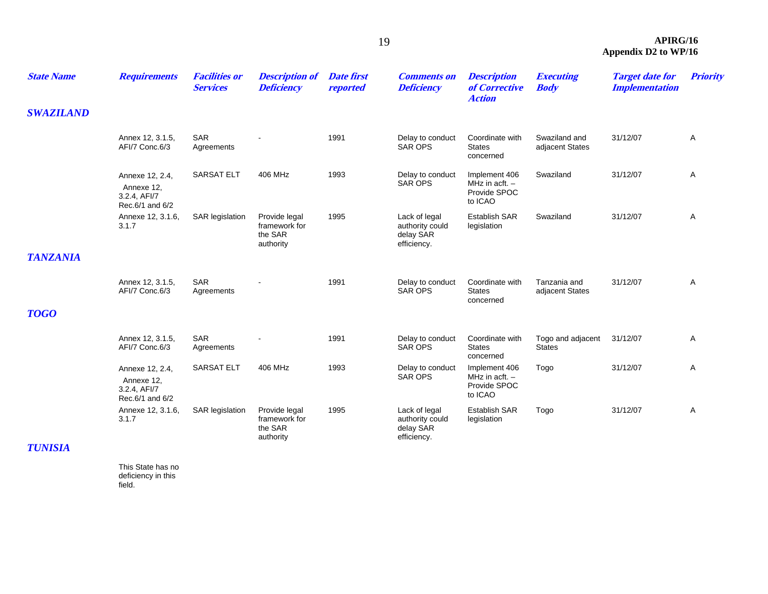| <b>State Name</b><br><b>SWAZILAND</b> | <b>Requirements</b>                           | <b>Facilities or</b><br><b>Services</b> | <b>Description of</b><br><b>Deficiency</b>             | <b>Date first</b><br>reported | <b>Comments on</b><br><b>Deficiency</b>                      | <b>Description</b><br>of Corrective<br><b>Action</b> | <b>Executing</b><br><b>Body</b>    | <b>Target date for</b><br><b>Implementation</b> | <b>Priority</b> |
|---------------------------------------|-----------------------------------------------|-----------------------------------------|--------------------------------------------------------|-------------------------------|--------------------------------------------------------------|------------------------------------------------------|------------------------------------|-------------------------------------------------|-----------------|
|                                       |                                               |                                         |                                                        |                               |                                                              |                                                      |                                    |                                                 |                 |
|                                       | Annex 12, 3.1.5,<br>AFI/7 Conc.6/3            | SAR<br>Agreements                       |                                                        | 1991                          | Delay to conduct<br><b>SAR OPS</b>                           | Coordinate with<br><b>States</b><br>concerned        | Swaziland and<br>adjacent States   | 31/12/07                                        | Α               |
|                                       | Annexe 12, 2.4,                               | <b>SARSAT ELT</b>                       | 406 MHz                                                | 1993                          | Delay to conduct                                             | Implement 406                                        | Swaziland                          | 31/12/07                                        | Α               |
|                                       | Annexe 12.<br>3.2.4, AFI/7<br>Rec.6/1 and 6/2 |                                         |                                                        |                               | <b>SAR OPS</b>                                               | MHz in $actt. -$<br>Provide SPOC<br>to ICAO          |                                    |                                                 |                 |
|                                       | Annexe 12, 3.1.6,<br>3.1.7                    | SAR legislation                         | Provide legal<br>framework for<br>the SAR<br>authority | 1995                          | Lack of legal<br>authority could<br>delay SAR<br>efficiency. | <b>Establish SAR</b><br>legislation                  | Swaziland                          | 31/12/07                                        | Α               |
| <b>TANZANIA</b>                       |                                               |                                         |                                                        |                               |                                                              |                                                      |                                    |                                                 |                 |
|                                       |                                               |                                         |                                                        |                               |                                                              |                                                      |                                    |                                                 |                 |
|                                       | Annex 12, 3.1.5,<br>AFI/7 Conc.6/3            | SAR<br>Agreements                       |                                                        | 1991                          | Delay to conduct<br><b>SAR OPS</b>                           | Coordinate with<br><b>States</b><br>concerned        | Tanzania and<br>adjacent States    | 31/12/07                                        | Α               |
| <b>TOGO</b>                           |                                               |                                         |                                                        |                               |                                                              |                                                      |                                    |                                                 |                 |
|                                       |                                               |                                         |                                                        |                               |                                                              |                                                      |                                    |                                                 |                 |
|                                       | Annex 12, 3.1.5,<br>AFI/7 Conc.6/3            | <b>SAR</b><br>Agreements                |                                                        | 1991                          | Delay to conduct<br><b>SAR OPS</b>                           | Coordinate with<br><b>States</b><br>concerned        | Togo and adjacent<br><b>States</b> | 31/12/07                                        | Α               |
|                                       | Annexe 12, 2.4,                               | <b>SARSAT ELT</b>                       | 406 MHz                                                | 1993                          | Delay to conduct                                             | Implement 406                                        | Togo                               | 31/12/07                                        | Α               |
|                                       | Annexe 12,<br>3.2.4, AFI/7<br>Rec.6/1 and 6/2 |                                         |                                                        |                               | <b>SAR OPS</b>                                               | MHz in $act. -$<br>Provide SPOC<br>to ICAO           |                                    |                                                 |                 |
|                                       | Annexe 12, 3.1.6,<br>3.1.7                    | <b>SAR</b> legislation                  | Provide legal<br>framework for<br>the SAR<br>authority | 1995                          | Lack of legal<br>authority could<br>delay SAR<br>efficiency. | <b>Establish SAR</b><br>legislation                  | Togo                               | 31/12/07                                        | Α               |
| <b>TUNISIA</b>                        |                                               |                                         |                                                        |                               |                                                              |                                                      |                                    |                                                 |                 |

This State has no deficiency in this field.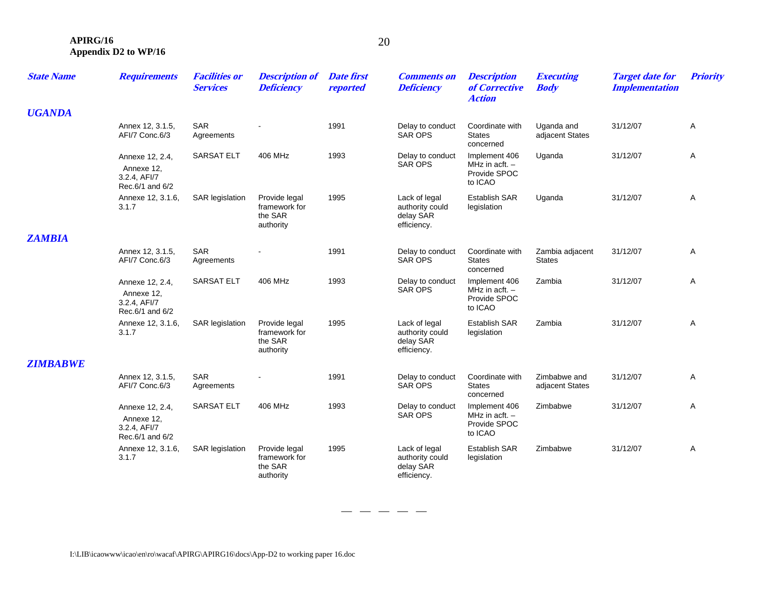| <b>State Name</b> | <b>Requirements</b>                                              | <b>Facilities or</b><br><b>Services</b> | <b>Description of</b><br><b>Deficiency</b>             | <b>Date first</b><br>reported | <b>Comments on</b><br><b>Deficiency</b>                      | <b>Description</b><br>of Corrective<br><b>Action</b>         | <b>Executing</b><br><b>Body</b>  | <b>Target date for</b><br><b>Implementation</b> | <b>Priority</b> |
|-------------------|------------------------------------------------------------------|-----------------------------------------|--------------------------------------------------------|-------------------------------|--------------------------------------------------------------|--------------------------------------------------------------|----------------------------------|-------------------------------------------------|-----------------|
| <b>UGANDA</b>     |                                                                  |                                         |                                                        |                               |                                                              |                                                              |                                  |                                                 |                 |
|                   | Annex 12, 3.1.5,<br>AFI/7 Conc.6/3                               | <b>SAR</b><br>Agreements                |                                                        | 1991                          | Delay to conduct<br><b>SAR OPS</b>                           | Coordinate with<br><b>States</b><br>concerned                | Uganda and<br>adjacent States    | 31/12/07                                        | Α               |
|                   | Annexe 12, 2.4,<br>Annexe 12,<br>3.2.4, AFI/7<br>Rec.6/1 and 6/2 | <b>SARSAT ELT</b>                       | 406 MHz                                                | 1993                          | Delay to conduct<br><b>SAR OPS</b>                           | Implement 406<br>MHz in acft. $-$<br>Provide SPOC<br>to ICAO | Uganda                           | 31/12/07                                        | A               |
|                   | Annexe 12, 3.1.6,<br>3.1.7                                       | <b>SAR</b> legislation                  | Provide legal<br>framework for<br>the SAR<br>authority | 1995                          | Lack of legal<br>authority could<br>delay SAR<br>efficiency. | <b>Establish SAR</b><br>legislation                          | Uganda                           | 31/12/07                                        | Α               |
| <b>ZAMBIA</b>     |                                                                  |                                         |                                                        |                               |                                                              |                                                              |                                  |                                                 |                 |
|                   | Annex 12, 3.1.5,<br>AFI/7 Conc.6/3                               | SAR<br>Agreements                       |                                                        | 1991                          | Delay to conduct<br><b>SAR OPS</b>                           | Coordinate with<br><b>States</b><br>concerned                | Zambia adjacent<br><b>States</b> | 31/12/07                                        | Α               |
|                   | Annexe 12, 2.4,<br>Annexe 12,<br>3.2.4, AFI/7<br>Rec.6/1 and 6/2 | <b>SARSAT ELT</b>                       | 406 MHz                                                | 1993                          | Delay to conduct<br><b>SAR OPS</b>                           | Implement 406<br>MHz in acft. $-$<br>Provide SPOC<br>to ICAO | Zambia                           | 31/12/07                                        | Α               |
|                   | Annexe 12, 3.1.6,<br>3.1.7                                       | <b>SAR</b> legislation                  | Provide legal<br>framework for<br>the SAR<br>authority | 1995                          | Lack of legal<br>authority could<br>delay SAR<br>efficiency. | <b>Establish SAR</b><br>legislation                          | Zambia                           | 31/12/07                                        | Α               |
| <b>ZIMBABWE</b>   |                                                                  |                                         |                                                        |                               |                                                              |                                                              |                                  |                                                 |                 |
|                   | Annex 12, 3.1.5,<br>AFI/7 Conc.6/3                               | <b>SAR</b><br>Agreements                |                                                        | 1991                          | Delay to conduct<br><b>SAR OPS</b>                           | Coordinate with<br><b>States</b><br>concerned                | Zimbabwe and<br>adjacent States  | 31/12/07                                        | Α               |
|                   | Annexe 12, 2.4,<br>Annexe 12,<br>3.2.4, AFI/7<br>Rec.6/1 and 6/2 | <b>SARSAT ELT</b>                       | 406 MHz                                                | 1993                          | Delay to conduct<br><b>SAR OPS</b>                           | Implement 406<br>MHz in $actt.$ –<br>Provide SPOC<br>to ICAO | Zimbabwe                         | 31/12/07                                        | Α               |
|                   | Annexe 12, 3.1.6,<br>3.1.7                                       | <b>SAR</b> legislation                  | Provide legal<br>framework for<br>the SAR<br>authority | 1995                          | Lack of legal<br>authority could<br>delay SAR<br>efficiency. | <b>Establish SAR</b><br>legislation                          | Zimbabwe                         | 31/12/07                                        | A               |

— — — — —

I:\LIB\icaowww\icao\en\ro\wacaf\APIRG\APIRG16\docs\App-D2 to working paper 16.doc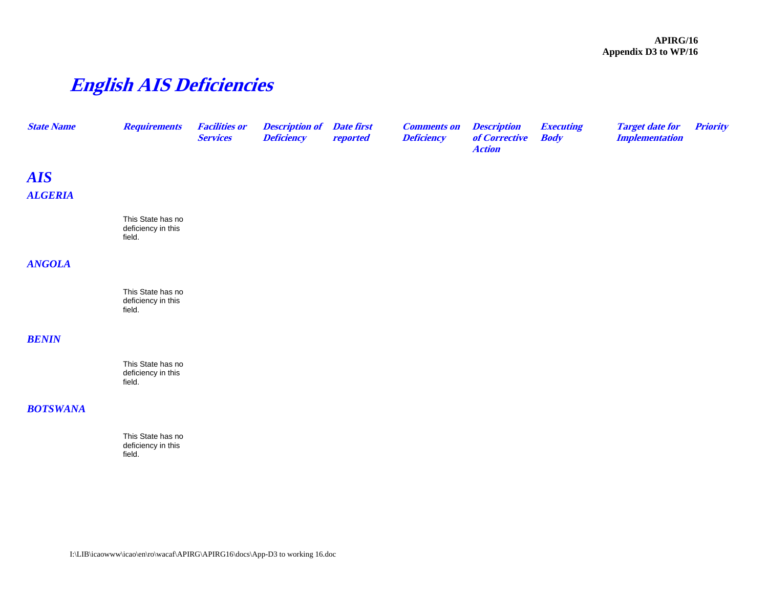# **English AIS Deficiencies**

| <b>State Name</b>            | <b>Requirements</b>                               | <b>Facilities or</b><br><b>Services</b> | <b>Description of</b> Date first<br><b>Deficiency</b> | reported | <b>Comments on</b><br><b>Deficiency</b> | <b>Description</b><br>of Corrective<br><b>Action</b> | <b>Executing</b><br><b>Body</b> | <b>Target date for</b><br><b>Implementation</b> | <b>Priority</b> |
|------------------------------|---------------------------------------------------|-----------------------------------------|-------------------------------------------------------|----------|-----------------------------------------|------------------------------------------------------|---------------------------------|-------------------------------------------------|-----------------|
| <b>AIS</b><br><b>ALGERIA</b> |                                                   |                                         |                                                       |          |                                         |                                                      |                                 |                                                 |                 |
|                              | This State has no<br>deficiency in this<br>field. |                                         |                                                       |          |                                         |                                                      |                                 |                                                 |                 |
| <b>ANGOLA</b>                |                                                   |                                         |                                                       |          |                                         |                                                      |                                 |                                                 |                 |
|                              | This State has no<br>deficiency in this<br>field. |                                         |                                                       |          |                                         |                                                      |                                 |                                                 |                 |
| <b>BENIN</b>                 |                                                   |                                         |                                                       |          |                                         |                                                      |                                 |                                                 |                 |
|                              | This State has no<br>deficiency in this<br>field. |                                         |                                                       |          |                                         |                                                      |                                 |                                                 |                 |
| <b>BOTSWANA</b>              |                                                   |                                         |                                                       |          |                                         |                                                      |                                 |                                                 |                 |
|                              | This State has no<br>deficiency in this<br>field. |                                         |                                                       |          |                                         |                                                      |                                 |                                                 |                 |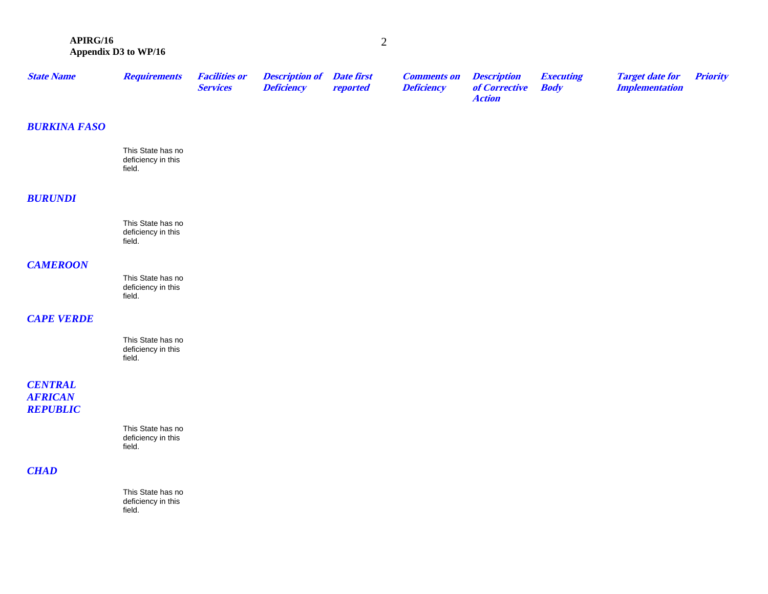| APIRG/16<br>Appendix D3 to WP/16 |                     |                                                |                                                              |                 |                                              |                                |                                 |                                                 |                        |
|----------------------------------|---------------------|------------------------------------------------|--------------------------------------------------------------|-----------------|----------------------------------------------|--------------------------------|---------------------------------|-------------------------------------------------|------------------------|
| <b>State Name</b>                | <b>Requirements</b> | <i><b>Facilities or</b></i><br><b>Services</b> | <b>Description of Date first</b><br><i><b>Deficiency</b></i> | <b>reported</b> | <b>Comments on Description</b><br>Deficiency | <i>of Corrective</i><br>Action | <b>Executing</b><br><b>Body</b> | <b>Target date for</b><br><b>Implementation</b> | <i><b>Priority</b></i> |

#### *BURKINA FASO*

| This State has no  |
|--------------------|
| deficiency in this |
| field.             |

#### *BURUNDI*

| This State has no  |
|--------------------|
| deficiency in this |
| field.             |

#### *CAMEROON*

| This State has no  |
|--------------------|
| deficiency in this |
| field.             |

#### *CAPE VERDE*

| This State has no  |
|--------------------|
| deficiency in this |
| field.             |

# *CENTRAL AFRICAN REPUBLIC*

| This State has no  |
|--------------------|
| deficiency in this |
| field.             |

#### *CHAD*

This State has no deficiency in this field.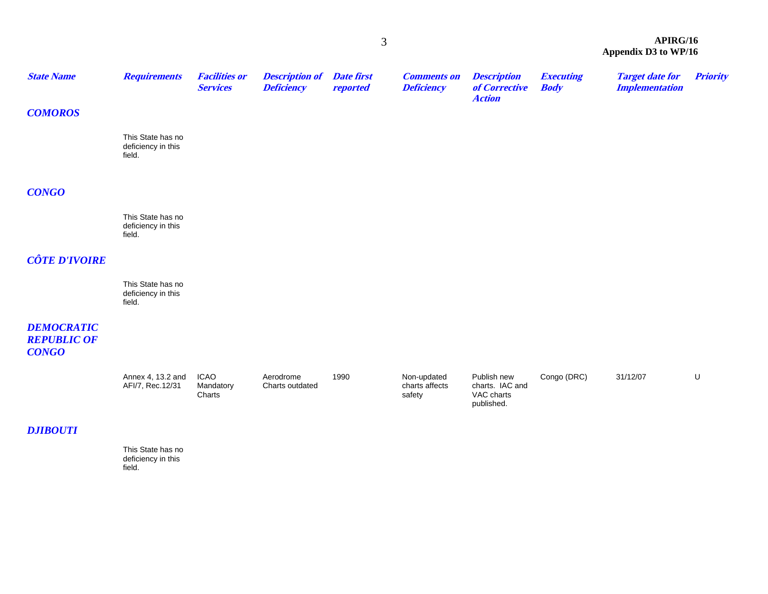|                                                         | 3                                                 |                                         |                                            |                               |                                         |                                                            |                                 | APIRG/16<br>Appendix D3 to WP/16                |                 |  |
|---------------------------------------------------------|---------------------------------------------------|-----------------------------------------|--------------------------------------------|-------------------------------|-----------------------------------------|------------------------------------------------------------|---------------------------------|-------------------------------------------------|-----------------|--|
| <b>State Name</b>                                       | <b>Requirements</b>                               | <b>Facilities or</b><br><b>Services</b> | <b>Description of</b><br><b>Deficiency</b> | <b>Date first</b><br>reported | <b>Comments on</b><br><b>Deficiency</b> | <b>Description</b><br>of Corrective<br><b>Action</b>       | <b>Executing</b><br><b>Body</b> | <b>Target date for</b><br><b>Implementation</b> | <b>Priority</b> |  |
| <b>COMOROS</b>                                          |                                                   |                                         |                                            |                               |                                         |                                                            |                                 |                                                 |                 |  |
|                                                         | This State has no<br>deficiency in this<br>field. |                                         |                                            |                               |                                         |                                                            |                                 |                                                 |                 |  |
| <b>CONGO</b>                                            |                                                   |                                         |                                            |                               |                                         |                                                            |                                 |                                                 |                 |  |
|                                                         | This State has no<br>deficiency in this<br>field. |                                         |                                            |                               |                                         |                                                            |                                 |                                                 |                 |  |
| <b>CÔTE D'IVOIRE</b>                                    |                                                   |                                         |                                            |                               |                                         |                                                            |                                 |                                                 |                 |  |
|                                                         | This State has no<br>deficiency in this<br>field. |                                         |                                            |                               |                                         |                                                            |                                 |                                                 |                 |  |
| <b>DEMOCRATIC</b><br><b>REPUBLIC OF</b><br><b>CONGO</b> |                                                   |                                         |                                            |                               |                                         |                                                            |                                 |                                                 |                 |  |
|                                                         | Annex 4, 13.2 and<br>AFI/7, Rec.12/31             | <b>ICAO</b><br>Mandatory<br>Charts      | Aerodrome<br>Charts outdated               | 1990                          | Non-updated<br>charts affects<br>safety | Publish new<br>charts. IAC and<br>VAC charts<br>published. | Congo (DRC)                     | 31/12/07                                        | U               |  |
| <b>DJIBOUTI</b>                                         |                                                   |                                         |                                            |                               |                                         |                                                            |                                 |                                                 |                 |  |
|                                                         | This State has no                                 |                                         |                                            |                               |                                         |                                                            |                                 |                                                 |                 |  |

deficiency in this field.

3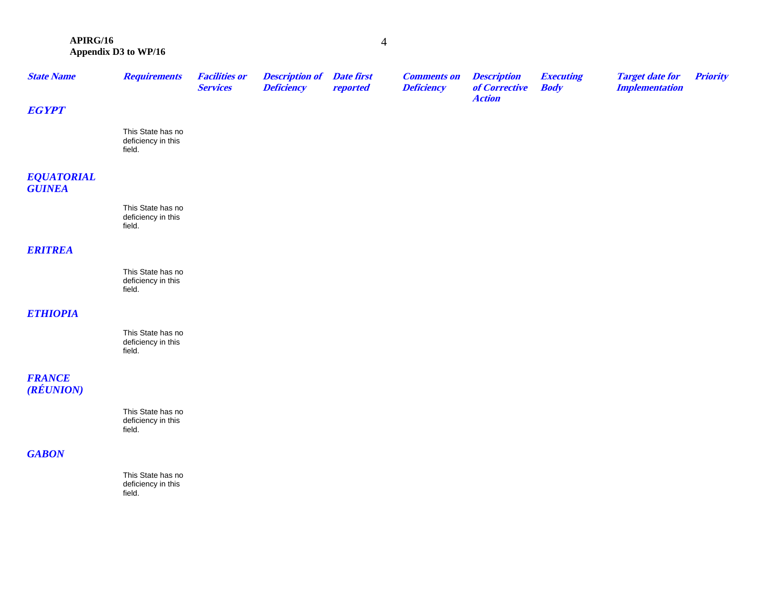| APIRG/16             |  |
|----------------------|--|
| Appendix D3 to WP/16 |  |

| <b>State Name</b>                  | <b>Requirements</b>                               | <b>Facilities or</b><br><b>Services</b> | <b>Description of</b><br><b>Deficiency</b> | <b>Date first</b><br>reported | <b>Comments on</b><br><b>Deficiency</b> | <b>Description</b><br>of Corrective<br><b>Action</b> | <b>Executing</b><br><b>Body</b> | <b>Target date for</b><br><b>Implementation</b> | <b>Priority</b> |
|------------------------------------|---------------------------------------------------|-----------------------------------------|--------------------------------------------|-------------------------------|-----------------------------------------|------------------------------------------------------|---------------------------------|-------------------------------------------------|-----------------|
| <b>EGYPT</b>                       |                                                   |                                         |                                            |                               |                                         |                                                      |                                 |                                                 |                 |
|                                    | This State has no<br>deficiency in this<br>field. |                                         |                                            |                               |                                         |                                                      |                                 |                                                 |                 |
| <b>EQUATORIAL</b><br><b>GUINEA</b> |                                                   |                                         |                                            |                               |                                         |                                                      |                                 |                                                 |                 |
|                                    | This State has no<br>deficiency in this<br>field. |                                         |                                            |                               |                                         |                                                      |                                 |                                                 |                 |
| <b>ERITREA</b>                     |                                                   |                                         |                                            |                               |                                         |                                                      |                                 |                                                 |                 |
|                                    | This State has no<br>deficiency in this<br>field. |                                         |                                            |                               |                                         |                                                      |                                 |                                                 |                 |
| <b>ETHIOPIA</b>                    |                                                   |                                         |                                            |                               |                                         |                                                      |                                 |                                                 |                 |
|                                    | This State has no<br>deficiency in this<br>field. |                                         |                                            |                               |                                         |                                                      |                                 |                                                 |                 |
| <b>FRANCE</b><br>(RÉUNION)         |                                                   |                                         |                                            |                               |                                         |                                                      |                                 |                                                 |                 |
|                                    | This State has no<br>deficiency in this<br>field. |                                         |                                            |                               |                                         |                                                      |                                 |                                                 |                 |
| <b>GABON</b>                       |                                                   |                                         |                                            |                               |                                         |                                                      |                                 |                                                 |                 |
|                                    | This State has no<br>deficiency in this           |                                         |                                            |                               |                                         |                                                      |                                 |                                                 |                 |

deficiency in this field.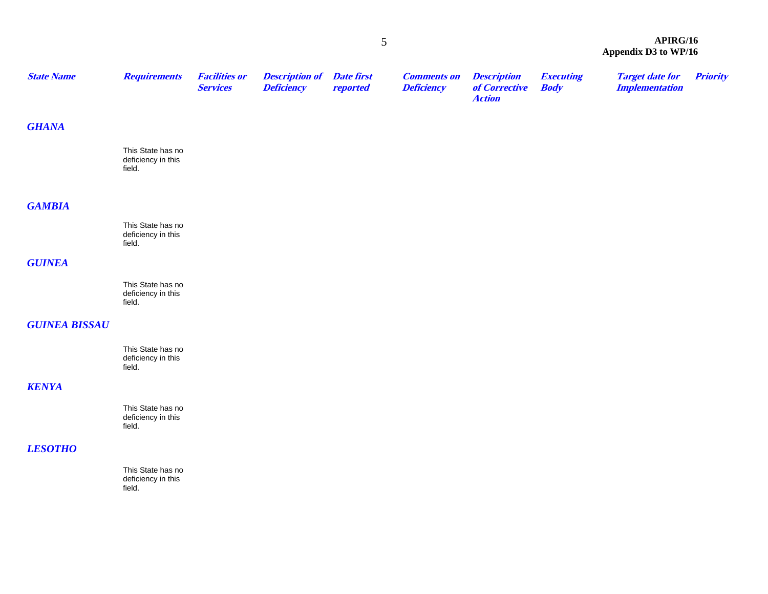|                          |                     |                                                |                                                       |                 |                                                     |                                     |                  | APIRG/16<br>Appendix D3 to WP/16                       |          |  |
|--------------------------|---------------------|------------------------------------------------|-------------------------------------------------------|-----------------|-----------------------------------------------------|-------------------------------------|------------------|--------------------------------------------------------|----------|--|
| <i><b>State Name</b></i> | <b>Requirements</b> | <i><b>Facilities or</b></i><br><b>Services</b> | <b>Description of Date first</b><br><b>Deficiency</b> | <i>reported</i> | <b>Comments on Description</b><br><b>Deficiency</b> | of Corrective Body<br><b>Action</b> | <b>Executing</b> | <b>Target date for</b><br><i><b>Implementation</b></i> | Priority |  |

#### *GHANA*

|                      | This State has no<br>deficiency in this<br>field. |  |  |  |
|----------------------|---------------------------------------------------|--|--|--|
|                      |                                                   |  |  |  |
| <b>GAMBIA</b>        |                                                   |  |  |  |
|                      | This State has no<br>deficiency in this<br>field. |  |  |  |
| <b>GUINEA</b>        |                                                   |  |  |  |
|                      | This State has no<br>deficiency in this<br>field. |  |  |  |
| <b>GUINEA BISSAU</b> |                                                   |  |  |  |
|                      | This State has no<br>deficiency in this<br>field. |  |  |  |
| <b>KENYA</b>         |                                                   |  |  |  |
|                      | This State has no<br>deficiency in this<br>field. |  |  |  |
| <b>LESOTHO</b>       |                                                   |  |  |  |
|                      | This State has no<br>deficiency in this<br>field. |  |  |  |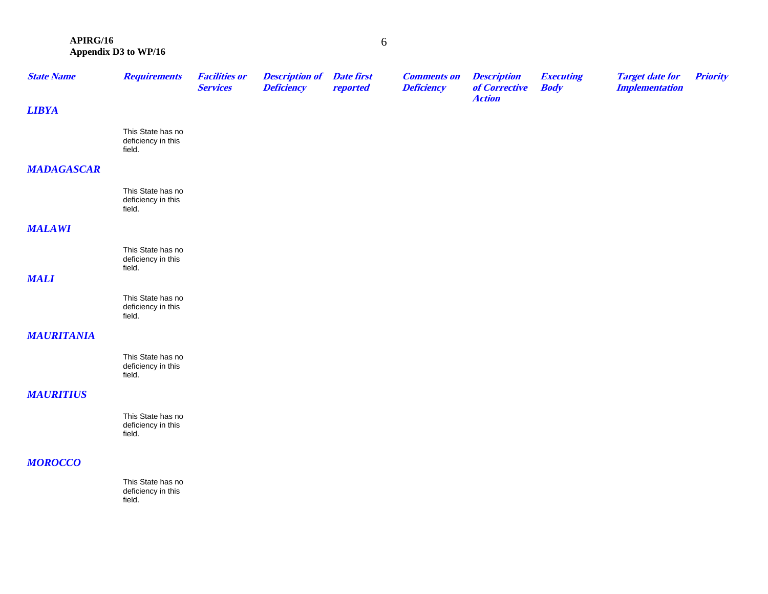| <b>State Name</b> | <b>Requirements</b>                               | <b>Facilities or</b><br><b>Services</b> | <b>Description of</b><br><b>Deficiency</b> | <b>Date first</b><br>reported | <b>Comments on</b><br><b>Deficiency</b> | <b>Description</b><br>of Corrective<br><b>Action</b> | <b>Executing</b><br><b>Body</b> | <b>Target date for</b><br><b>Implementation</b> | <b>Priority</b> |
|-------------------|---------------------------------------------------|-----------------------------------------|--------------------------------------------|-------------------------------|-----------------------------------------|------------------------------------------------------|---------------------------------|-------------------------------------------------|-----------------|
| <b>LIBYA</b>      |                                                   |                                         |                                            |                               |                                         |                                                      |                                 |                                                 |                 |
|                   | This State has no<br>deficiency in this<br>field. |                                         |                                            |                               |                                         |                                                      |                                 |                                                 |                 |
| <b>MADAGASCAR</b> |                                                   |                                         |                                            |                               |                                         |                                                      |                                 |                                                 |                 |
|                   | This State has no<br>deficiency in this<br>field. |                                         |                                            |                               |                                         |                                                      |                                 |                                                 |                 |
| <b>MALAWI</b>     |                                                   |                                         |                                            |                               |                                         |                                                      |                                 |                                                 |                 |
|                   | This State has no<br>deficiency in this<br>field. |                                         |                                            |                               |                                         |                                                      |                                 |                                                 |                 |
| <b>MALI</b>       |                                                   |                                         |                                            |                               |                                         |                                                      |                                 |                                                 |                 |
|                   | This State has no<br>deficiency in this<br>field. |                                         |                                            |                               |                                         |                                                      |                                 |                                                 |                 |
| <b>MAURITANIA</b> |                                                   |                                         |                                            |                               |                                         |                                                      |                                 |                                                 |                 |
|                   | This State has no<br>deficiency in this<br>field. |                                         |                                            |                               |                                         |                                                      |                                 |                                                 |                 |
| <b>MAURITIUS</b>  |                                                   |                                         |                                            |                               |                                         |                                                      |                                 |                                                 |                 |
|                   | This State has no<br>deficiency in this<br>field. |                                         |                                            |                               |                                         |                                                      |                                 |                                                 |                 |
| <b>MOROCCO</b>    |                                                   |                                         |                                            |                               |                                         |                                                      |                                 |                                                 |                 |
|                   | This Chata hoo no                                 |                                         |                                            |                               |                                         |                                                      |                                 |                                                 |                 |

This State has no deficiency in this field.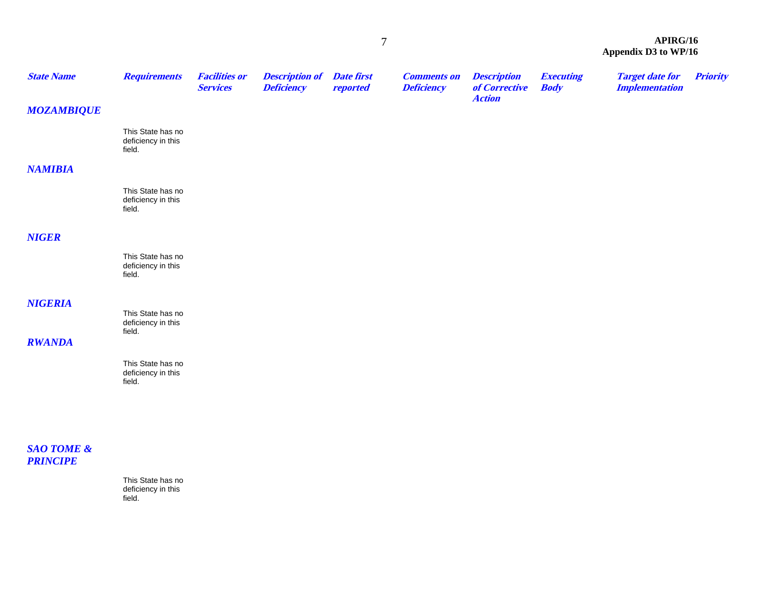|                   |                                                   |                                         |                                            |                               |                                         |                                                      |                                 | Appendix D3 to WP/16                            |                 |
|-------------------|---------------------------------------------------|-----------------------------------------|--------------------------------------------|-------------------------------|-----------------------------------------|------------------------------------------------------|---------------------------------|-------------------------------------------------|-----------------|
| <b>State Name</b> | <b>Requirements</b>                               | <b>Facilities or</b><br><b>Services</b> | <b>Description of</b><br><b>Deficiency</b> | <b>Date first</b><br>reported | <b>Comments on</b><br><b>Deficiency</b> | <b>Description</b><br>of Corrective<br><b>Action</b> | <b>Executing</b><br><b>Body</b> | <b>Target date for</b><br><b>Implementation</b> | <b>Priority</b> |
| <b>MOZAMBIQUE</b> |                                                   |                                         |                                            |                               |                                         |                                                      |                                 |                                                 |                 |
|                   | This State has no<br>deficiency in this<br>field. |                                         |                                            |                               |                                         |                                                      |                                 |                                                 |                 |
| NAMIBIA           |                                                   |                                         |                                            |                               |                                         |                                                      |                                 |                                                 |                 |
|                   | This State has no<br>deficiency in this<br>field. |                                         |                                            |                               |                                         |                                                      |                                 |                                                 |                 |
| <b>NIGER</b>      |                                                   |                                         |                                            |                               |                                         |                                                      |                                 |                                                 |                 |
|                   | This State has no<br>deficiency in this<br>field. |                                         |                                            |                               |                                         |                                                      |                                 |                                                 |                 |
| NIGERIA           |                                                   |                                         |                                            |                               |                                         |                                                      |                                 |                                                 |                 |
|                   | This State has no<br>deficiency in this<br>field. |                                         |                                            |                               |                                         |                                                      |                                 |                                                 |                 |
| <b>RWANDA</b>     |                                                   |                                         |                                            |                               |                                         |                                                      |                                 |                                                 |                 |
|                   | This State has no<br>deficiency in this<br>field. |                                         |                                            |                               |                                         |                                                      |                                 |                                                 |                 |
|                   |                                                   |                                         |                                            |                               |                                         |                                                      |                                 |                                                 |                 |
|                   |                                                   |                                         |                                            |                               |                                         |                                                      |                                 |                                                 |                 |
|                   |                                                   |                                         |                                            |                               |                                         |                                                      |                                 |                                                 |                 |

#### *SAO TOME & PRINCIPE*

This State has no deficiency in this field.

**APIRG/16**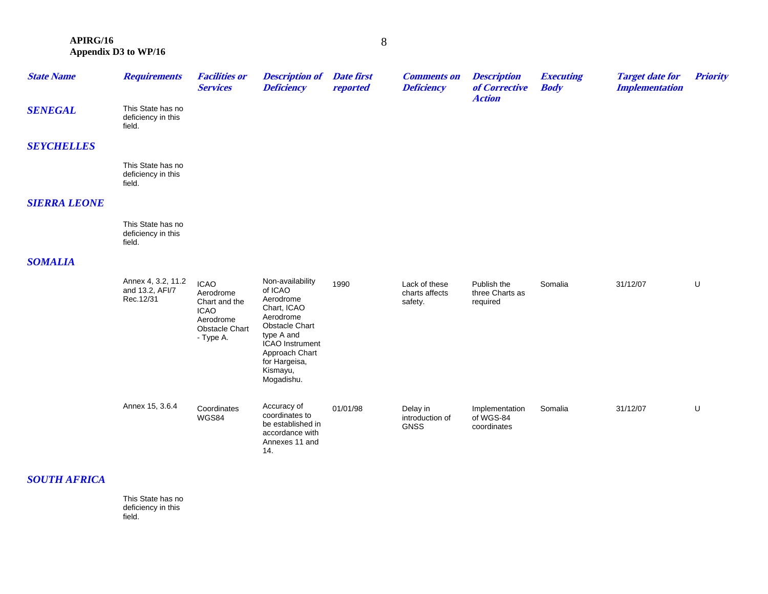| <b>State Name</b>   | <b>Requirements</b>                                | <b>Facilities or</b><br><b>Services</b>                                                                     | <b>Description of</b><br><b>Deficiency</b>                                                                                                                                                         | <b>Date first</b><br>reported | <b>Comments on</b><br><b>Deficiency</b>    | <b>Description</b><br>of Corrective<br><b>Action</b> | <b>Executing</b><br><b>Body</b> | <b>Target date for</b><br><b>Implementation</b> | <b>Priority</b> |
|---------------------|----------------------------------------------------|-------------------------------------------------------------------------------------------------------------|----------------------------------------------------------------------------------------------------------------------------------------------------------------------------------------------------|-------------------------------|--------------------------------------------|------------------------------------------------------|---------------------------------|-------------------------------------------------|-----------------|
| <b>SENEGAL</b>      | This State has no<br>deficiency in this<br>field.  |                                                                                                             |                                                                                                                                                                                                    |                               |                                            |                                                      |                                 |                                                 |                 |
| <b>SEYCHELLES</b>   |                                                    |                                                                                                             |                                                                                                                                                                                                    |                               |                                            |                                                      |                                 |                                                 |                 |
|                     | This State has no<br>deficiency in this<br>field.  |                                                                                                             |                                                                                                                                                                                                    |                               |                                            |                                                      |                                 |                                                 |                 |
| <b>SIERRA LEONE</b> |                                                    |                                                                                                             |                                                                                                                                                                                                    |                               |                                            |                                                      |                                 |                                                 |                 |
|                     | This State has no<br>deficiency in this<br>field.  |                                                                                                             |                                                                                                                                                                                                    |                               |                                            |                                                      |                                 |                                                 |                 |
| <b>SOMALIA</b>      |                                                    |                                                                                                             |                                                                                                                                                                                                    |                               |                                            |                                                      |                                 |                                                 |                 |
|                     | Annex 4, 3.2, 11.2<br>and 13.2, AFI/7<br>Rec.12/31 | <b>ICAO</b><br>Aerodrome<br>Chart and the<br><b>ICAO</b><br>Aerodrome<br><b>Obstacle Chart</b><br>- Type A. | Non-availability<br>of ICAO<br>Aerodrome<br>Chart, ICAO<br>Aerodrome<br><b>Obstacle Chart</b><br>type A and<br><b>ICAO</b> Instrument<br>Approach Chart<br>for Hargeisa,<br>Kismayu,<br>Mogadishu. | 1990                          | Lack of these<br>charts affects<br>safety. | Publish the<br>three Charts as<br>required           | Somalia                         | 31/12/07                                        | U               |
|                     | Annex 15, 3.6.4                                    | Coordinates<br>WGS84                                                                                        | Accuracy of<br>coordinates to<br>be established in<br>accordance with<br>Annexes 11 and<br>14.                                                                                                     | 01/01/98                      | Delay in<br>introduction of<br><b>GNSS</b> | Implementation<br>of WGS-84<br>coordinates           | Somalia                         | 31/12/07                                        | U               |

#### *SOUTH AFRICA*

This State has no deficiency in this field.

8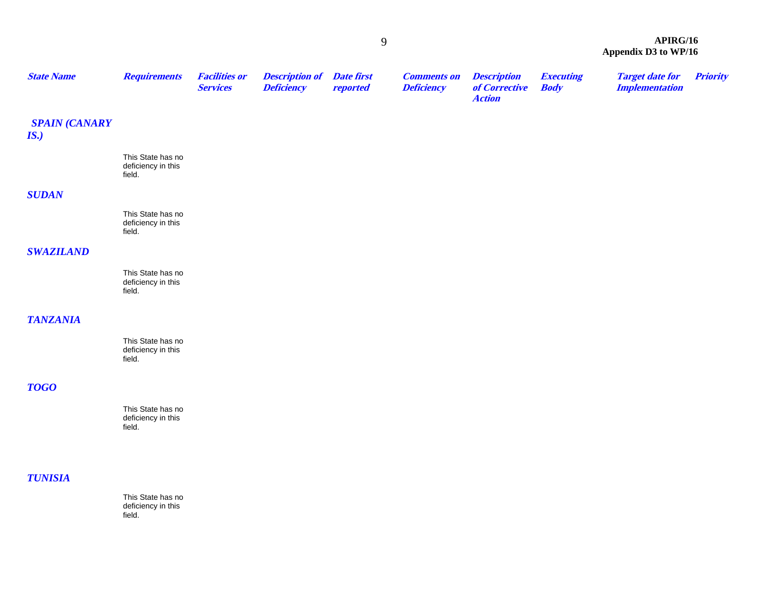|                             | Q                   |                                         |                                                       |                 |                                                | APIRG/16<br>Appendix D3 to WP/16                     |                                 |                                                 |                 |
|-----------------------------|---------------------|-----------------------------------------|-------------------------------------------------------|-----------------|------------------------------------------------|------------------------------------------------------|---------------------------------|-------------------------------------------------|-----------------|
| <b>State Name</b>           | <b>Requirements</b> | <b>Facilities or</b><br><b>Services</b> | <b>Description of</b> Date first<br><b>Deficiency</b> | <b>reported</b> | <i><b>Comments on</b></i><br><b>Deficiency</b> | <b>Description</b><br>of Corrective<br><b>Action</b> | <b>Executing</b><br><b>Body</b> | <b>Target date for</b><br><b>Implementation</b> | <b>Priority</b> |
| <b>SPAIN (CANARY</b><br>IS. |                     |                                         |                                                       |                 |                                                |                                                      |                                 |                                                 |                 |

*TUNISIA* 

*SUDAN* 

*SWAZILAND* 

*TANZANIA* 

*TOGO* 

This State has no deficiency in this field.

This State has no deficiency in this

This State has no deficiency in this field.

This State has no deficiency in this

This State has no deficiency in this field.

This State has no deficiency in this

field.

field.

field.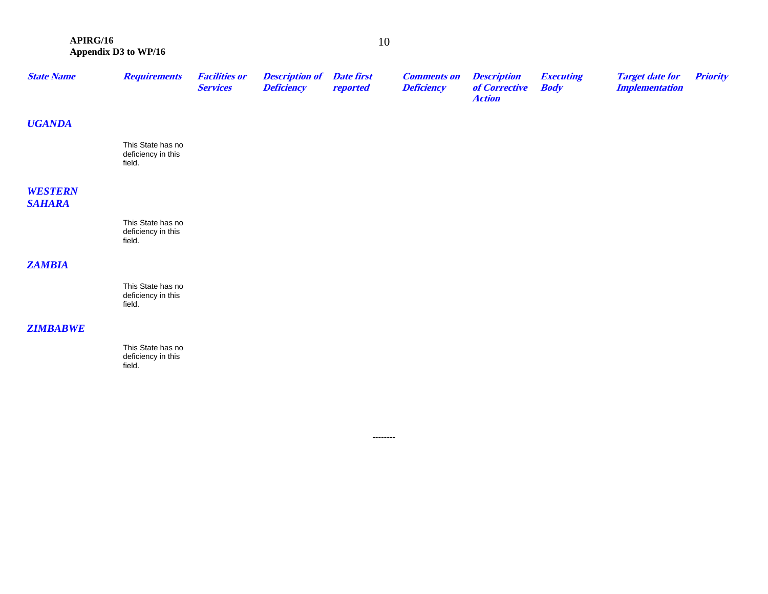| APIRG/16             |  |
|----------------------|--|
| Appendix D3 to WP/16 |  |

| <b>State Name</b>               | <b>Requirements</b>                               | <b>Facilities or</b><br><b>Services</b> | <b>Description of</b><br><b>Deficiency</b> | <b>Date first</b><br><i>reported</i> | <b>Comments on</b><br><b>Deficiency</b> | <b>Description</b><br>of Corrective<br><b>Action</b> | <b>Executing</b><br><b>Body</b> | <b>Target date for</b><br><b>Implementation</b> | <b>Priority</b> |
|---------------------------------|---------------------------------------------------|-----------------------------------------|--------------------------------------------|--------------------------------------|-----------------------------------------|------------------------------------------------------|---------------------------------|-------------------------------------------------|-----------------|
| <b>UGANDA</b>                   |                                                   |                                         |                                            |                                      |                                         |                                                      |                                 |                                                 |                 |
|                                 | This State has no<br>deficiency in this<br>field. |                                         |                                            |                                      |                                         |                                                      |                                 |                                                 |                 |
| <b>WESTERN</b><br><b>SAHARA</b> |                                                   |                                         |                                            |                                      |                                         |                                                      |                                 |                                                 |                 |
|                                 | This State has no<br>deficiency in this<br>field. |                                         |                                            |                                      |                                         |                                                      |                                 |                                                 |                 |
| <b>ZAMBIA</b>                   |                                                   |                                         |                                            |                                      |                                         |                                                      |                                 |                                                 |                 |
|                                 | This State has no<br>deficiency in this<br>field. |                                         |                                            |                                      |                                         |                                                      |                                 |                                                 |                 |

#### *ZIMBABWE*

| This State has no  |
|--------------------|
| deficiency in this |
| field.             |

--------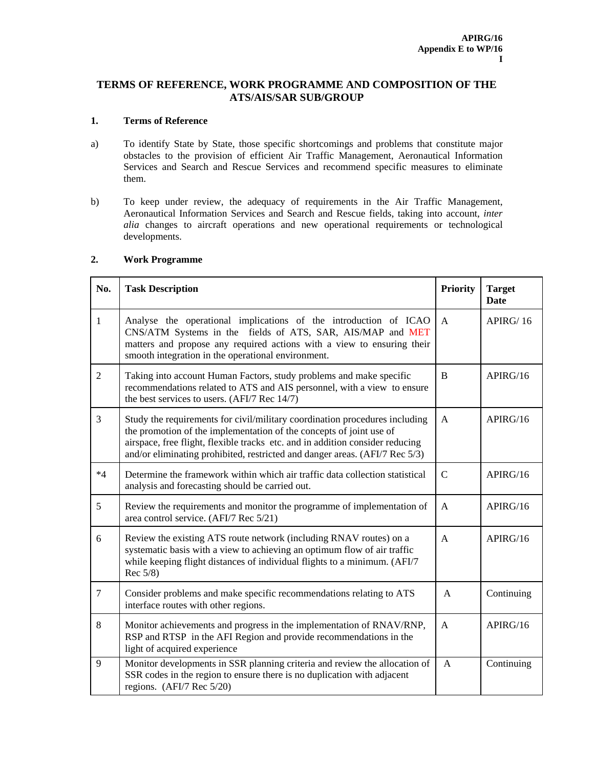# **TERMS OF REFERENCE, WORK PROGRAMME AND COMPOSITION OF THE ATS/AIS/SAR SUB/GROUP**

## **1. Terms of Reference**

- a) To identify State by State, those specific shortcomings and problems that constitute major obstacles to the provision of efficient Air Traffic Management, Aeronautical Information Services and Search and Rescue Services and recommend specific measures to eliminate them.
- b) To keep under review, the adequacy of requirements in the Air Traffic Management, Aeronautical Information Services and Search and Rescue fields, taking into account, *inter alia* changes to aircraft operations and new operational requirements or technological developments.

| No.            | <b>Task Description</b>                                                                                                                                                                                                                                                                                            | <b>Priority</b> | <b>Target</b><br><b>Date</b> |
|----------------|--------------------------------------------------------------------------------------------------------------------------------------------------------------------------------------------------------------------------------------------------------------------------------------------------------------------|-----------------|------------------------------|
| $\mathbf{1}$   | Analyse the operational implications of the introduction of ICAO<br>CNS/ATM Systems in the fields of ATS, SAR, AIS/MAP and MET<br>matters and propose any required actions with a view to ensuring their<br>smooth integration in the operational environment.                                                     | $\mathsf{A}$    | APIRG/16                     |
| $\overline{2}$ | Taking into account Human Factors, study problems and make specific<br>recommendations related to ATS and AIS personnel, with a view to ensure<br>the best services to users. (AFI/7 Rec 14/7)                                                                                                                     | B               | APIRG/16                     |
| $\overline{3}$ | Study the requirements for civil/military coordination procedures including<br>the promotion of the implementation of the concepts of joint use of<br>airspace, free flight, flexible tracks etc. and in addition consider reducing<br>and/or eliminating prohibited, restricted and danger areas. (AFI/7 Rec 5/3) | $\mathbf{A}$    | APIRG/16                     |
| $*4$           | Determine the framework within which air traffic data collection statistical<br>analysis and forecasting should be carried out.                                                                                                                                                                                    | $\overline{C}$  | APIRG/16                     |
| 5              | Review the requirements and monitor the programme of implementation of<br>area control service. (AFI/7 Rec 5/21)                                                                                                                                                                                                   | A               | APIRG/16                     |
| 6              | Review the existing ATS route network (including RNAV routes) on a<br>systematic basis with a view to achieving an optimum flow of air traffic<br>while keeping flight distances of individual flights to a minimum. (AFI/7<br>Rec 5/8)                                                                            | $\mathsf{A}$    | APIRG/16                     |
| $\overline{7}$ | Consider problems and make specific recommendations relating to ATS<br>interface routes with other regions.                                                                                                                                                                                                        | $\mathsf{A}$    | Continuing                   |
| $8\,$          | Monitor achievements and progress in the implementation of RNAV/RNP,<br>RSP and RTSP in the AFI Region and provide recommendations in the<br>light of acquired experience                                                                                                                                          | $\mathsf{A}$    | APIRG/16                     |
| 9              | Monitor developments in SSR planning criteria and review the allocation of<br>SSR codes in the region to ensure there is no duplication with adjacent<br>regions. (AFI/7 Rec 5/20)                                                                                                                                 | A               | Continuing                   |

#### **2. Work Programme**